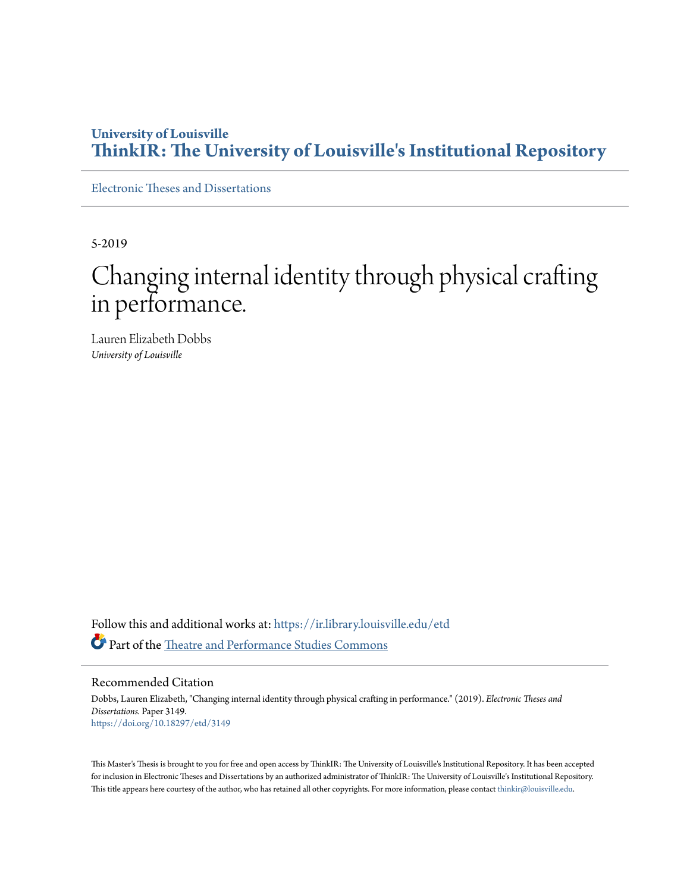# **University of Louisville [ThinkIR: The University of Louisville's Institutional Repository](https://ir.library.louisville.edu/?utm_source=ir.library.louisville.edu%2Fetd%2F3149&utm_medium=PDF&utm_campaign=PDFCoverPages)**

[Electronic Theses and Dissertations](https://ir.library.louisville.edu/etd?utm_source=ir.library.louisville.edu%2Fetd%2F3149&utm_medium=PDF&utm_campaign=PDFCoverPages)

5-2019

# Changing internal identity through physical crafting in performance.

Lauren Elizabeth Dobbs *University of Louisville*

Follow this and additional works at: [https://ir.library.louisville.edu/etd](https://ir.library.louisville.edu/etd?utm_source=ir.library.louisville.edu%2Fetd%2F3149&utm_medium=PDF&utm_campaign=PDFCoverPages) Part of the [Theatre and Performance Studies Commons](http://network.bepress.com/hgg/discipline/552?utm_source=ir.library.louisville.edu%2Fetd%2F3149&utm_medium=PDF&utm_campaign=PDFCoverPages)

Recommended Citation

Dobbs, Lauren Elizabeth, "Changing internal identity through physical crafting in performance." (2019). *Electronic Theses and Dissertations.* Paper 3149. <https://doi.org/10.18297/etd/3149>

This Master's Thesis is brought to you for free and open access by ThinkIR: The University of Louisville's Institutional Repository. It has been accepted for inclusion in Electronic Theses and Dissertations by an authorized administrator of ThinkIR: The University of Louisville's Institutional Repository. This title appears here courtesy of the author, who has retained all other copyrights. For more information, please contact [thinkir@louisville.edu](mailto:thinkir@louisville.edu).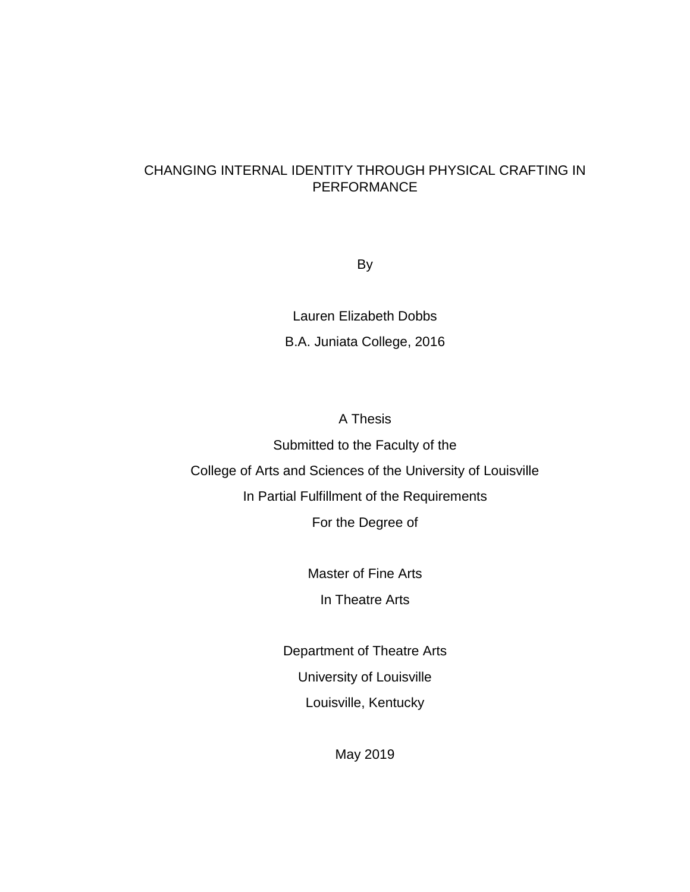### CHANGING INTERNAL IDENTITY THROUGH PHYSICAL CRAFTING IN PERFORMANCE

By

Lauren Elizabeth Dobbs B.A. Juniata College, 2016

A Thesis

Submitted to the Faculty of the College of Arts and Sciences of the University of Louisville In Partial Fulfillment of the Requirements For the Degree of

> Master of Fine Arts In Theatre Arts

Department of Theatre Arts University of Louisville Louisville, Kentucky

May 2019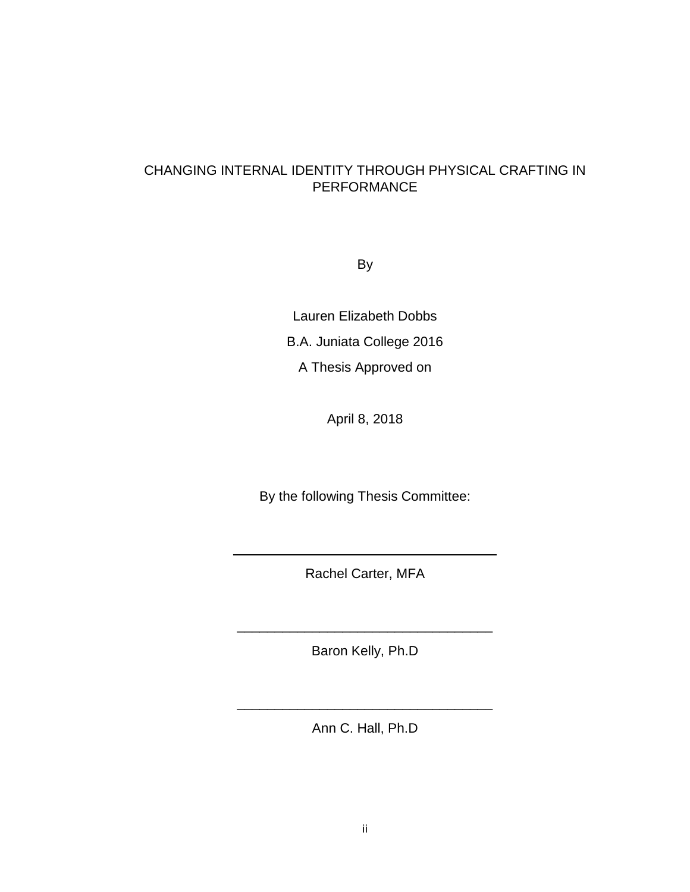### CHANGING INTERNAL IDENTITY THROUGH PHYSICAL CRAFTING IN PERFORMANCE

By

Lauren Elizabeth Dobbs B.A. Juniata College 2016 A Thesis Approved on

April 8, 2018

By the following Thesis Committee:

Rachel Carter, MFA

\_\_\_\_\_\_\_\_\_\_\_\_\_\_\_\_\_\_\_\_\_\_\_\_\_\_\_\_\_\_\_\_\_\_\_

Baron Kelly, Ph.D

\_\_\_\_\_\_\_\_\_\_\_\_\_\_\_\_\_\_\_\_\_\_\_\_\_\_\_\_\_\_\_\_\_\_

Ann C. Hall, Ph.D

\_\_\_\_\_\_\_\_\_\_\_\_\_\_\_\_\_\_\_\_\_\_\_\_\_\_\_\_\_\_\_\_\_\_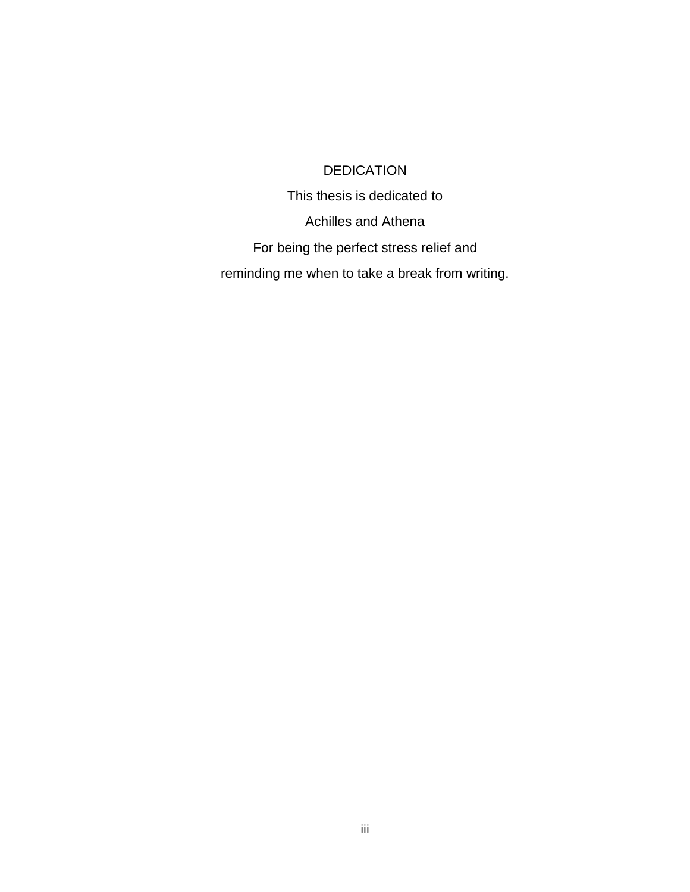## DEDICATION

This thesis is dedicated to Achilles and Athena For being the perfect stress relief and reminding me when to take a break from writing.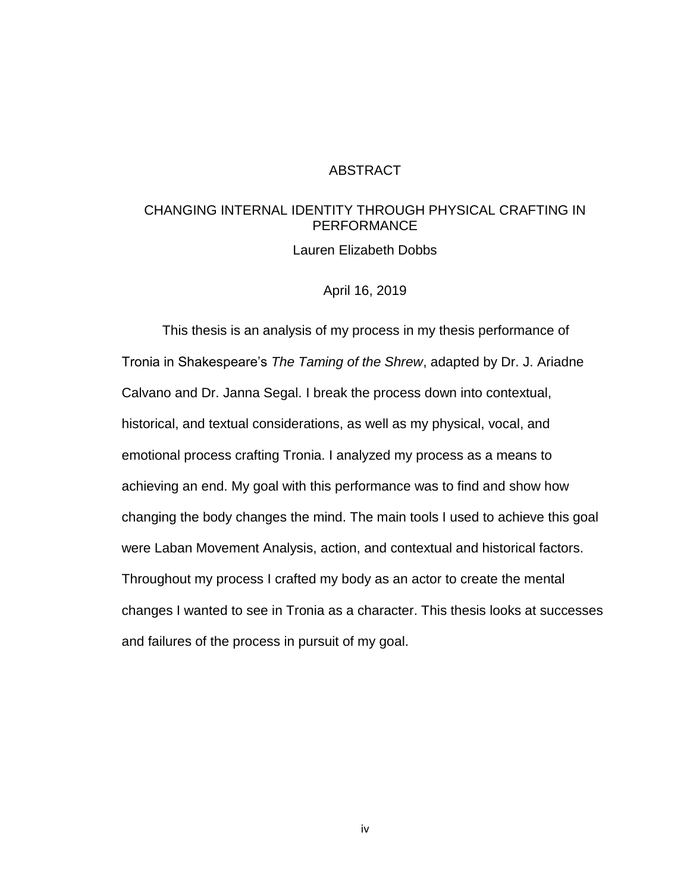### ABSTRACT

### CHANGING INTERNAL IDENTITY THROUGH PHYSICAL CRAFTING IN **PERFORMANCE**

Lauren Elizabeth Dobbs

April 16, 2019

This thesis is an analysis of my process in my thesis performance of Tronia in Shakespeare's *The Taming of the Shrew*, adapted by Dr. J. Ariadne Calvano and Dr. Janna Segal. I break the process down into contextual, historical, and textual considerations, as well as my physical, vocal, and emotional process crafting Tronia. I analyzed my process as a means to achieving an end. My goal with this performance was to find and show how changing the body changes the mind. The main tools I used to achieve this goal were Laban Movement Analysis, action, and contextual and historical factors. Throughout my process I crafted my body as an actor to create the mental changes I wanted to see in Tronia as a character. This thesis looks at successes and failures of the process in pursuit of my goal.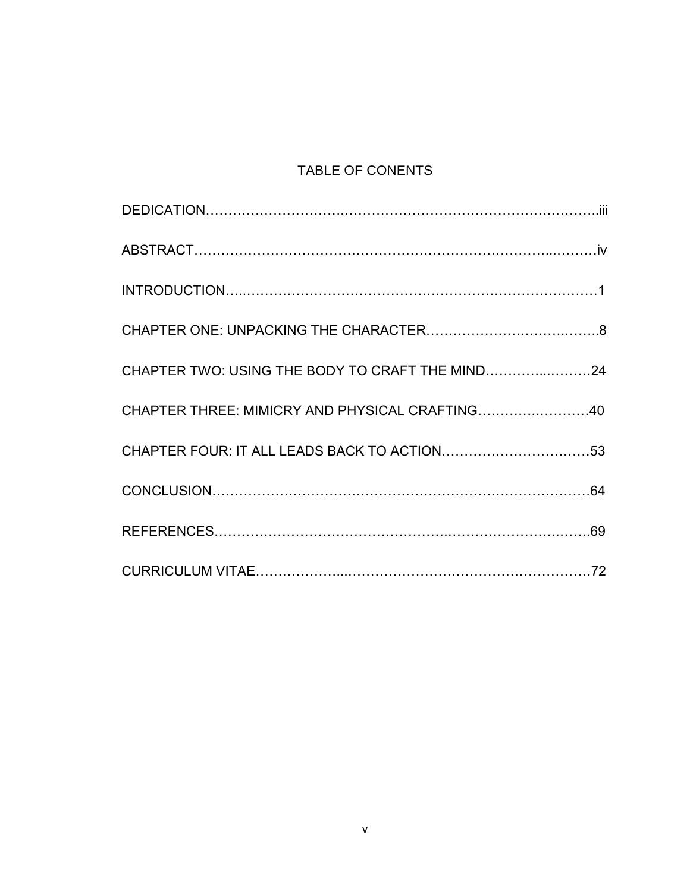# TABLE OF CONENTS

| CHAPTER THREE: MIMICRY AND PHYSICAL CRAFTING40 |  |
|------------------------------------------------|--|
|                                                |  |
|                                                |  |
|                                                |  |
|                                                |  |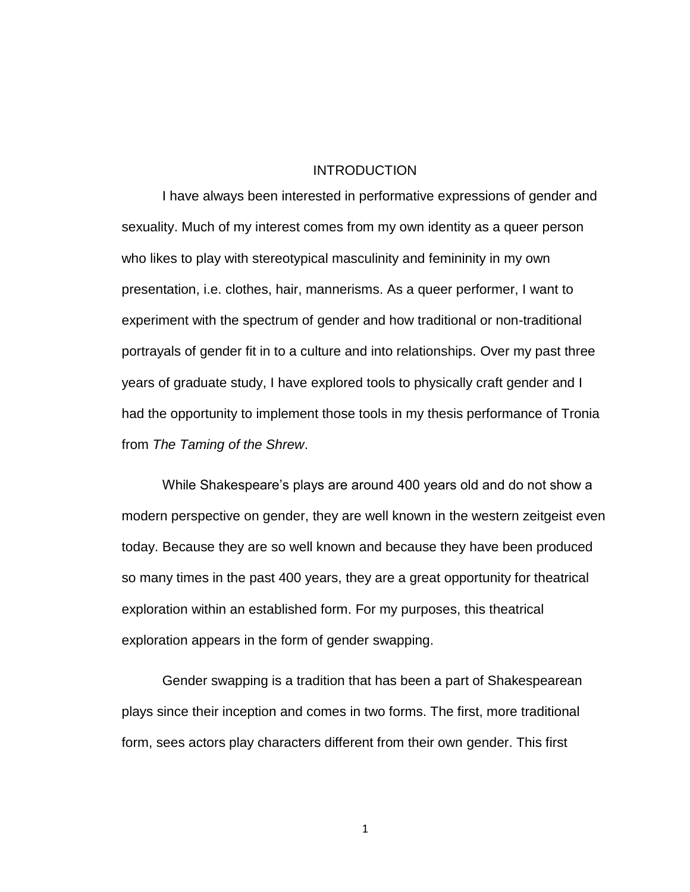#### INTRODUCTION

I have always been interested in performative expressions of gender and sexuality. Much of my interest comes from my own identity as a queer person who likes to play with stereotypical masculinity and femininity in my own presentation, i.e. clothes, hair, mannerisms. As a queer performer, I want to experiment with the spectrum of gender and how traditional or non-traditional portrayals of gender fit in to a culture and into relationships. Over my past three years of graduate study, I have explored tools to physically craft gender and I had the opportunity to implement those tools in my thesis performance of Tronia from *The Taming of the Shrew*.

While Shakespeare's plays are around 400 years old and do not show a modern perspective on gender, they are well known in the western zeitgeist even today. Because they are so well known and because they have been produced so many times in the past 400 years, they are a great opportunity for theatrical exploration within an established form. For my purposes, this theatrical exploration appears in the form of gender swapping.

Gender swapping is a tradition that has been a part of Shakespearean plays since their inception and comes in two forms. The first, more traditional form, sees actors play characters different from their own gender. This first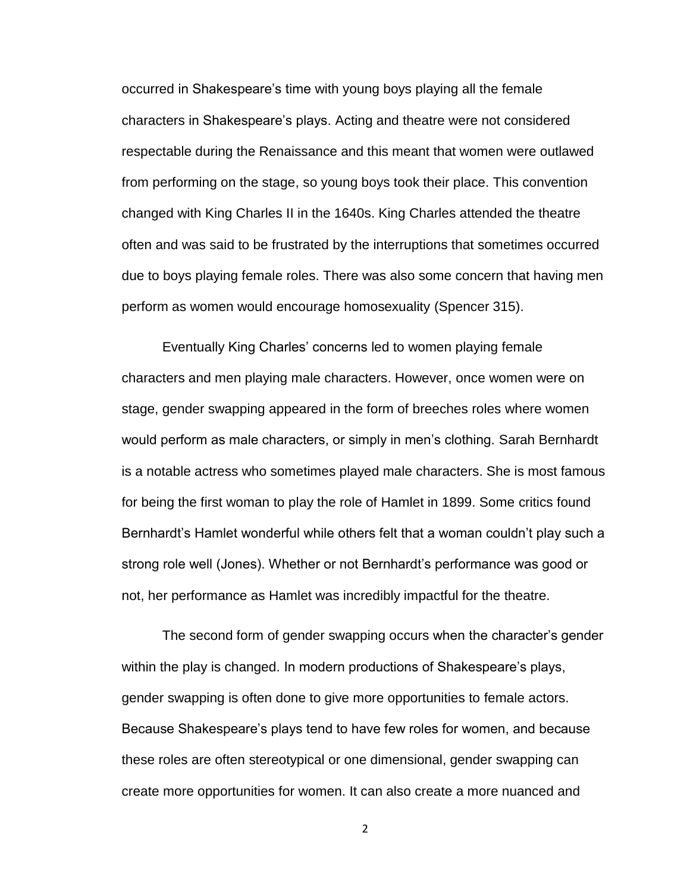occurred in Shakespeare's time with young boys playing all the female characters in Shakespeare's plays. Acting and theatre were not considered respectable during the Renaissance and this meant that women were outlawed from performing on the stage, so young boys took their place. This convention changed with King Charles II in the 1640s. King Charles attended the theatre often and was said to be frustrated by the interruptions that sometimes occurred due to boys playing female roles. There was also some concern that having men perform as women would encourage homosexuality (Spencer 315).

Eventually King Charles' concerns led to women playing female characters and men playing male characters. However, once women were on stage, gender swapping appeared in the form of breeches roles where women would perform as male characters, or simply in men's clothing. Sarah Bernhardt is a notable actress who sometimes played male characters. She is most famous for being the first woman to play the role of Hamlet in 1899. Some critics found Bernhardt's Hamlet wonderful while others felt that a woman couldn't play such a strong role well (Jones). Whether or not Bernhardt's performance was good or not, her performance as Hamlet was incredibly impactful for the theatre.

The second form of gender swapping occurs when the character's gender within the play is changed. In modern productions of Shakespeare's plays, gender swapping is often done to give more opportunities to female actors. Because Shakespeare's plays tend to have few roles for women, and because these roles are often stereotypical or one dimensional, gender swapping can create more opportunities for women. It can also create a more nuanced and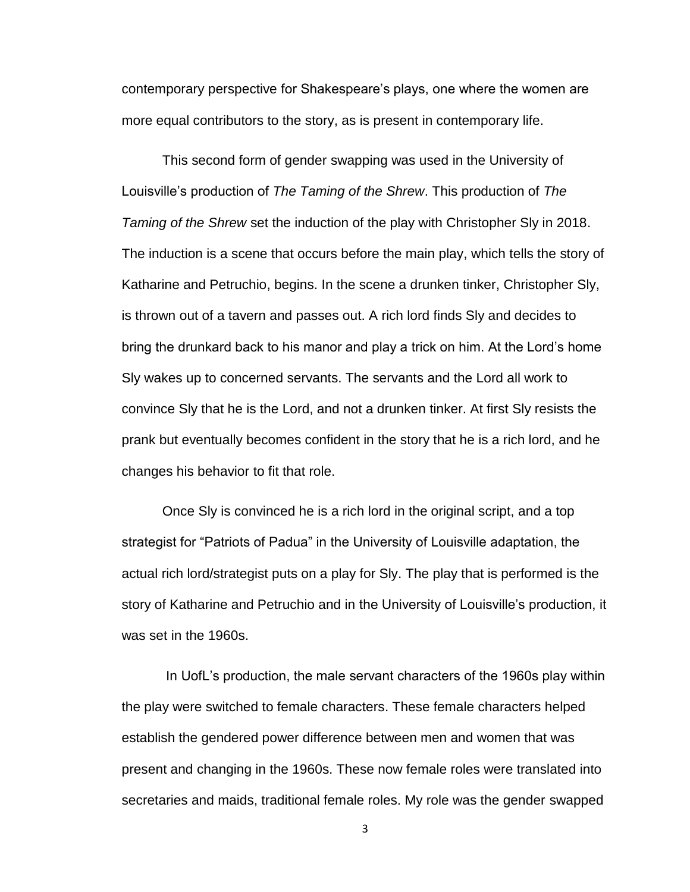contemporary perspective for Shakespeare's plays, one where the women are more equal contributors to the story, as is present in contemporary life.

This second form of gender swapping was used in the University of Louisville's production of *The Taming of the Shrew*. This production of *The Taming of the Shrew* set the induction of the play with Christopher Sly in 2018. The induction is a scene that occurs before the main play, which tells the story of Katharine and Petruchio, begins. In the scene a drunken tinker, Christopher Sly, is thrown out of a tavern and passes out. A rich lord finds Sly and decides to bring the drunkard back to his manor and play a trick on him. At the Lord's home Sly wakes up to concerned servants. The servants and the Lord all work to convince Sly that he is the Lord, and not a drunken tinker. At first Sly resists the prank but eventually becomes confident in the story that he is a rich lord, and he changes his behavior to fit that role.

Once Sly is convinced he is a rich lord in the original script, and a top strategist for "Patriots of Padua" in the University of Louisville adaptation, the actual rich lord/strategist puts on a play for Sly. The play that is performed is the story of Katharine and Petruchio and in the University of Louisville's production, it was set in the 1960s.

In UofL's production, the male servant characters of the 1960s play within the play were switched to female characters. These female characters helped establish the gendered power difference between men and women that was present and changing in the 1960s. These now female roles were translated into secretaries and maids, traditional female roles. My role was the gender swapped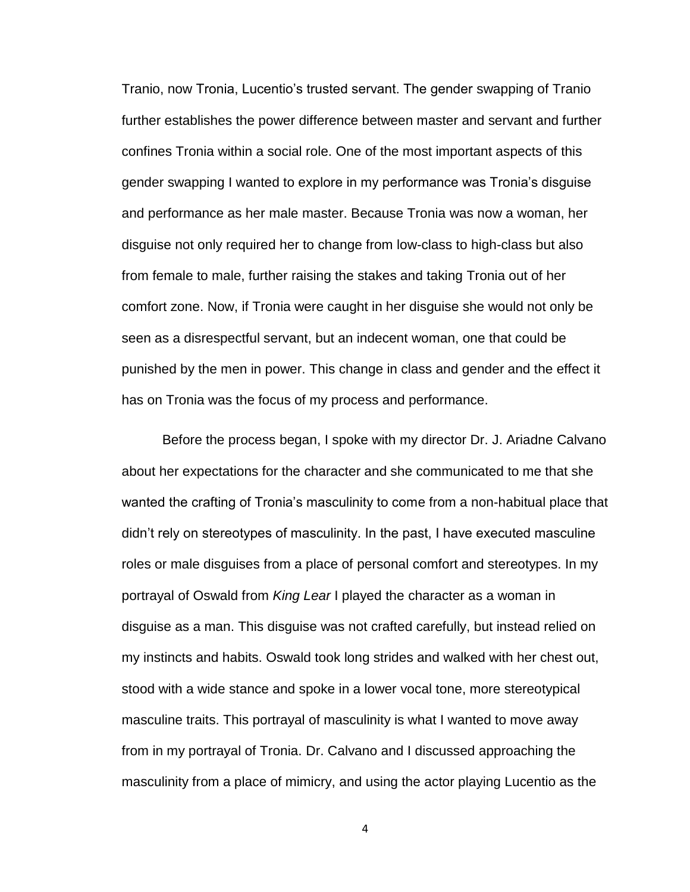Tranio, now Tronia, Lucentio's trusted servant. The gender swapping of Tranio further establishes the power difference between master and servant and further confines Tronia within a social role. One of the most important aspects of this gender swapping I wanted to explore in my performance was Tronia's disguise and performance as her male master. Because Tronia was now a woman, her disguise not only required her to change from low-class to high-class but also from female to male, further raising the stakes and taking Tronia out of her comfort zone. Now, if Tronia were caught in her disguise she would not only be seen as a disrespectful servant, but an indecent woman, one that could be punished by the men in power. This change in class and gender and the effect it has on Tronia was the focus of my process and performance.

Before the process began, I spoke with my director Dr. J. Ariadne Calvano about her expectations for the character and she communicated to me that she wanted the crafting of Tronia's masculinity to come from a non-habitual place that didn't rely on stereotypes of masculinity. In the past, I have executed masculine roles or male disguises from a place of personal comfort and stereotypes. In my portrayal of Oswald from *King Lear* I played the character as a woman in disguise as a man. This disguise was not crafted carefully, but instead relied on my instincts and habits. Oswald took long strides and walked with her chest out, stood with a wide stance and spoke in a lower vocal tone, more stereotypical masculine traits. This portrayal of masculinity is what I wanted to move away from in my portrayal of Tronia. Dr. Calvano and I discussed approaching the masculinity from a place of mimicry, and using the actor playing Lucentio as the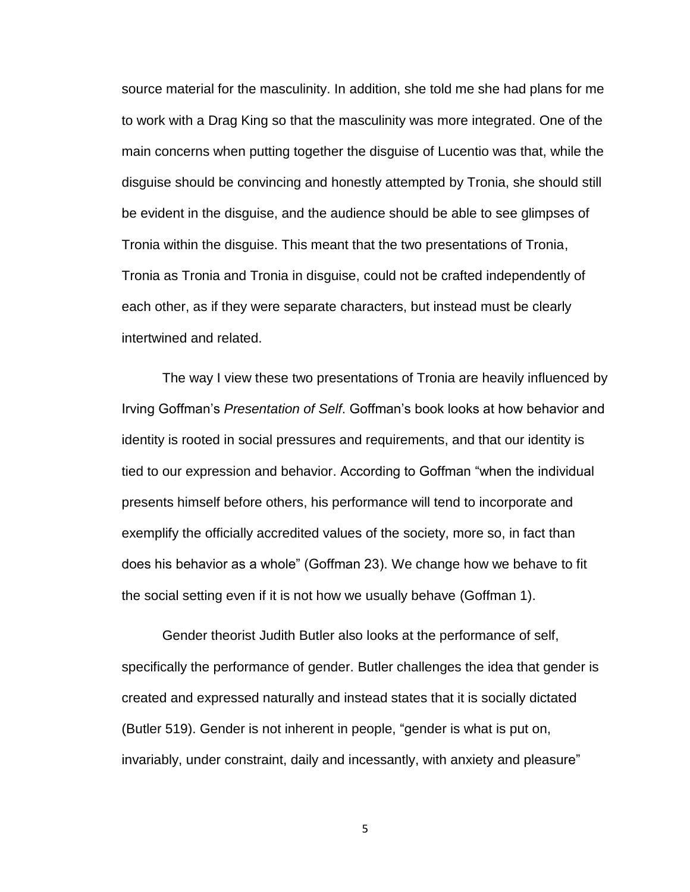source material for the masculinity. In addition, she told me she had plans for me to work with a Drag King so that the masculinity was more integrated. One of the main concerns when putting together the disguise of Lucentio was that, while the disguise should be convincing and honestly attempted by Tronia, she should still be evident in the disguise, and the audience should be able to see glimpses of Tronia within the disguise. This meant that the two presentations of Tronia, Tronia as Tronia and Tronia in disguise, could not be crafted independently of each other, as if they were separate characters, but instead must be clearly intertwined and related.

The way I view these two presentations of Tronia are heavily influenced by Irving Goffman's *Presentation of Self*. Goffman's book looks at how behavior and identity is rooted in social pressures and requirements, and that our identity is tied to our expression and behavior. According to Goffman "when the individual presents himself before others, his performance will tend to incorporate and exemplify the officially accredited values of the society, more so, in fact than does his behavior as a whole" (Goffman 23). We change how we behave to fit the social setting even if it is not how we usually behave (Goffman 1).

Gender theorist Judith Butler also looks at the performance of self, specifically the performance of gender. Butler challenges the idea that gender is created and expressed naturally and instead states that it is socially dictated (Butler 519). Gender is not inherent in people, "gender is what is put on, invariably, under constraint, daily and incessantly, with anxiety and pleasure"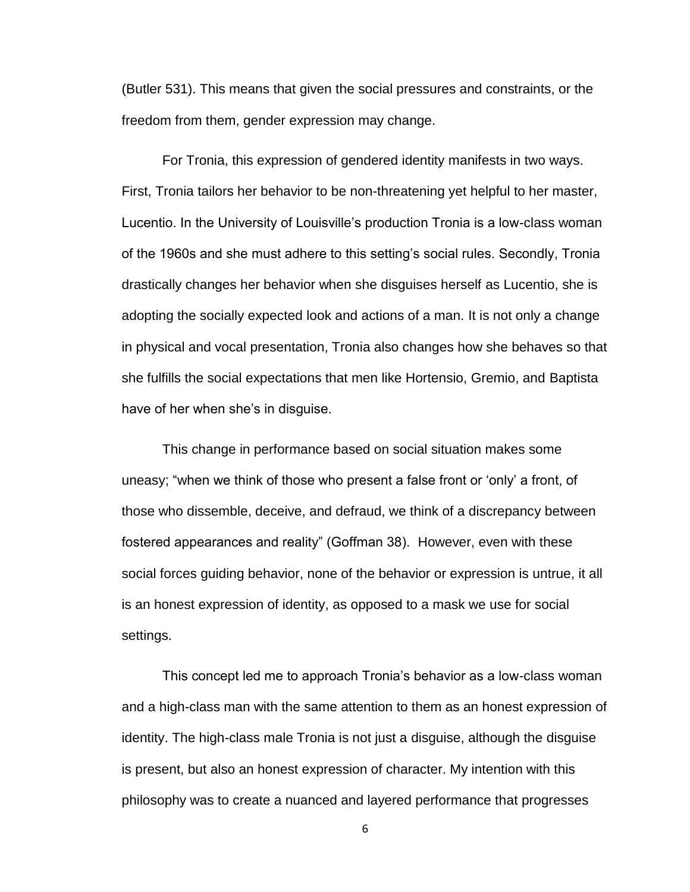(Butler 531). This means that given the social pressures and constraints, or the freedom from them, gender expression may change.

For Tronia, this expression of gendered identity manifests in two ways. First, Tronia tailors her behavior to be non-threatening yet helpful to her master, Lucentio. In the University of Louisville's production Tronia is a low-class woman of the 1960s and she must adhere to this setting's social rules. Secondly, Tronia drastically changes her behavior when she disguises herself as Lucentio, she is adopting the socially expected look and actions of a man. It is not only a change in physical and vocal presentation, Tronia also changes how she behaves so that she fulfills the social expectations that men like Hortensio, Gremio, and Baptista have of her when she's in disguise.

This change in performance based on social situation makes some uneasy; "when we think of those who present a false front or 'only' a front, of those who dissemble, deceive, and defraud, we think of a discrepancy between fostered appearances and reality" (Goffman 38). However, even with these social forces guiding behavior, none of the behavior or expression is untrue, it all is an honest expression of identity, as opposed to a mask we use for social settings.

This concept led me to approach Tronia's behavior as a low-class woman and a high-class man with the same attention to them as an honest expression of identity. The high-class male Tronia is not just a disguise, although the disguise is present, but also an honest expression of character. My intention with this philosophy was to create a nuanced and layered performance that progresses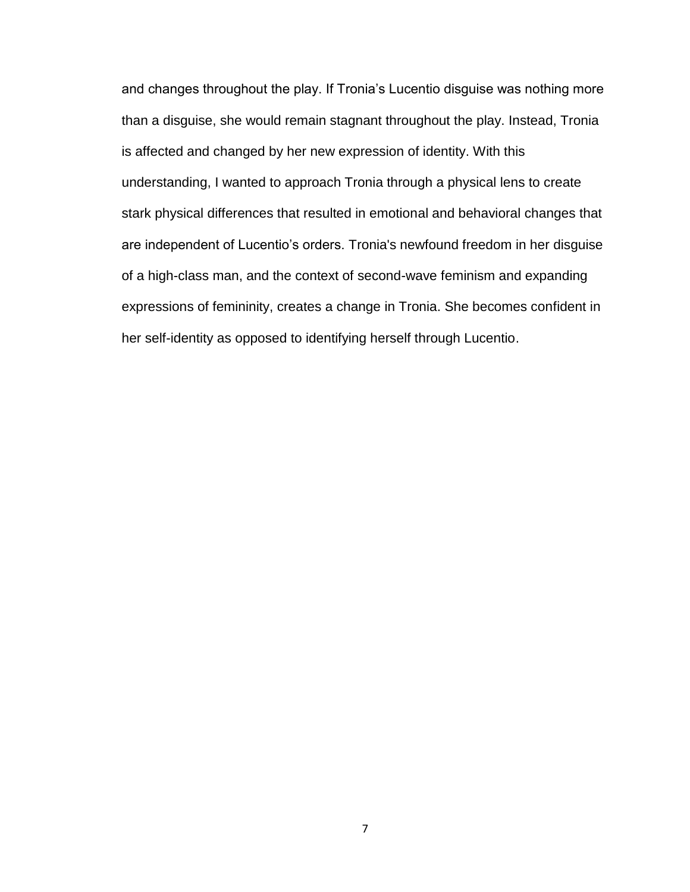and changes throughout the play. If Tronia's Lucentio disguise was nothing more than a disguise, she would remain stagnant throughout the play. Instead, Tronia is affected and changed by her new expression of identity. With this understanding, I wanted to approach Tronia through a physical lens to create stark physical differences that resulted in emotional and behavioral changes that are independent of Lucentio's orders. Tronia's newfound freedom in her disguise of a high-class man, and the context of second-wave feminism and expanding expressions of femininity, creates a change in Tronia. She becomes confident in her self-identity as opposed to identifying herself through Lucentio.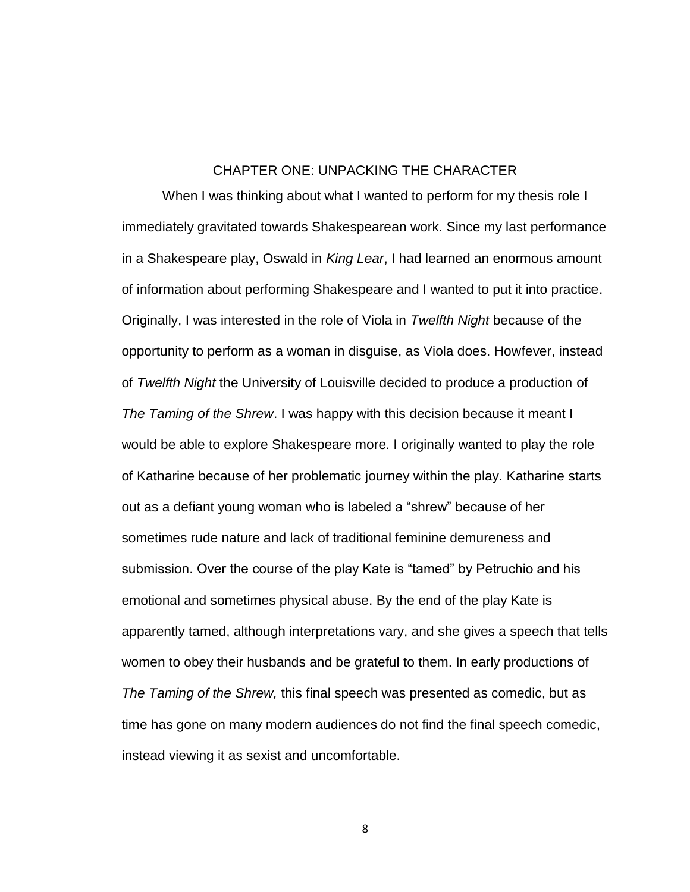### CHAPTER ONE: UNPACKING THE CHARACTER

When I was thinking about what I wanted to perform for my thesis role I immediately gravitated towards Shakespearean work. Since my last performance in a Shakespeare play, Oswald in *King Lear*, I had learned an enormous amount of information about performing Shakespeare and I wanted to put it into practice. Originally, I was interested in the role of Viola in *Twelfth Night* because of the opportunity to perform as a woman in disguise, as Viola does. Howfever, instead of *Twelfth Night* the University of Louisville decided to produce a production of *The Taming of the Shrew*. I was happy with this decision because it meant I would be able to explore Shakespeare more. I originally wanted to play the role of Katharine because of her problematic journey within the play. Katharine starts out as a defiant young woman who is labeled a "shrew" because of her sometimes rude nature and lack of traditional feminine demureness and submission. Over the course of the play Kate is "tamed" by Petruchio and his emotional and sometimes physical abuse. By the end of the play Kate is apparently tamed, although interpretations vary, and she gives a speech that tells women to obey their husbands and be grateful to them. In early productions of *The Taming of the Shrew,* this final speech was presented as comedic, but as time has gone on many modern audiences do not find the final speech comedic, instead viewing it as sexist and uncomfortable.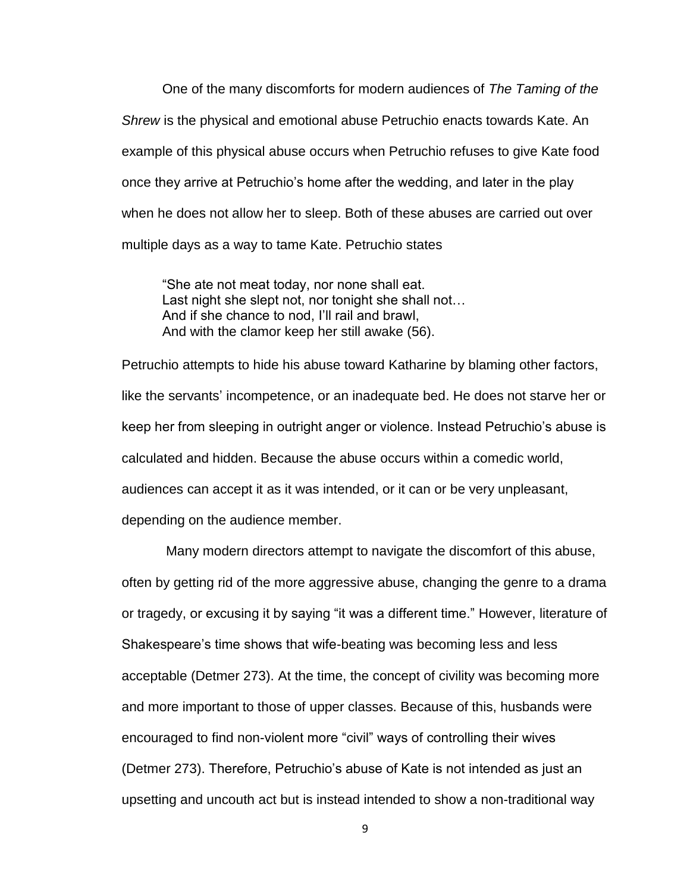One of the many discomforts for modern audiences of *The Taming of the Shrew* is the physical and emotional abuse Petruchio enacts towards Kate. An example of this physical abuse occurs when Petruchio refuses to give Kate food once they arrive at Petruchio's home after the wedding, and later in the play when he does not allow her to sleep. Both of these abuses are carried out over multiple days as a way to tame Kate. Petruchio states

"She ate not meat today, nor none shall eat. Last night she slept not, nor tonight she shall not… And if she chance to nod, I'll rail and brawl, And with the clamor keep her still awake (56).

Petruchio attempts to hide his abuse toward Katharine by blaming other factors, like the servants' incompetence, or an inadequate bed. He does not starve her or keep her from sleeping in outright anger or violence. Instead Petruchio's abuse is calculated and hidden. Because the abuse occurs within a comedic world, audiences can accept it as it was intended, or it can or be very unpleasant, depending on the audience member.

Many modern directors attempt to navigate the discomfort of this abuse, often by getting rid of the more aggressive abuse, changing the genre to a drama or tragedy, or excusing it by saying "it was a different time." However, literature of Shakespeare's time shows that wife-beating was becoming less and less acceptable (Detmer 273). At the time, the concept of civility was becoming more and more important to those of upper classes. Because of this, husbands were encouraged to find non-violent more "civil" ways of controlling their wives (Detmer 273). Therefore, Petruchio's abuse of Kate is not intended as just an upsetting and uncouth act but is instead intended to show a non-traditional way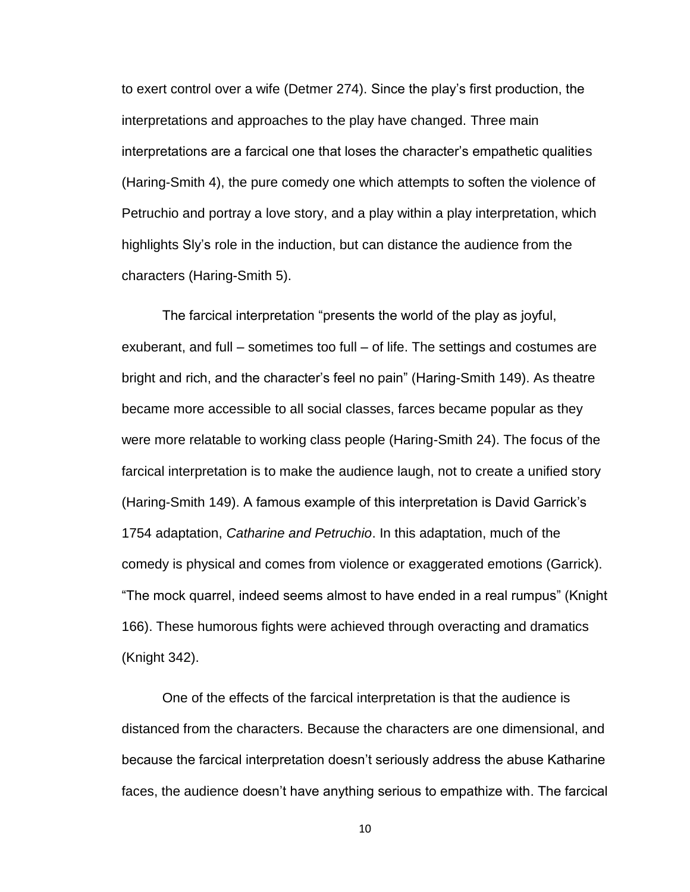to exert control over a wife (Detmer 274). Since the play's first production, the interpretations and approaches to the play have changed. Three main interpretations are a farcical one that loses the character's empathetic qualities (Haring-Smith 4), the pure comedy one which attempts to soften the violence of Petruchio and portray a love story, and a play within a play interpretation, which highlights Sly's role in the induction, but can distance the audience from the characters (Haring-Smith 5).

The farcical interpretation "presents the world of the play as joyful, exuberant, and full – sometimes too full – of life. The settings and costumes are bright and rich, and the character's feel no pain" (Haring-Smith 149). As theatre became more accessible to all social classes, farces became popular as they were more relatable to working class people (Haring-Smith 24). The focus of the farcical interpretation is to make the audience laugh, not to create a unified story (Haring-Smith 149). A famous example of this interpretation is David Garrick's 1754 adaptation, *Catharine and Petruchio*. In this adaptation, much of the comedy is physical and comes from violence or exaggerated emotions (Garrick). "The mock quarrel, indeed seems almost to have ended in a real rumpus" (Knight 166). These humorous fights were achieved through overacting and dramatics (Knight 342).

One of the effects of the farcical interpretation is that the audience is distanced from the characters. Because the characters are one dimensional, and because the farcical interpretation doesn't seriously address the abuse Katharine faces, the audience doesn't have anything serious to empathize with. The farcical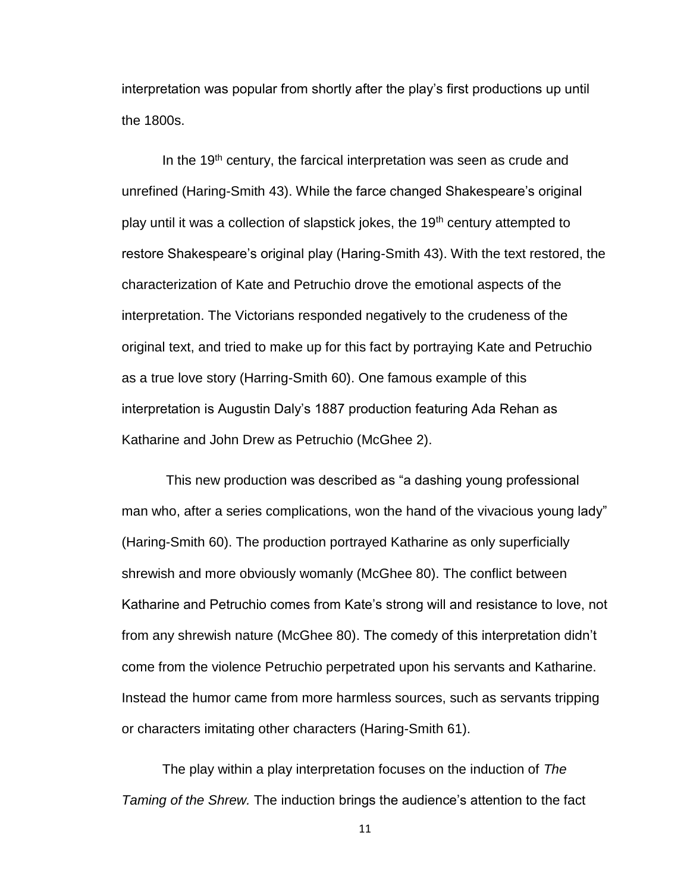interpretation was popular from shortly after the play's first productions up until the 1800s.

In the  $19<sup>th</sup>$  century, the farcical interpretation was seen as crude and unrefined (Haring-Smith 43). While the farce changed Shakespeare's original play until it was a collection of slapstick jokes, the 19<sup>th</sup> century attempted to restore Shakespeare's original play (Haring-Smith 43). With the text restored, the characterization of Kate and Petruchio drove the emotional aspects of the interpretation. The Victorians responded negatively to the crudeness of the original text, and tried to make up for this fact by portraying Kate and Petruchio as a true love story (Harring-Smith 60). One famous example of this interpretation is Augustin Daly's 1887 production featuring Ada Rehan as Katharine and John Drew as Petruchio (McGhee 2).

This new production was described as "a dashing young professional man who, after a series complications, won the hand of the vivacious young lady" (Haring-Smith 60). The production portrayed Katharine as only superficially shrewish and more obviously womanly (McGhee 80). The conflict between Katharine and Petruchio comes from Kate's strong will and resistance to love, not from any shrewish nature (McGhee 80). The comedy of this interpretation didn't come from the violence Petruchio perpetrated upon his servants and Katharine. Instead the humor came from more harmless sources, such as servants tripping or characters imitating other characters (Haring-Smith 61).

The play within a play interpretation focuses on the induction of *The Taming of the Shrew.* The induction brings the audience's attention to the fact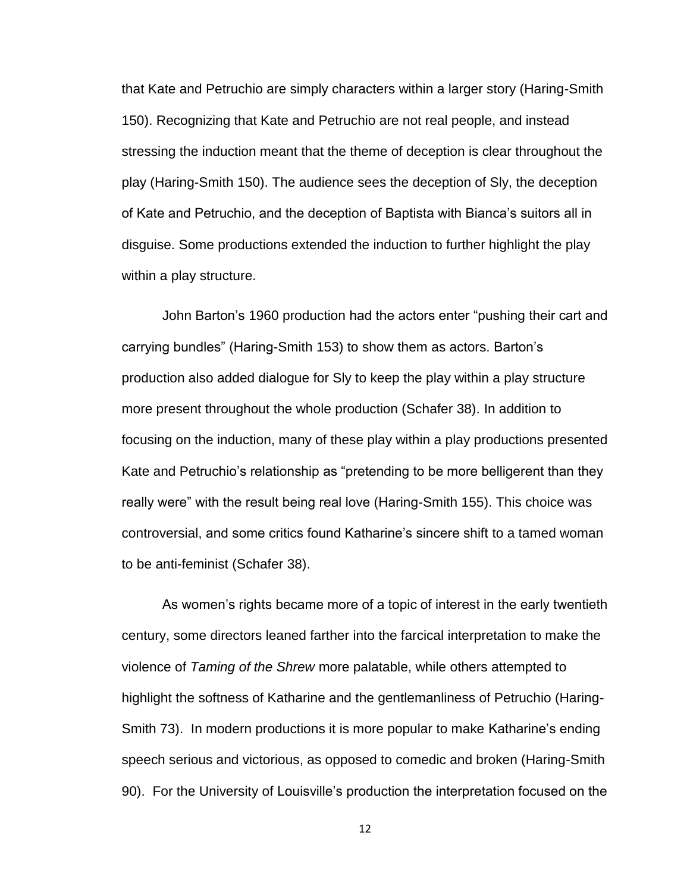that Kate and Petruchio are simply characters within a larger story (Haring-Smith 150). Recognizing that Kate and Petruchio are not real people, and instead stressing the induction meant that the theme of deception is clear throughout the play (Haring-Smith 150). The audience sees the deception of Sly, the deception of Kate and Petruchio, and the deception of Baptista with Bianca's suitors all in disguise. Some productions extended the induction to further highlight the play within a play structure.

John Barton's 1960 production had the actors enter "pushing their cart and carrying bundles" (Haring-Smith 153) to show them as actors. Barton's production also added dialogue for Sly to keep the play within a play structure more present throughout the whole production (Schafer 38). In addition to focusing on the induction, many of these play within a play productions presented Kate and Petruchio's relationship as "pretending to be more belligerent than they really were" with the result being real love (Haring-Smith 155). This choice was controversial, and some critics found Katharine's sincere shift to a tamed woman to be anti-feminist (Schafer 38).

As women's rights became more of a topic of interest in the early twentieth century, some directors leaned farther into the farcical interpretation to make the violence of *Taming of the Shrew* more palatable, while others attempted to highlight the softness of Katharine and the gentlemanliness of Petruchio (Haring-Smith 73). In modern productions it is more popular to make Katharine's ending speech serious and victorious, as opposed to comedic and broken (Haring-Smith 90). For the University of Louisville's production the interpretation focused on the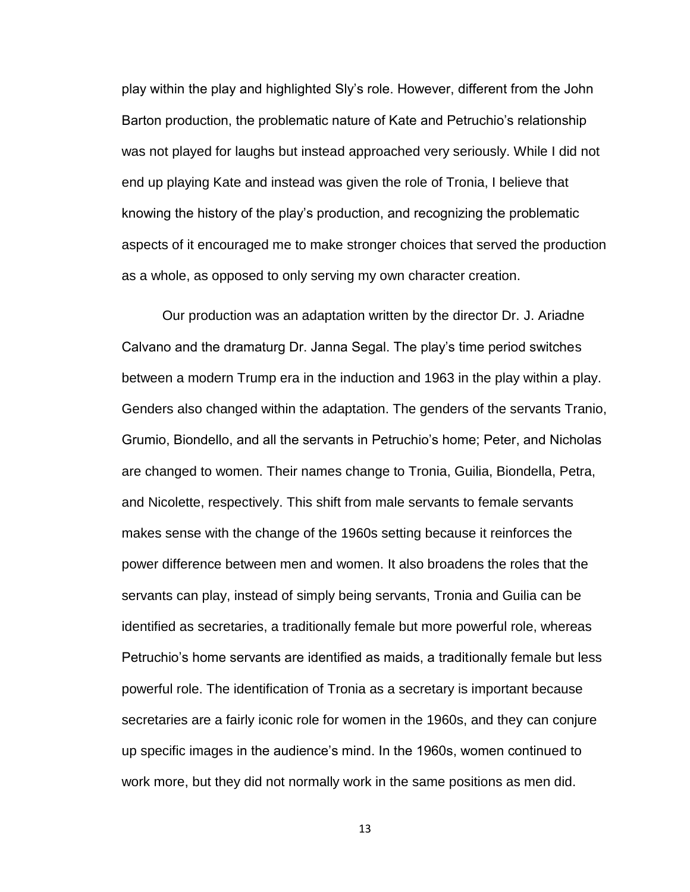play within the play and highlighted Sly's role. However, different from the John Barton production, the problematic nature of Kate and Petruchio's relationship was not played for laughs but instead approached very seriously. While I did not end up playing Kate and instead was given the role of Tronia, I believe that knowing the history of the play's production, and recognizing the problematic aspects of it encouraged me to make stronger choices that served the production as a whole, as opposed to only serving my own character creation.

Our production was an adaptation written by the director Dr. J. Ariadne Calvano and the dramaturg Dr. Janna Segal. The play's time period switches between a modern Trump era in the induction and 1963 in the play within a play. Genders also changed within the adaptation. The genders of the servants Tranio, Grumio, Biondello, and all the servants in Petruchio's home; Peter, and Nicholas are changed to women. Their names change to Tronia, Guilia, Biondella, Petra, and Nicolette, respectively. This shift from male servants to female servants makes sense with the change of the 1960s setting because it reinforces the power difference between men and women. It also broadens the roles that the servants can play, instead of simply being servants, Tronia and Guilia can be identified as secretaries, a traditionally female but more powerful role, whereas Petruchio's home servants are identified as maids, a traditionally female but less powerful role. The identification of Tronia as a secretary is important because secretaries are a fairly iconic role for women in the 1960s, and they can conjure up specific images in the audience's mind. In the 1960s, women continued to work more, but they did not normally work in the same positions as men did.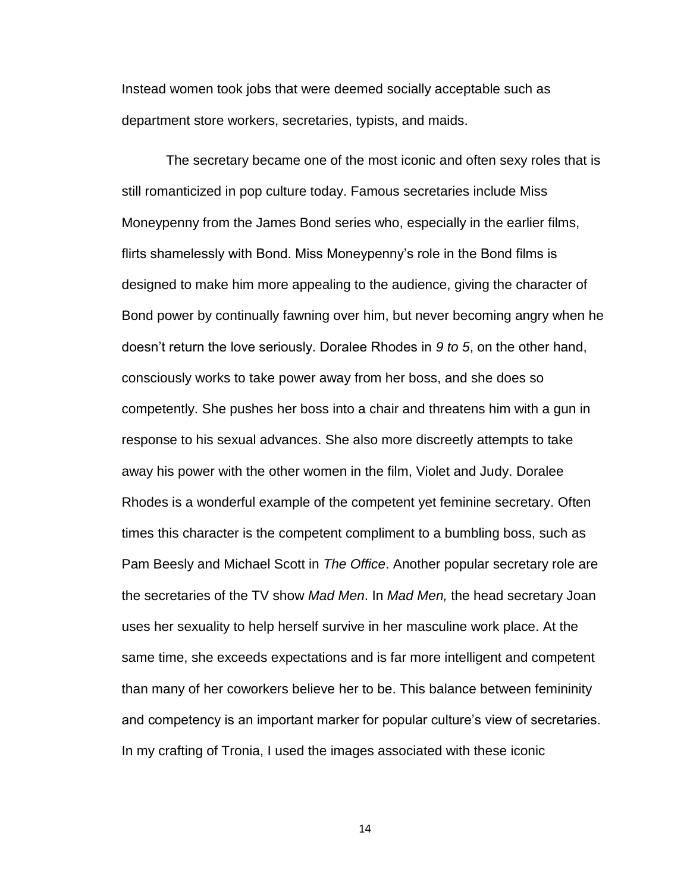Instead women took jobs that were deemed socially acceptable such as department store workers, secretaries, typists, and maids.

The secretary became one of the most iconic and often sexy roles that is still romanticized in pop culture today. Famous secretaries include Miss Moneypenny from the James Bond series who, especially in the earlier films, flirts shamelessly with Bond. Miss Moneypenny's role in the Bond films is designed to make him more appealing to the audience, giving the character of Bond power by continually fawning over him, but never becoming angry when he doesn't return the love seriously. Doralee Rhodes in *9 to 5*, on the other hand, consciously works to take power away from her boss, and she does so competently. She pushes her boss into a chair and threatens him with a gun in response to his sexual advances. She also more discreetly attempts to take away his power with the other women in the film, Violet and Judy. Doralee Rhodes is a wonderful example of the competent yet feminine secretary. Often times this character is the competent compliment to a bumbling boss, such as Pam Beesly and Michael Scott in *The Office*. Another popular secretary role are the secretaries of the TV show *Mad Men*. In *Mad Men,* the head secretary Joan uses her sexuality to help herself survive in her masculine work place. At the same time, she exceeds expectations and is far more intelligent and competent than many of her coworkers believe her to be. This balance between femininity and competency is an important marker for popular culture's view of secretaries. In my crafting of Tronia, I used the images associated with these iconic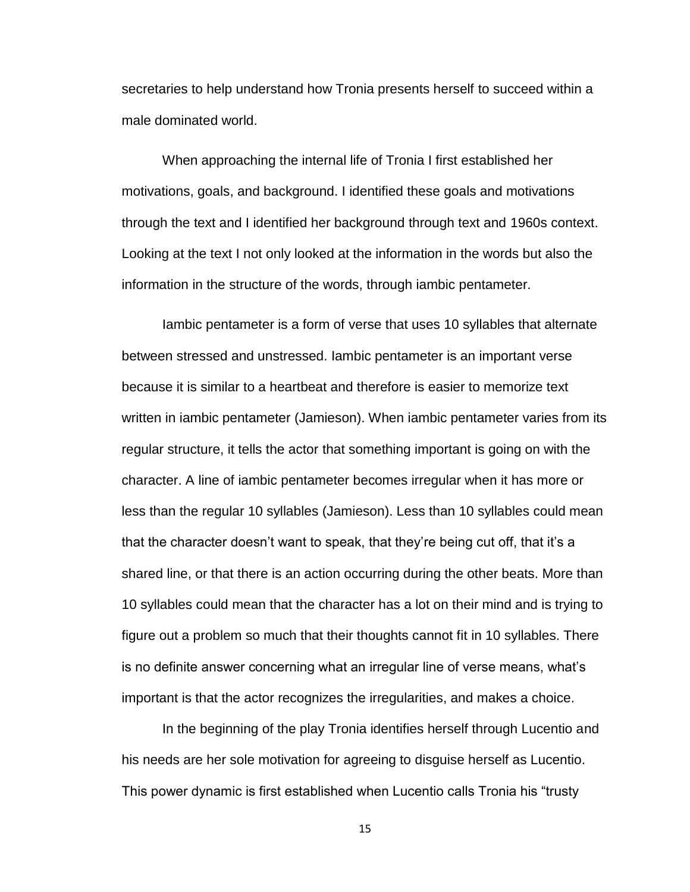secretaries to help understand how Tronia presents herself to succeed within a male dominated world.

When approaching the internal life of Tronia I first established her motivations, goals, and background. I identified these goals and motivations through the text and I identified her background through text and 1960s context. Looking at the text I not only looked at the information in the words but also the information in the structure of the words, through iambic pentameter.

Iambic pentameter is a form of verse that uses 10 syllables that alternate between stressed and unstressed. Iambic pentameter is an important verse because it is similar to a heartbeat and therefore is easier to memorize text written in iambic pentameter (Jamieson). When iambic pentameter varies from its regular structure, it tells the actor that something important is going on with the character. A line of iambic pentameter becomes irregular when it has more or less than the regular 10 syllables (Jamieson). Less than 10 syllables could mean that the character doesn't want to speak, that they're being cut off, that it's a shared line, or that there is an action occurring during the other beats. More than 10 syllables could mean that the character has a lot on their mind and is trying to figure out a problem so much that their thoughts cannot fit in 10 syllables. There is no definite answer concerning what an irregular line of verse means, what's important is that the actor recognizes the irregularities, and makes a choice.

In the beginning of the play Tronia identifies herself through Lucentio and his needs are her sole motivation for agreeing to disguise herself as Lucentio. This power dynamic is first established when Lucentio calls Tronia his "trusty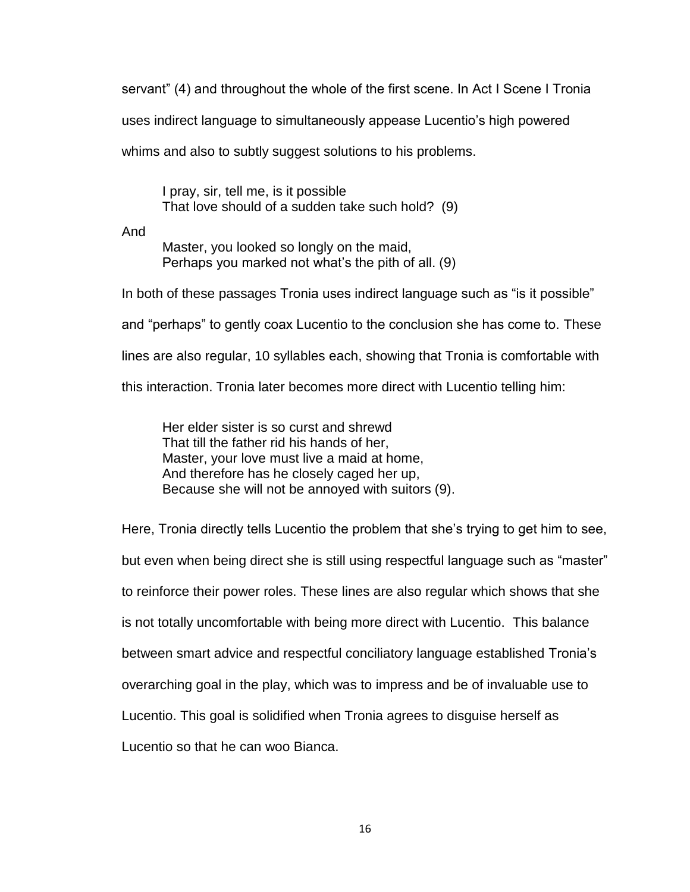servant" (4) and throughout the whole of the first scene. In Act I Scene I Tronia uses indirect language to simultaneously appease Lucentio's high powered whims and also to subtly suggest solutions to his problems.

I pray, sir, tell me, is it possible That love should of a sudden take such hold? (9)

And

Master, you looked so longly on the maid, Perhaps you marked not what's the pith of all. (9)

In both of these passages Tronia uses indirect language such as "is it possible" and "perhaps" to gently coax Lucentio to the conclusion she has come to. These lines are also regular, 10 syllables each, showing that Tronia is comfortable with this interaction. Tronia later becomes more direct with Lucentio telling him:

Her elder sister is so curst and shrewd That till the father rid his hands of her, Master, your love must live a maid at home, And therefore has he closely caged her up, Because she will not be annoyed with suitors (9).

Here, Tronia directly tells Lucentio the problem that she's trying to get him to see, but even when being direct she is still using respectful language such as "master" to reinforce their power roles. These lines are also regular which shows that she is not totally uncomfortable with being more direct with Lucentio. This balance between smart advice and respectful conciliatory language established Tronia's overarching goal in the play, which was to impress and be of invaluable use to Lucentio. This goal is solidified when Tronia agrees to disguise herself as Lucentio so that he can woo Bianca.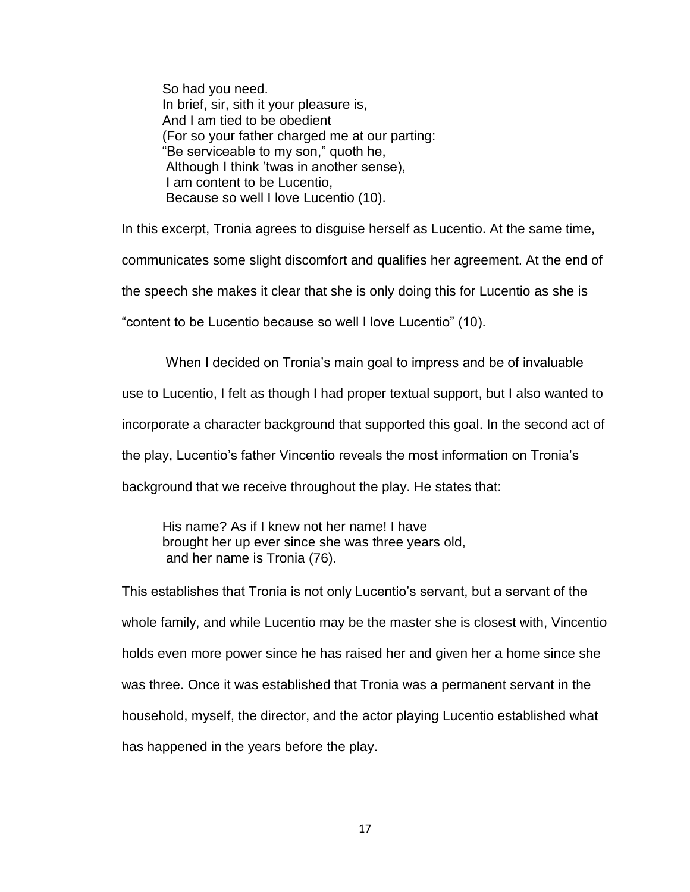So had you need. In brief, sir, sith it your pleasure is, And I am tied to be obedient (For so your father charged me at our parting: "Be serviceable to my son," quoth he, Although I think 'twas in another sense), I am content to be Lucentio, Because so well I love Lucentio (10).

In this excerpt, Tronia agrees to disguise herself as Lucentio. At the same time, communicates some slight discomfort and qualifies her agreement. At the end of the speech she makes it clear that she is only doing this for Lucentio as she is "content to be Lucentio because so well I love Lucentio" (10).

When I decided on Tronia's main goal to impress and be of invaluable use to Lucentio, I felt as though I had proper textual support, but I also wanted to incorporate a character background that supported this goal. In the second act of the play, Lucentio's father Vincentio reveals the most information on Tronia's background that we receive throughout the play. He states that:

His name? As if I knew not her name! I have brought her up ever since she was three years old, and her name is Tronia (76).

This establishes that Tronia is not only Lucentio's servant, but a servant of the whole family, and while Lucentio may be the master she is closest with, Vincentio holds even more power since he has raised her and given her a home since she was three. Once it was established that Tronia was a permanent servant in the household, myself, the director, and the actor playing Lucentio established what has happened in the years before the play.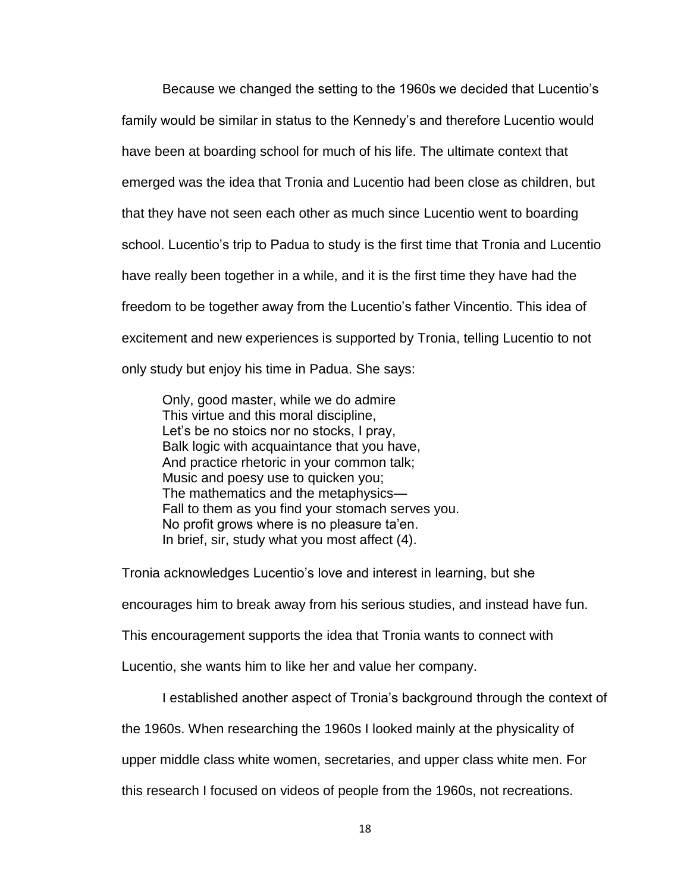Because we changed the setting to the 1960s we decided that Lucentio's family would be similar in status to the Kennedy's and therefore Lucentio would have been at boarding school for much of his life. The ultimate context that emerged was the idea that Tronia and Lucentio had been close as children, but that they have not seen each other as much since Lucentio went to boarding school. Lucentio's trip to Padua to study is the first time that Tronia and Lucentio have really been together in a while, and it is the first time they have had the freedom to be together away from the Lucentio's father Vincentio. This idea of excitement and new experiences is supported by Tronia, telling Lucentio to not only study but enjoy his time in Padua. She says:

Only, good master, while we do admire This virtue and this moral discipline, Let's be no stoics nor no stocks, I pray, Balk logic with acquaintance that you have, And practice rhetoric in your common talk; Music and poesy use to quicken you; The mathematics and the metaphysics— Fall to them as you find your stomach serves you. No profit grows where is no pleasure ta'en. In brief, sir, study what you most affect (4).

Tronia acknowledges Lucentio's love and interest in learning, but she

encourages him to break away from his serious studies, and instead have fun.

This encouragement supports the idea that Tronia wants to connect with

Lucentio, she wants him to like her and value her company.

I established another aspect of Tronia's background through the context of

the 1960s. When researching the 1960s I looked mainly at the physicality of

upper middle class white women, secretaries, and upper class white men. For

this research I focused on videos of people from the 1960s, not recreations.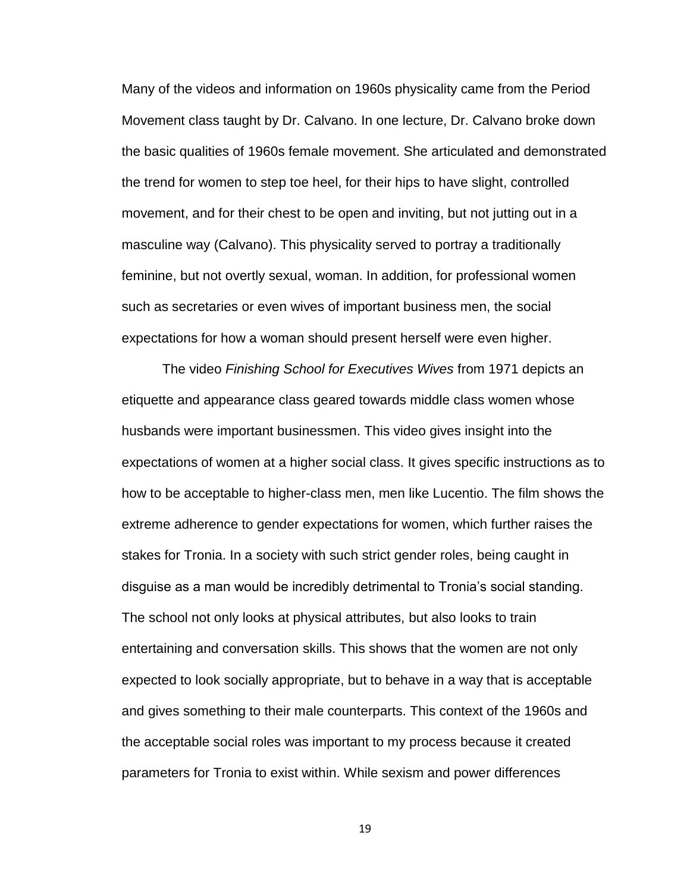Many of the videos and information on 1960s physicality came from the Period Movement class taught by Dr. Calvano. In one lecture, Dr. Calvano broke down the basic qualities of 1960s female movement. She articulated and demonstrated the trend for women to step toe heel, for their hips to have slight, controlled movement, and for their chest to be open and inviting, but not jutting out in a masculine way (Calvano). This physicality served to portray a traditionally feminine, but not overtly sexual, woman. In addition, for professional women such as secretaries or even wives of important business men, the social expectations for how a woman should present herself were even higher.

The video *Finishing School for Executives Wives* from 1971 depicts an etiquette and appearance class geared towards middle class women whose husbands were important businessmen. This video gives insight into the expectations of women at a higher social class. It gives specific instructions as to how to be acceptable to higher-class men, men like Lucentio. The film shows the extreme adherence to gender expectations for women, which further raises the stakes for Tronia. In a society with such strict gender roles, being caught in disguise as a man would be incredibly detrimental to Tronia's social standing. The school not only looks at physical attributes, but also looks to train entertaining and conversation skills. This shows that the women are not only expected to look socially appropriate, but to behave in a way that is acceptable and gives something to their male counterparts. This context of the 1960s and the acceptable social roles was important to my process because it created parameters for Tronia to exist within. While sexism and power differences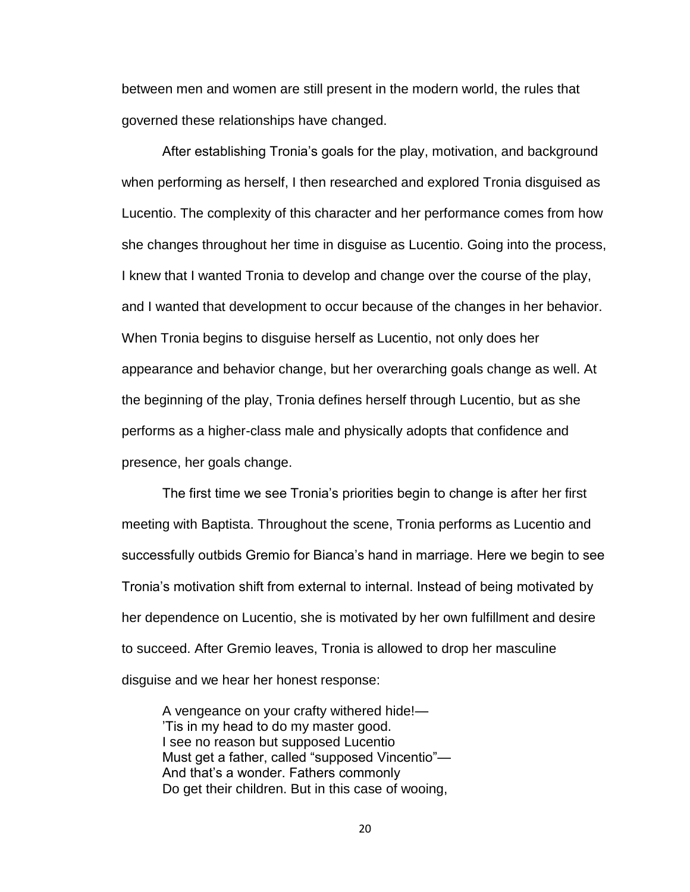between men and women are still present in the modern world, the rules that governed these relationships have changed.

After establishing Tronia's goals for the play, motivation, and background when performing as herself, I then researched and explored Tronia disguised as Lucentio. The complexity of this character and her performance comes from how she changes throughout her time in disguise as Lucentio. Going into the process, I knew that I wanted Tronia to develop and change over the course of the play, and I wanted that development to occur because of the changes in her behavior. When Tronia begins to disguise herself as Lucentio, not only does her appearance and behavior change, but her overarching goals change as well. At the beginning of the play, Tronia defines herself through Lucentio, but as she performs as a higher-class male and physically adopts that confidence and presence, her goals change.

The first time we see Tronia's priorities begin to change is after her first meeting with Baptista. Throughout the scene, Tronia performs as Lucentio and successfully outbids Gremio for Bianca's hand in marriage. Here we begin to see Tronia's motivation shift from external to internal. Instead of being motivated by her dependence on Lucentio, she is motivated by her own fulfillment and desire to succeed. After Gremio leaves, Tronia is allowed to drop her masculine disguise and we hear her honest response:

A vengeance on your crafty withered hide!— 'Tis in my head to do my master good. I see no reason but supposed Lucentio Must get a father, called "supposed Vincentio"— And that's a wonder. Fathers commonly Do get their children. But in this case of wooing,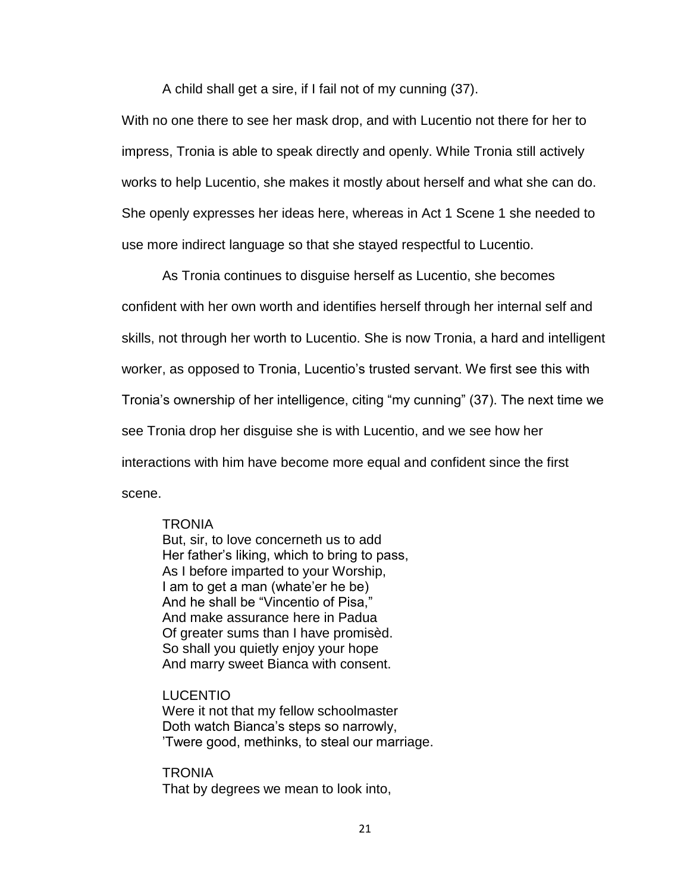A child shall get a sire, if I fail not of my cunning (37).

With no one there to see her mask drop, and with Lucentio not there for her to impress, Tronia is able to speak directly and openly. While Tronia still actively works to help Lucentio, she makes it mostly about herself and what she can do. She openly expresses her ideas here, whereas in Act 1 Scene 1 she needed to use more indirect language so that she stayed respectful to Lucentio.

As Tronia continues to disguise herself as Lucentio, she becomes confident with her own worth and identifies herself through her internal self and skills, not through her worth to Lucentio. She is now Tronia, a hard and intelligent worker, as opposed to Tronia, Lucentio's trusted servant. We first see this with Tronia's ownership of her intelligence, citing "my cunning" (37). The next time we see Tronia drop her disguise she is with Lucentio, and we see how her interactions with him have become more equal and confident since the first scene.

#### **TRONIA**

But, sir, to love concerneth us to add Her father's liking, which to bring to pass, As I before imparted to your Worship, I am to get a man (whate'er he be) And he shall be "Vincentio of Pisa," And make assurance here in Padua Of greater sums than I have promisèd. So shall you quietly enjoy your hope And marry sweet Bianca with consent.

### LUCENTIO

Were it not that my fellow schoolmaster Doth watch Bianca's steps so narrowly, 'Twere good, methinks, to steal our marriage.

**TRONIA** That by degrees we mean to look into,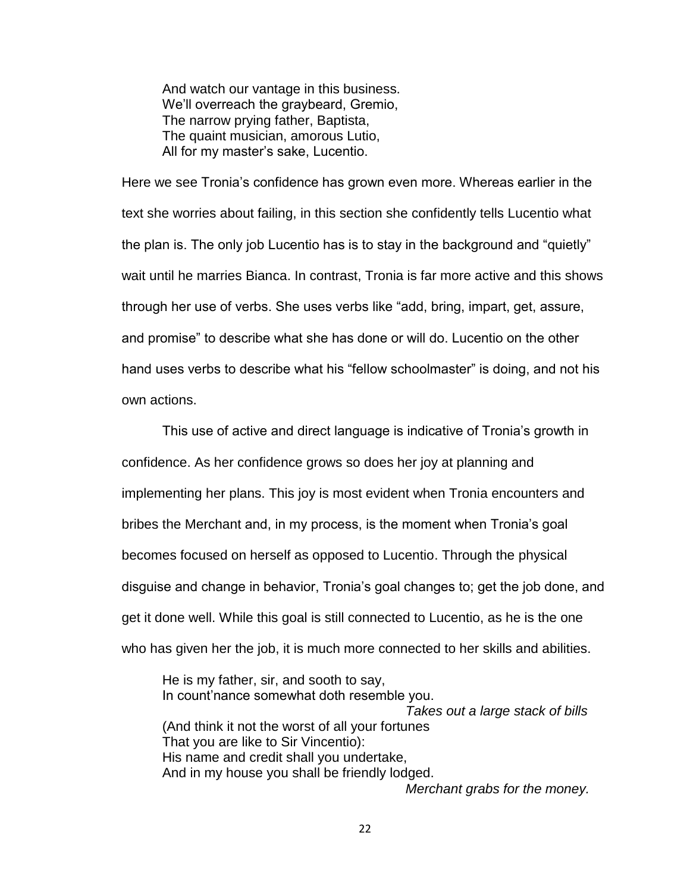And watch our vantage in this business. We'll overreach the graybeard, Gremio, The narrow prying father, Baptista, The quaint musician, amorous Lutio, All for my master's sake, Lucentio.

Here we see Tronia's confidence has grown even more. Whereas earlier in the text she worries about failing, in this section she confidently tells Lucentio what the plan is. The only job Lucentio has is to stay in the background and "quietly" wait until he marries Bianca. In contrast, Tronia is far more active and this shows through her use of verbs. She uses verbs like "add, bring, impart, get, assure, and promise" to describe what she has done or will do. Lucentio on the other hand uses verbs to describe what his "fellow schoolmaster" is doing, and not his own actions.

This use of active and direct language is indicative of Tronia's growth in confidence. As her confidence grows so does her joy at planning and implementing her plans. This joy is most evident when Tronia encounters and bribes the Merchant and, in my process, is the moment when Tronia's goal becomes focused on herself as opposed to Lucentio. Through the physical disguise and change in behavior, Tronia's goal changes to; get the job done, and get it done well. While this goal is still connected to Lucentio, as he is the one who has given her the job, it is much more connected to her skills and abilities.

He is my father, sir, and sooth to say, In count'nance somewhat doth resemble you. *Takes out a large stack of bills* (And think it not the worst of all your fortunes That you are like to Sir Vincentio): His name and credit shall you undertake, And in my house you shall be friendly lodged. *Merchant grabs for the money.*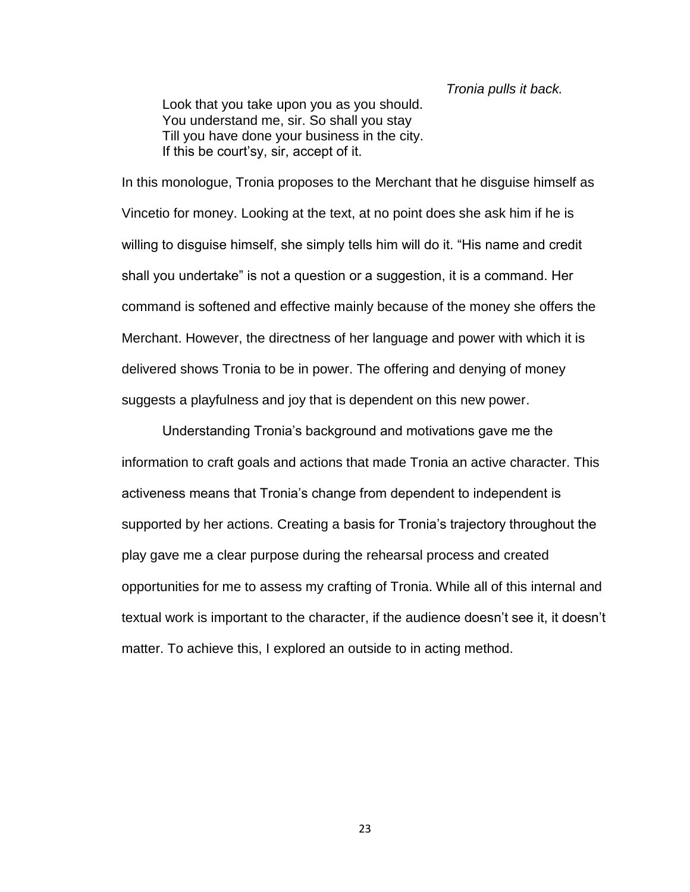#### *Tronia pulls it back.*

Look that you take upon you as you should. You understand me, sir. So shall you stay Till you have done your business in the city. If this be court'sy, sir, accept of it.

In this monologue, Tronia proposes to the Merchant that he disguise himself as Vincetio for money. Looking at the text, at no point does she ask him if he is willing to disguise himself, she simply tells him will do it. "His name and credit shall you undertake" is not a question or a suggestion, it is a command. Her command is softened and effective mainly because of the money she offers the Merchant. However, the directness of her language and power with which it is delivered shows Tronia to be in power. The offering and denying of money suggests a playfulness and joy that is dependent on this new power.

Understanding Tronia's background and motivations gave me the information to craft goals and actions that made Tronia an active character. This activeness means that Tronia's change from dependent to independent is supported by her actions. Creating a basis for Tronia's trajectory throughout the play gave me a clear purpose during the rehearsal process and created opportunities for me to assess my crafting of Tronia. While all of this internal and textual work is important to the character, if the audience doesn't see it, it doesn't matter. To achieve this, I explored an outside to in acting method.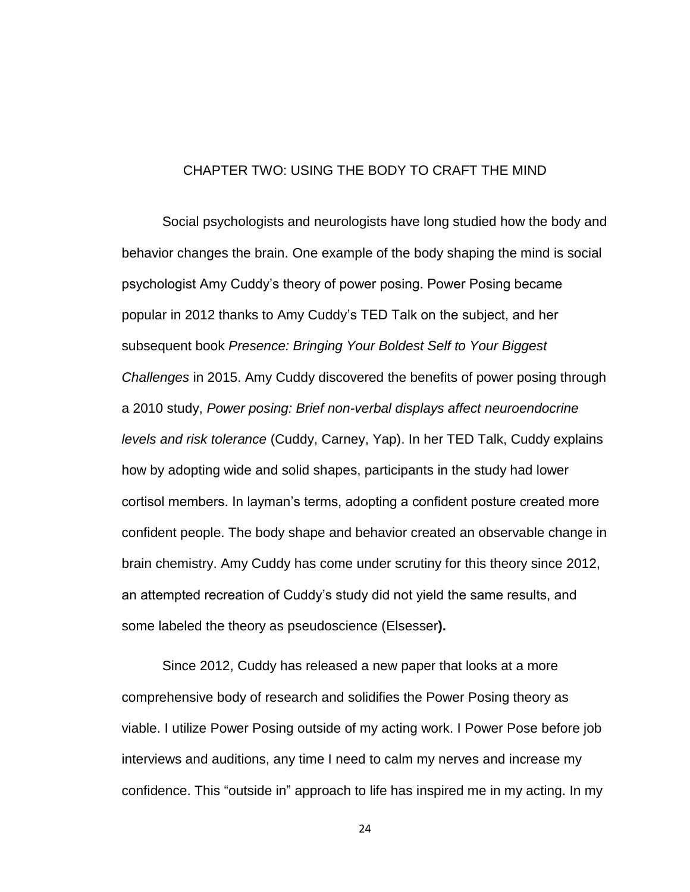### CHAPTER TWO: USING THE BODY TO CRAFT THE MIND

Social psychologists and neurologists have long studied how the body and behavior changes the brain. One example of the body shaping the mind is social psychologist Amy Cuddy's theory of power posing. Power Posing became popular in 2012 thanks to Amy Cuddy's TED Talk on the subject, and her subsequent book *Presence: Bringing Your Boldest Self to Your Biggest Challenges* in 2015. Amy Cuddy discovered the benefits of power posing through a 2010 study, *Power posing: Brief non-verbal displays affect neuroendocrine levels and risk tolerance* (Cuddy, Carney, Yap). In her TED Talk, Cuddy explains how by adopting wide and solid shapes, participants in the study had lower cortisol members. In layman's terms, adopting a confident posture created more confident people. The body shape and behavior created an observable change in brain chemistry. Amy Cuddy has come under scrutiny for this theory since 2012, an attempted recreation of Cuddy's study did not yield the same results, and some labeled the theory as pseudoscience (Elsesser**).**

Since 2012, Cuddy has released a new paper that looks at a more comprehensive body of research and solidifies the Power Posing theory as viable. I utilize Power Posing outside of my acting work. I Power Pose before job interviews and auditions, any time I need to calm my nerves and increase my confidence. This "outside in" approach to life has inspired me in my acting. In my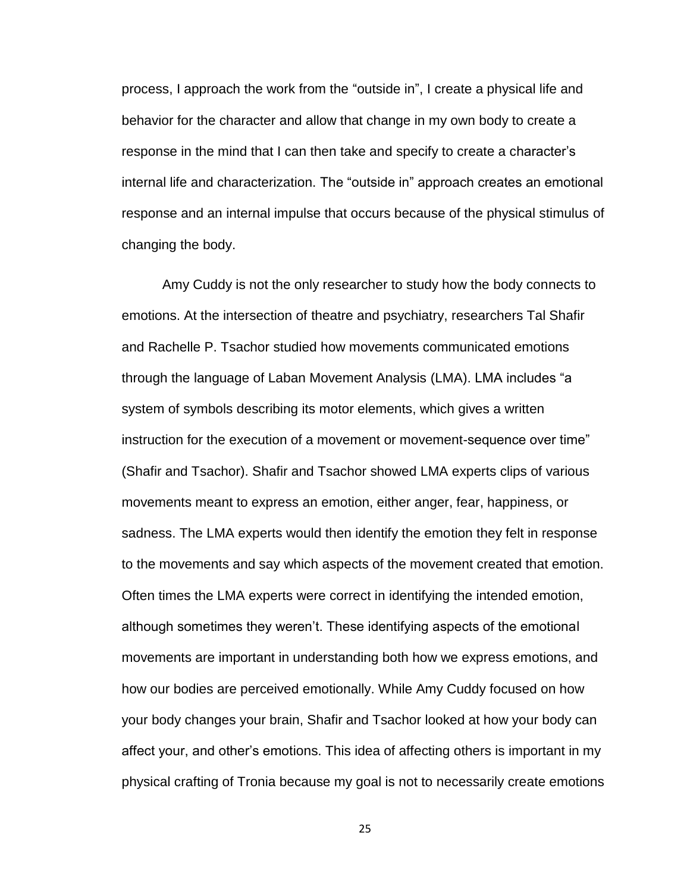process, I approach the work from the "outside in", I create a physical life and behavior for the character and allow that change in my own body to create a response in the mind that I can then take and specify to create a character's internal life and characterization. The "outside in" approach creates an emotional response and an internal impulse that occurs because of the physical stimulus of changing the body.

Amy Cuddy is not the only researcher to study how the body connects to emotions. At the intersection of theatre and psychiatry, researchers Tal Shafir and Rachelle P. Tsachor studied how movements communicated emotions through the language of Laban Movement Analysis (LMA). LMA includes "a system of symbols describing its motor elements, which gives a written instruction for the execution of a movement or movement-sequence over time" (Shafir and Tsachor). Shafir and Tsachor showed LMA experts clips of various movements meant to express an emotion, either anger, fear, happiness, or sadness. The LMA experts would then identify the emotion they felt in response to the movements and say which aspects of the movement created that emotion. Often times the LMA experts were correct in identifying the intended emotion, although sometimes they weren't. These identifying aspects of the emotional movements are important in understanding both how we express emotions, and how our bodies are perceived emotionally. While Amy Cuddy focused on how your body changes your brain, Shafir and Tsachor looked at how your body can affect your, and other's emotions. This idea of affecting others is important in my physical crafting of Tronia because my goal is not to necessarily create emotions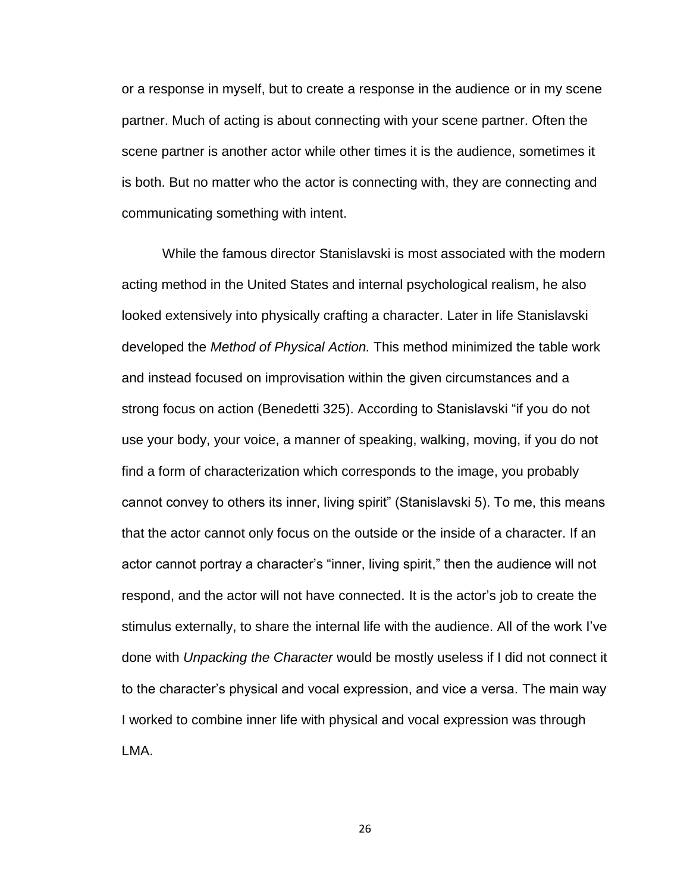or a response in myself, but to create a response in the audience or in my scene partner. Much of acting is about connecting with your scene partner. Often the scene partner is another actor while other times it is the audience, sometimes it is both. But no matter who the actor is connecting with, they are connecting and communicating something with intent.

While the famous director Stanislavski is most associated with the modern acting method in the United States and internal psychological realism, he also looked extensively into physically crafting a character. Later in life Stanislavski developed the *Method of Physical Action.* This method minimized the table work and instead focused on improvisation within the given circumstances and a strong focus on action (Benedetti 325). According to Stanislavski "if you do not use your body, your voice, a manner of speaking, walking, moving, if you do not find a form of characterization which corresponds to the image, you probably cannot convey to others its inner, living spirit" (Stanislavski 5). To me, this means that the actor cannot only focus on the outside or the inside of a character. If an actor cannot portray a character's "inner, living spirit," then the audience will not respond, and the actor will not have connected. It is the actor's job to create the stimulus externally, to share the internal life with the audience. All of the work I've done with *Unpacking the Character* would be mostly useless if I did not connect it to the character's physical and vocal expression, and vice a versa. The main way I worked to combine inner life with physical and vocal expression was through LMA.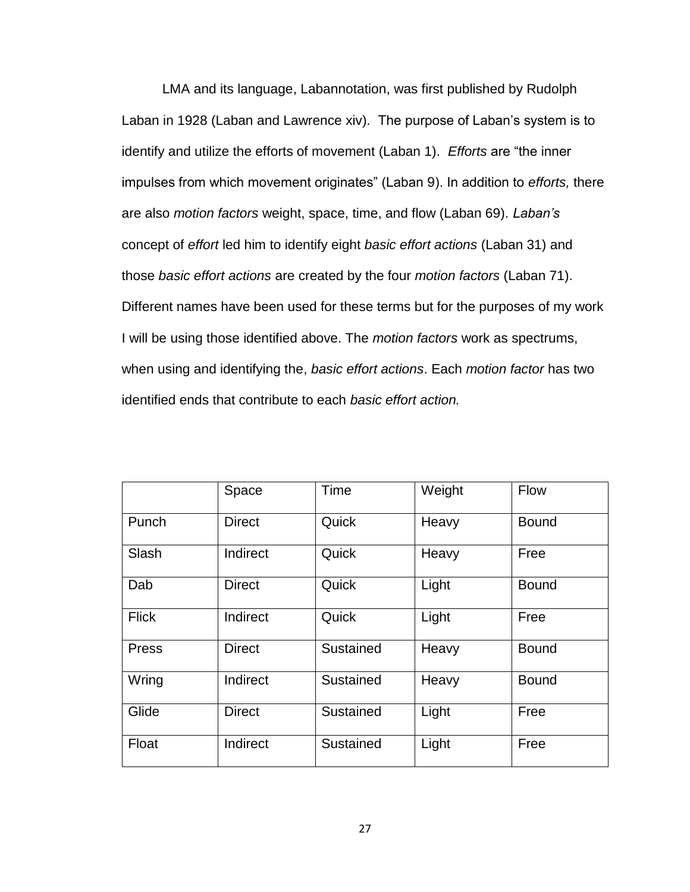LMA and its language, Labannotation, was first published by Rudolph Laban in 1928 (Laban and Lawrence xiv). The purpose of Laban's system is to identify and utilize the efforts of movement (Laban 1). *Efforts* are "the inner impulses from which movement originates" (Laban 9). In addition to *efforts,* there are also *motion factors* weight, space, time, and flow (Laban 69). *Laban's* concept of *effort* led him to identify eight *basic effort actions* (Laban 31) and those *basic effort actions* are created by the four *motion factors* (Laban 71). Different names have been used for these terms but for the purposes of my work I will be using those identified above. The *motion factors* work as spectrums, when using and identifying the, *basic effort actions*. Each *motion factor* has two identified ends that contribute to each *basic effort action.*

|              | Space         | Time      | Weight | Flow         |
|--------------|---------------|-----------|--------|--------------|
| Punch        | <b>Direct</b> | Quick     | Heavy  | <b>Bound</b> |
| Slash        | Indirect      | Quick     | Heavy  | Free         |
| Dab          | <b>Direct</b> | Quick     | Light  | <b>Bound</b> |
| <b>Flick</b> | Indirect      | Quick     | Light  | Free         |
| Press        | <b>Direct</b> | Sustained | Heavy  | <b>Bound</b> |
| Wring        | Indirect      | Sustained | Heavy  | <b>Bound</b> |
| Glide        | <b>Direct</b> | Sustained | Light  | Free         |
| Float        | Indirect      | Sustained | Light  | Free         |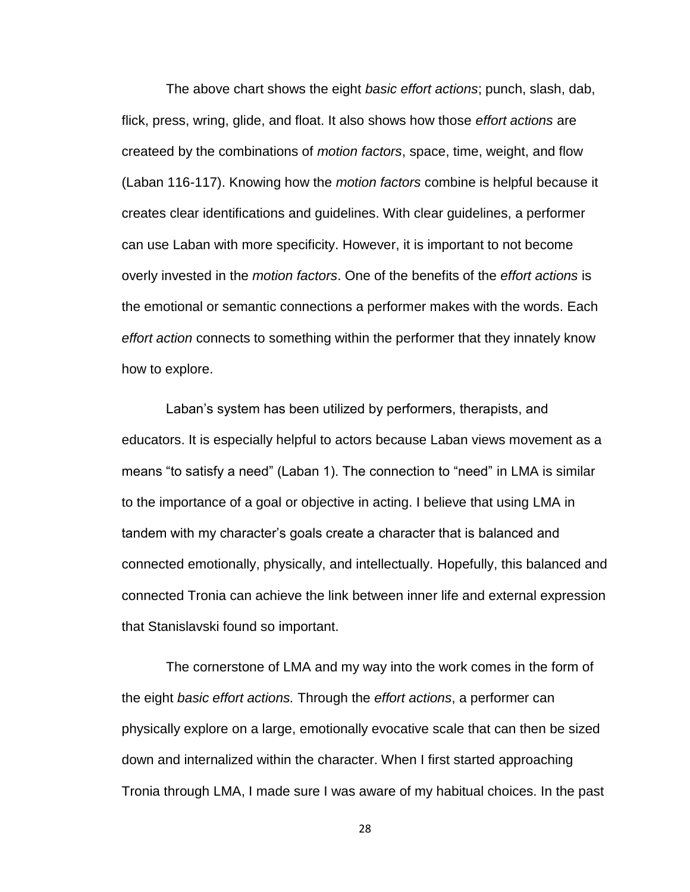The above chart shows the eight *basic effort actions*; punch, slash, dab, flick, press, wring, glide, and float. It also shows how those *effort actions* are createed by the combinations of *motion factors*, space, time, weight, and flow (Laban 116-117). Knowing how the *motion factors* combine is helpful because it creates clear identifications and guidelines. With clear guidelines, a performer can use Laban with more specificity. However, it is important to not become overly invested in the *motion factors*. One of the benefits of the *effort actions* is the emotional or semantic connections a performer makes with the words. Each *effort action* connects to something within the performer that they innately know how to explore.

Laban's system has been utilized by performers, therapists, and educators. It is especially helpful to actors because Laban views movement as a means "to satisfy a need" (Laban 1). The connection to "need" in LMA is similar to the importance of a goal or objective in acting. I believe that using LMA in tandem with my character's goals create a character that is balanced and connected emotionally, physically, and intellectually. Hopefully, this balanced and connected Tronia can achieve the link between inner life and external expression that Stanislavski found so important.

The cornerstone of LMA and my way into the work comes in the form of the eight *basic effort actions.* Through the *effort actions*, a performer can physically explore on a large, emotionally evocative scale that can then be sized down and internalized within the character. When I first started approaching Tronia through LMA, I made sure I was aware of my habitual choices. In the past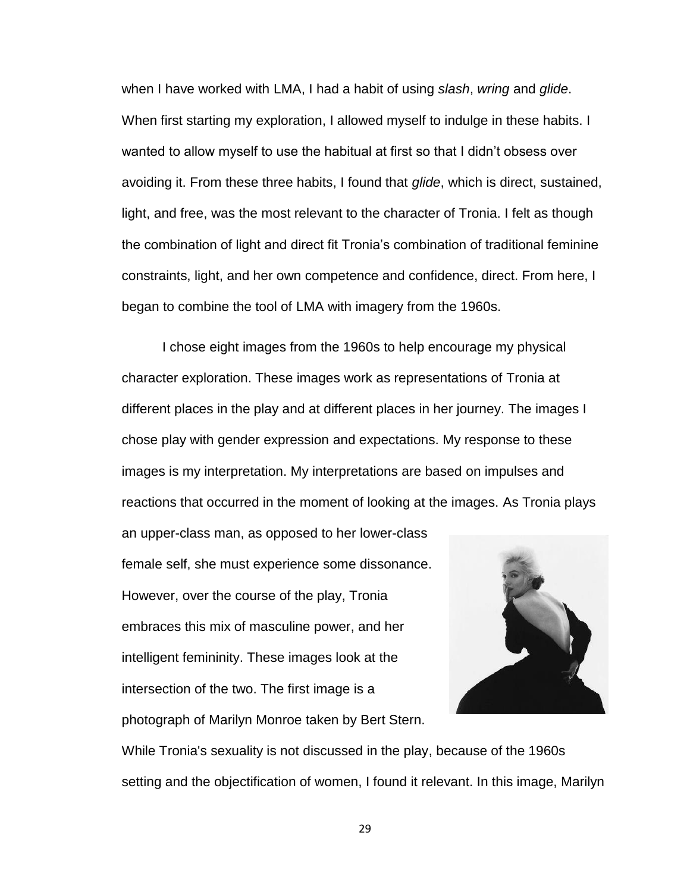when I have worked with LMA, I had a habit of using *slash*, *wring* and *glide*. When first starting my exploration, I allowed myself to indulge in these habits. I wanted to allow myself to use the habitual at first so that I didn't obsess over avoiding it. From these three habits, I found that *glide*, which is direct, sustained, light, and free, was the most relevant to the character of Tronia. I felt as though the combination of light and direct fit Tronia's combination of traditional feminine constraints, light, and her own competence and confidence, direct. From here, I began to combine the tool of LMA with imagery from the 1960s.

I chose eight images from the 1960s to help encourage my physical character exploration. These images work as representations of Tronia at different places in the play and at different places in her journey. The images I chose play with gender expression and expectations. My response to these images is my interpretation. My interpretations are based on impulses and reactions that occurred in the moment of looking at the images. As Tronia plays an upper-class man, as opposed to her lower-class female self, she must experience some dissonance. However, over the course of the play, Tronia embraces this mix of masculine power, and her intelligent femininity. These images look at the intersection of the two. The first image is a

photograph of Marilyn Monroe taken by Bert Stern.

While Tronia's sexuality is not discussed in the play, because of the 1960s setting and the objectification of women, I found it relevant. In this image, Marilyn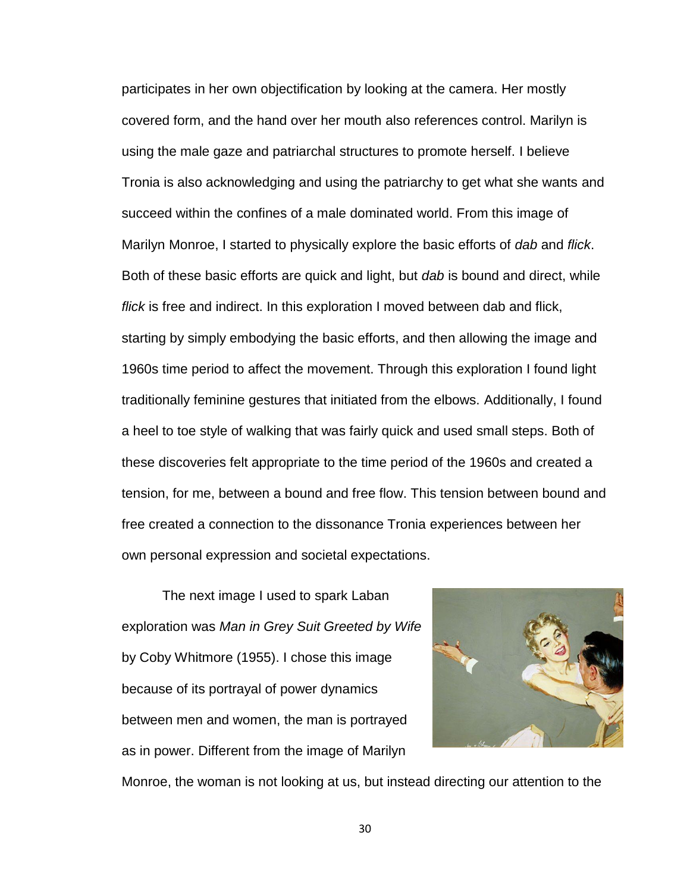participates in her own objectification by looking at the camera. Her mostly covered form, and the hand over her mouth also references control. Marilyn is using the male gaze and patriarchal structures to promote herself. I believe Tronia is also acknowledging and using the patriarchy to get what she wants and succeed within the confines of a male dominated world. From this image of Marilyn Monroe, I started to physically explore the basic efforts of *dab* and *flick*. Both of these basic efforts are quick and light, but *dab* is bound and direct, while *flick* is free and indirect. In this exploration I moved between dab and flick, starting by simply embodying the basic efforts, and then allowing the image and 1960s time period to affect the movement. Through this exploration I found light traditionally feminine gestures that initiated from the elbows. Additionally, I found a heel to toe style of walking that was fairly quick and used small steps. Both of these discoveries felt appropriate to the time period of the 1960s and created a tension, for me, between a bound and free flow. This tension between bound and free created a connection to the dissonance Tronia experiences between her own personal expression and societal expectations.

The next image I used to spark Laban exploration was *Man in Grey Suit Greeted by Wife* by Coby Whitmore (1955). I chose this image because of its portrayal of power dynamics between men and women, the man is portrayed as in power. Different from the image of Marilyn



Monroe, the woman is not looking at us, but instead directing our attention to the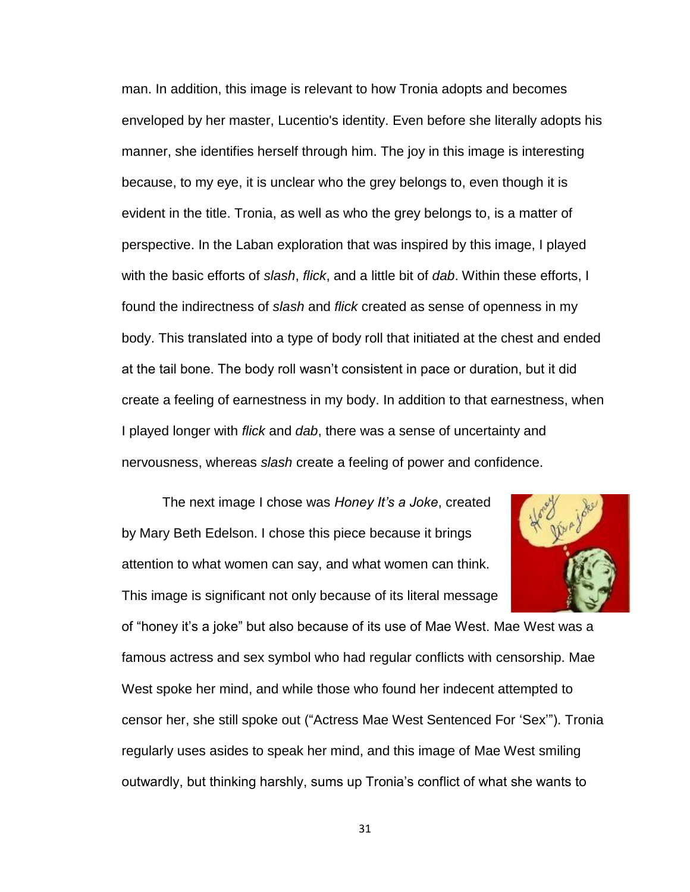man. In addition, this image is relevant to how Tronia adopts and becomes enveloped by her master, Lucentio's identity. Even before she literally adopts his manner, she identifies herself through him. The joy in this image is interesting because, to my eye, it is unclear who the grey belongs to, even though it is evident in the title. Tronia, as well as who the grey belongs to, is a matter of perspective. In the Laban exploration that was inspired by this image, I played with the basic efforts of *slash*, *flick*, and a little bit of *dab*. Within these efforts, I found the indirectness of *slash* and *flick* created as sense of openness in my body. This translated into a type of body roll that initiated at the chest and ended at the tail bone. The body roll wasn't consistent in pace or duration, but it did create a feeling of earnestness in my body. In addition to that earnestness, when I played longer with *flick* and *dab*, there was a sense of uncertainty and nervousness, whereas *slash* create a feeling of power and confidence.

The next image I chose was *Honey It's a Joke*, created by Mary Beth Edelson. I chose this piece because it brings attention to what women can say, and what women can think. This image is significant not only because of its literal message



of "honey it's a joke" but also because of its use of Mae West. Mae West was a famous actress and sex symbol who had regular conflicts with censorship. Mae West spoke her mind, and while those who found her indecent attempted to censor her, she still spoke out ("Actress Mae West Sentenced For 'Sex'"). Tronia regularly uses asides to speak her mind, and this image of Mae West smiling outwardly, but thinking harshly, sums up Tronia's conflict of what she wants to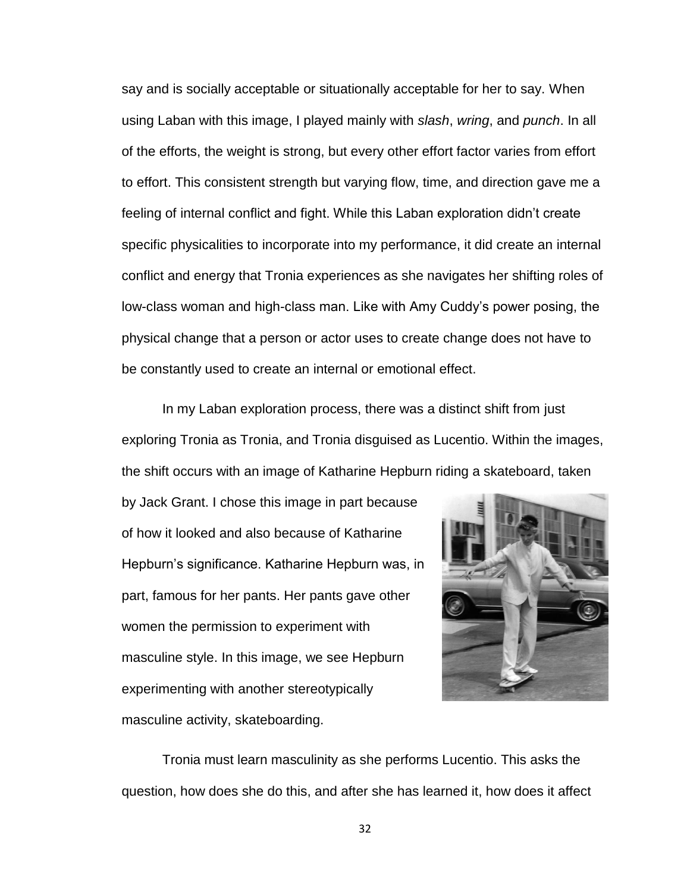say and is socially acceptable or situationally acceptable for her to say. When using Laban with this image, I played mainly with *slash*, *wring*, and *punch*. In all of the efforts, the weight is strong, but every other effort factor varies from effort to effort. This consistent strength but varying flow, time, and direction gave me a feeling of internal conflict and fight. While this Laban exploration didn't create specific physicalities to incorporate into my performance, it did create an internal conflict and energy that Tronia experiences as she navigates her shifting roles of low-class woman and high-class man. Like with Amy Cuddy's power posing, the physical change that a person or actor uses to create change does not have to be constantly used to create an internal or emotional effect.

In my Laban exploration process, there was a distinct shift from just exploring Tronia as Tronia, and Tronia disguised as Lucentio. Within the images, the shift occurs with an image of Katharine Hepburn riding a skateboard, taken

by Jack Grant. I chose this image in part because of how it looked and also because of Katharine Hepburn's significance. Katharine Hepburn was, in part, famous for her pants. Her pants gave other women the permission to experiment with masculine style. In this image, we see Hepburn experimenting with another stereotypically masculine activity, skateboarding.



Tronia must learn masculinity as she performs Lucentio. This asks the question, how does she do this, and after she has learned it, how does it affect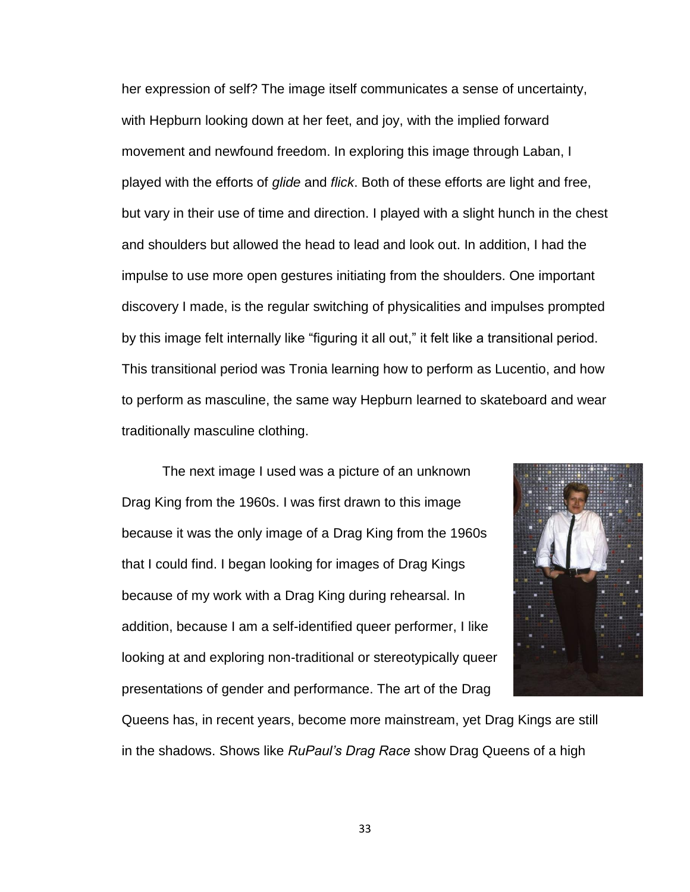her expression of self? The image itself communicates a sense of uncertainty, with Hepburn looking down at her feet, and joy, with the implied forward movement and newfound freedom. In exploring this image through Laban, I played with the efforts of *glide* and *flick*. Both of these efforts are light and free, but vary in their use of time and direction. I played with a slight hunch in the chest and shoulders but allowed the head to lead and look out. In addition, I had the impulse to use more open gestures initiating from the shoulders. One important discovery I made, is the regular switching of physicalities and impulses prompted by this image felt internally like "figuring it all out," it felt like a transitional period. This transitional period was Tronia learning how to perform as Lucentio, and how to perform as masculine, the same way Hepburn learned to skateboard and wear traditionally masculine clothing.

The next image I used was a picture of an unknown Drag King from the 1960s. I was first drawn to this image because it was the only image of a Drag King from the 1960s that I could find. I began looking for images of Drag Kings because of my work with a Drag King during rehearsal. In addition, because I am a self-identified queer performer, I like looking at and exploring non-traditional or stereotypically queer presentations of gender and performance. The art of the Drag



Queens has, in recent years, become more mainstream, yet Drag Kings are still in the shadows. Shows like *RuPaul's Drag Race* show Drag Queens of a high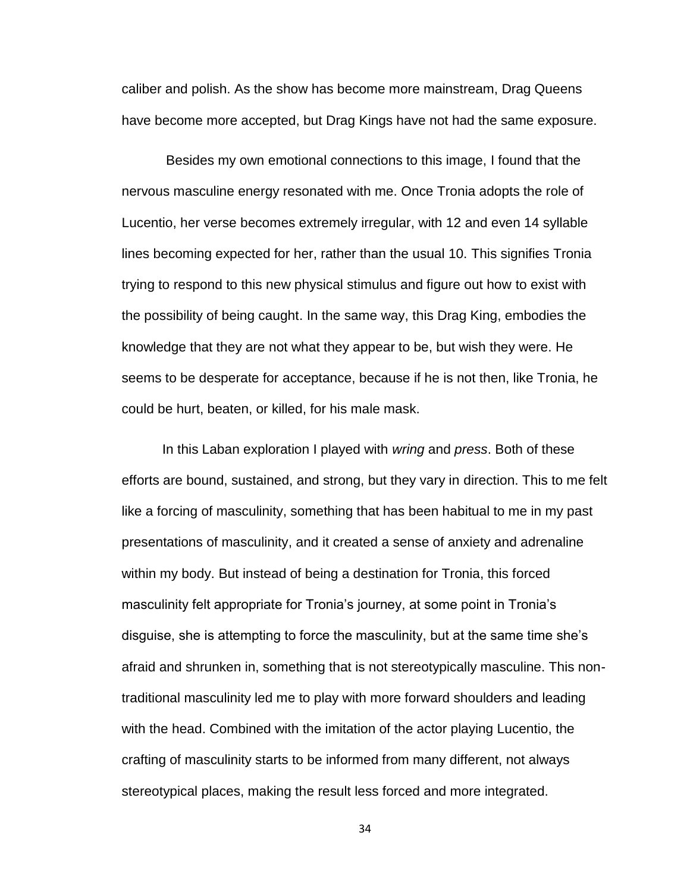caliber and polish. As the show has become more mainstream, Drag Queens have become more accepted, but Drag Kings have not had the same exposure.

Besides my own emotional connections to this image, I found that the nervous masculine energy resonated with me. Once Tronia adopts the role of Lucentio, her verse becomes extremely irregular, with 12 and even 14 syllable lines becoming expected for her, rather than the usual 10. This signifies Tronia trying to respond to this new physical stimulus and figure out how to exist with the possibility of being caught. In the same way, this Drag King, embodies the knowledge that they are not what they appear to be, but wish they were. He seems to be desperate for acceptance, because if he is not then, like Tronia, he could be hurt, beaten, or killed, for his male mask.

In this Laban exploration I played with *wring* and *press*. Both of these efforts are bound, sustained, and strong, but they vary in direction. This to me felt like a forcing of masculinity, something that has been habitual to me in my past presentations of masculinity, and it created a sense of anxiety and adrenaline within my body. But instead of being a destination for Tronia, this forced masculinity felt appropriate for Tronia's journey, at some point in Tronia's disguise, she is attempting to force the masculinity, but at the same time she's afraid and shrunken in, something that is not stereotypically masculine. This nontraditional masculinity led me to play with more forward shoulders and leading with the head. Combined with the imitation of the actor playing Lucentio, the crafting of masculinity starts to be informed from many different, not always stereotypical places, making the result less forced and more integrated.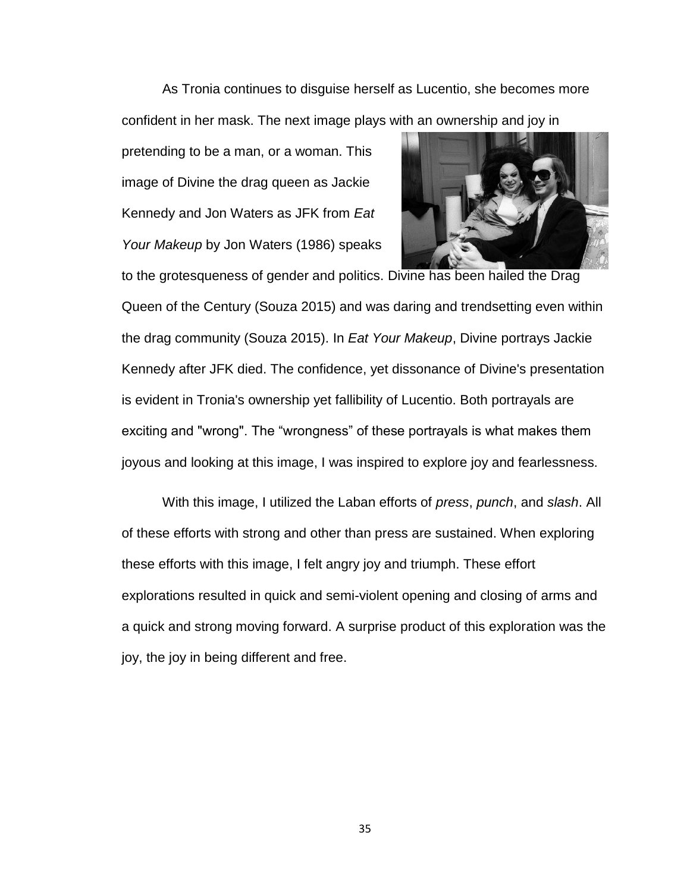As Tronia continues to disguise herself as Lucentio, she becomes more confident in her mask. The next image plays with an ownership and joy in

pretending to be a man, or a woman. This image of Divine the drag queen as Jackie Kennedy and Jon Waters as JFK from *Eat Your Makeup* by Jon Waters (1986) speaks



Queen of the Century (Souza 2015) and was daring and trendsetting even within the drag community (Souza 2015). In *Eat Your Makeup*, Divine portrays Jackie Kennedy after JFK died. The confidence, yet dissonance of Divine's presentation is evident in Tronia's ownership yet fallibility of Lucentio. Both portrayals are exciting and "wrong". The "wrongness" of these portrayals is what makes them joyous and looking at this image, I was inspired to explore joy and fearlessness.

With this image, I utilized the Laban efforts of *press*, *punch*, and *slash*. All of these efforts with strong and other than press are sustained. When exploring these efforts with this image, I felt angry joy and triumph. These effort explorations resulted in quick and semi-violent opening and closing of arms and a quick and strong moving forward. A surprise product of this exploration was the joy, the joy in being different and free.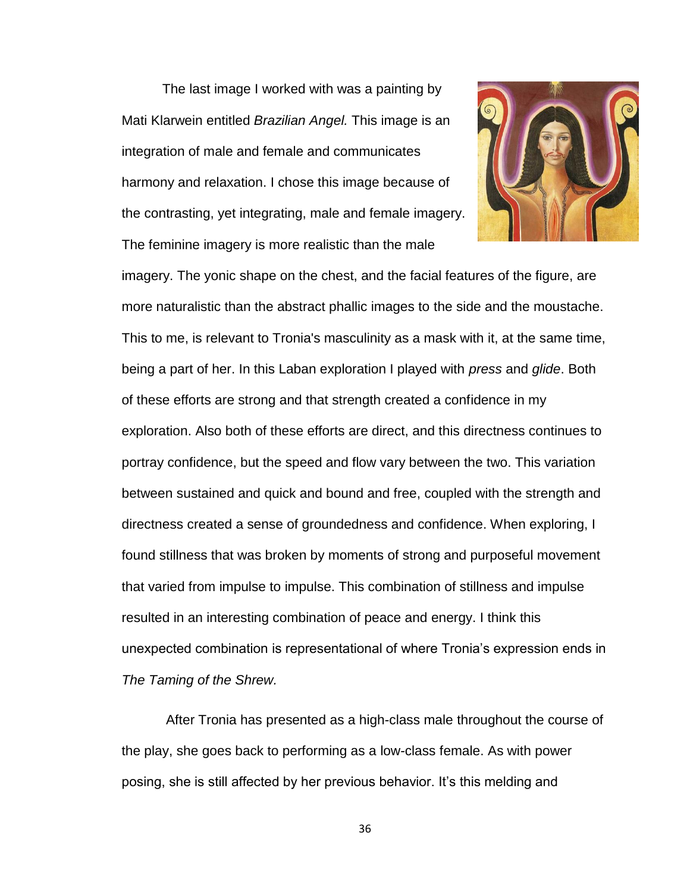The last image I worked with was a painting by Mati Klarwein entitled *Brazilian Angel.* This image is an integration of male and female and communicates harmony and relaxation. I chose this image because of the contrasting, yet integrating, male and female imagery. The feminine imagery is more realistic than the male



imagery. The yonic shape on the chest, and the facial features of the figure, are more naturalistic than the abstract phallic images to the side and the moustache. This to me, is relevant to Tronia's masculinity as a mask with it, at the same time, being a part of her. In this Laban exploration I played with *press* and *glide*. Both of these efforts are strong and that strength created a confidence in my exploration. Also both of these efforts are direct, and this directness continues to portray confidence, but the speed and flow vary between the two. This variation between sustained and quick and bound and free, coupled with the strength and directness created a sense of groundedness and confidence. When exploring, I found stillness that was broken by moments of strong and purposeful movement that varied from impulse to impulse. This combination of stillness and impulse resulted in an interesting combination of peace and energy. I think this unexpected combination is representational of where Tronia's expression ends in *The Taming of the Shrew.*

After Tronia has presented as a high-class male throughout the course of the play, she goes back to performing as a low-class female. As with power posing, she is still affected by her previous behavior. It's this melding and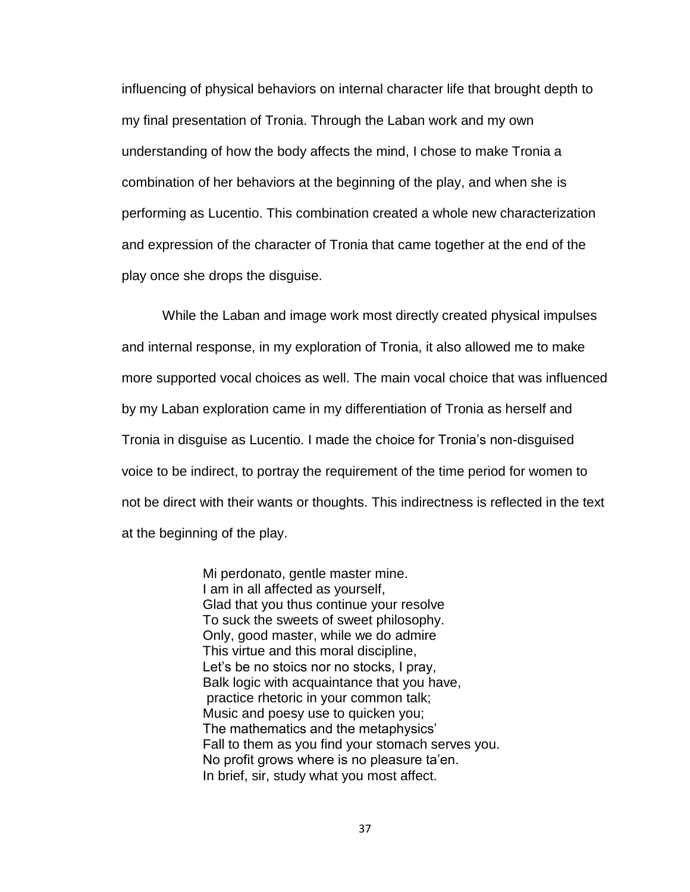influencing of physical behaviors on internal character life that brought depth to my final presentation of Tronia. Through the Laban work and my own understanding of how the body affects the mind, I chose to make Tronia a combination of her behaviors at the beginning of the play, and when she is performing as Lucentio. This combination created a whole new characterization and expression of the character of Tronia that came together at the end of the play once she drops the disguise.

While the Laban and image work most directly created physical impulses and internal response, in my exploration of Tronia, it also allowed me to make more supported vocal choices as well. The main vocal choice that was influenced by my Laban exploration came in my differentiation of Tronia as herself and Tronia in disguise as Lucentio. I made the choice for Tronia's non-disguised voice to be indirect, to portray the requirement of the time period for women to not be direct with their wants or thoughts. This indirectness is reflected in the text at the beginning of the play.

> Mi perdonato, gentle master mine. I am in all affected as yourself, Glad that you thus continue your resolve To suck the sweets of sweet philosophy. Only, good master, while we do admire This virtue and this moral discipline, Let's be no stoics nor no stocks, I pray, Balk logic with acquaintance that you have, practice rhetoric in your common talk; Music and poesy use to quicken you; The mathematics and the metaphysics' Fall to them as you find your stomach serves you. No profit grows where is no pleasure ta'en. In brief, sir, study what you most affect.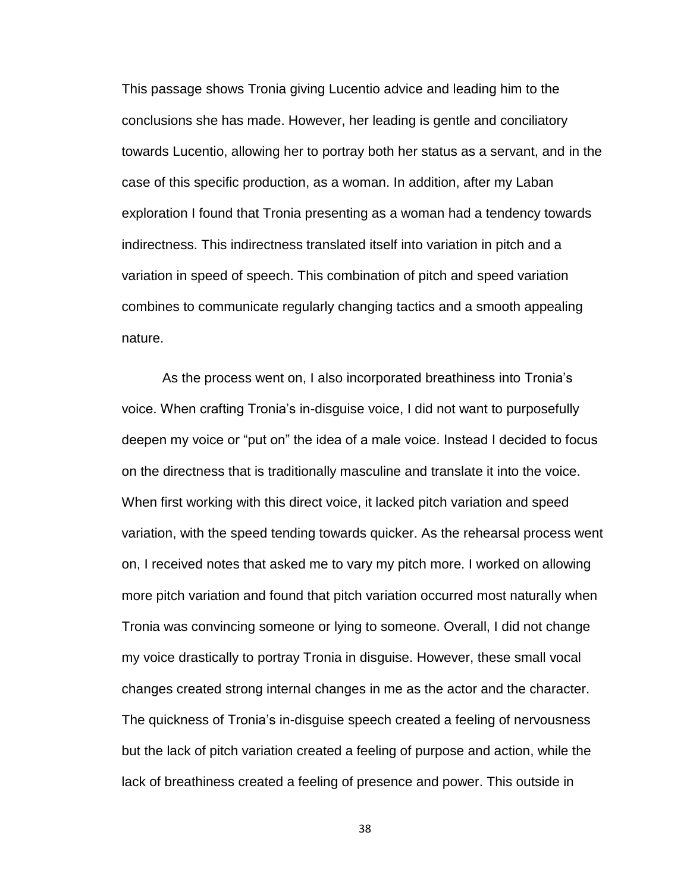This passage shows Tronia giving Lucentio advice and leading him to the conclusions she has made. However, her leading is gentle and conciliatory towards Lucentio, allowing her to portray both her status as a servant, and in the case of this specific production, as a woman. In addition, after my Laban exploration I found that Tronia presenting as a woman had a tendency towards indirectness. This indirectness translated itself into variation in pitch and a variation in speed of speech. This combination of pitch and speed variation combines to communicate regularly changing tactics and a smooth appealing nature.

As the process went on, I also incorporated breathiness into Tronia's voice. When crafting Tronia's in-disguise voice, I did not want to purposefully deepen my voice or "put on" the idea of a male voice. Instead I decided to focus on the directness that is traditionally masculine and translate it into the voice. When first working with this direct voice, it lacked pitch variation and speed variation, with the speed tending towards quicker. As the rehearsal process went on, I received notes that asked me to vary my pitch more. I worked on allowing more pitch variation and found that pitch variation occurred most naturally when Tronia was convincing someone or lying to someone. Overall, I did not change my voice drastically to portray Tronia in disguise. However, these small vocal changes created strong internal changes in me as the actor and the character. The quickness of Tronia's in-disguise speech created a feeling of nervousness but the lack of pitch variation created a feeling of purpose and action, while the lack of breathiness created a feeling of presence and power. This outside in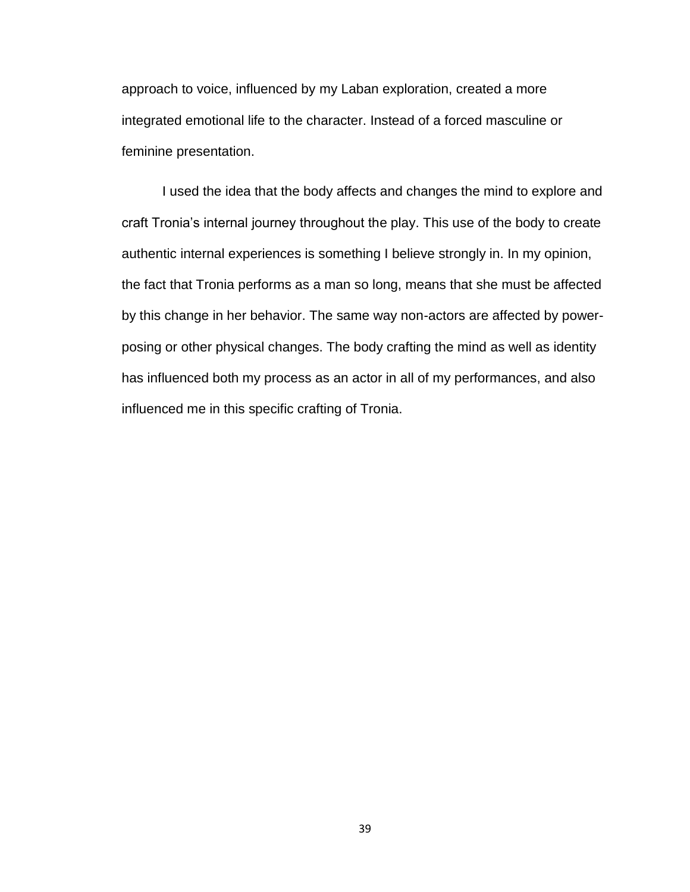approach to voice, influenced by my Laban exploration, created a more integrated emotional life to the character. Instead of a forced masculine or feminine presentation.

I used the idea that the body affects and changes the mind to explore and craft Tronia's internal journey throughout the play. This use of the body to create authentic internal experiences is something I believe strongly in. In my opinion, the fact that Tronia performs as a man so long, means that she must be affected by this change in her behavior. The same way non-actors are affected by powerposing or other physical changes. The body crafting the mind as well as identity has influenced both my process as an actor in all of my performances, and also influenced me in this specific crafting of Tronia.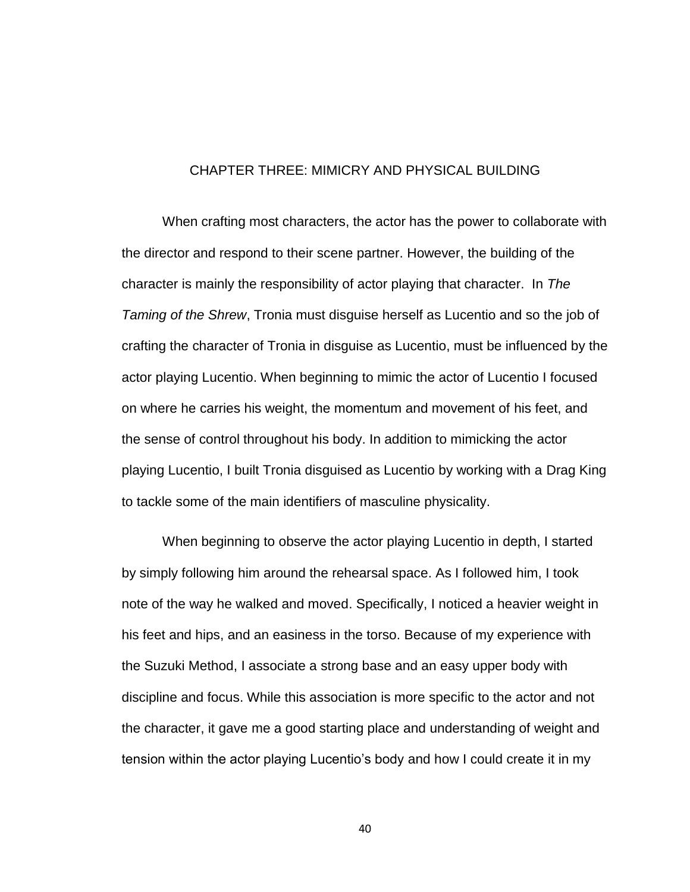## CHAPTER THREE: MIMICRY AND PHYSICAL BUILDING

When crafting most characters, the actor has the power to collaborate with the director and respond to their scene partner. However, the building of the character is mainly the responsibility of actor playing that character. In *The Taming of the Shrew*, Tronia must disguise herself as Lucentio and so the job of crafting the character of Tronia in disguise as Lucentio, must be influenced by the actor playing Lucentio. When beginning to mimic the actor of Lucentio I focused on where he carries his weight, the momentum and movement of his feet, and the sense of control throughout his body. In addition to mimicking the actor playing Lucentio, I built Tronia disguised as Lucentio by working with a Drag King to tackle some of the main identifiers of masculine physicality.

When beginning to observe the actor playing Lucentio in depth, I started by simply following him around the rehearsal space. As I followed him, I took note of the way he walked and moved. Specifically, I noticed a heavier weight in his feet and hips, and an easiness in the torso. Because of my experience with the Suzuki Method, I associate a strong base and an easy upper body with discipline and focus. While this association is more specific to the actor and not the character, it gave me a good starting place and understanding of weight and tension within the actor playing Lucentio's body and how I could create it in my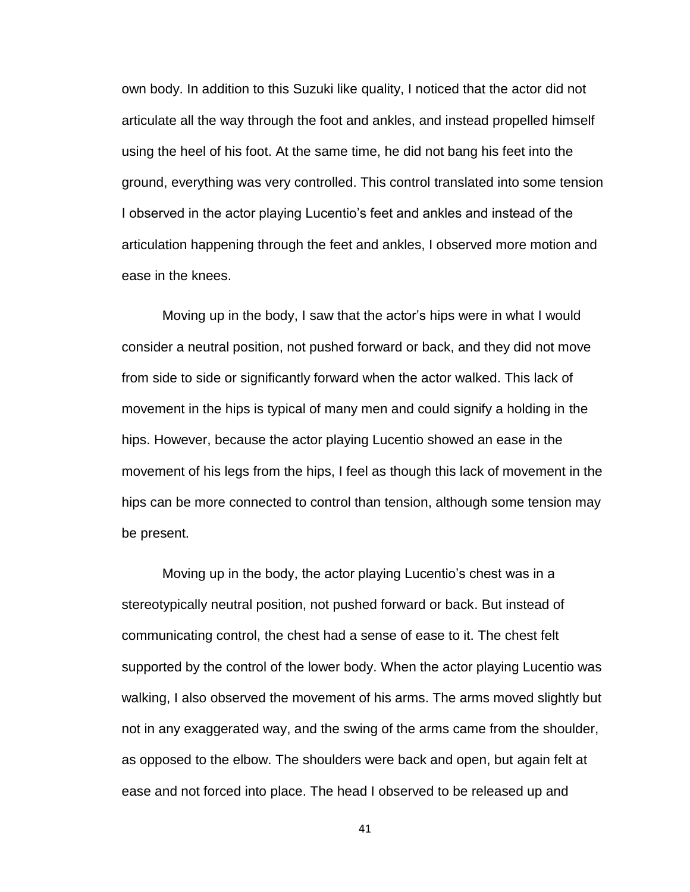own body. In addition to this Suzuki like quality, I noticed that the actor did not articulate all the way through the foot and ankles, and instead propelled himself using the heel of his foot. At the same time, he did not bang his feet into the ground, everything was very controlled. This control translated into some tension I observed in the actor playing Lucentio's feet and ankles and instead of the articulation happening through the feet and ankles, I observed more motion and ease in the knees.

Moving up in the body, I saw that the actor's hips were in what I would consider a neutral position, not pushed forward or back, and they did not move from side to side or significantly forward when the actor walked. This lack of movement in the hips is typical of many men and could signify a holding in the hips. However, because the actor playing Lucentio showed an ease in the movement of his legs from the hips, I feel as though this lack of movement in the hips can be more connected to control than tension, although some tension may be present.

Moving up in the body, the actor playing Lucentio's chest was in a stereotypically neutral position, not pushed forward or back. But instead of communicating control, the chest had a sense of ease to it. The chest felt supported by the control of the lower body. When the actor playing Lucentio was walking, I also observed the movement of his arms. The arms moved slightly but not in any exaggerated way, and the swing of the arms came from the shoulder, as opposed to the elbow. The shoulders were back and open, but again felt at ease and not forced into place. The head I observed to be released up and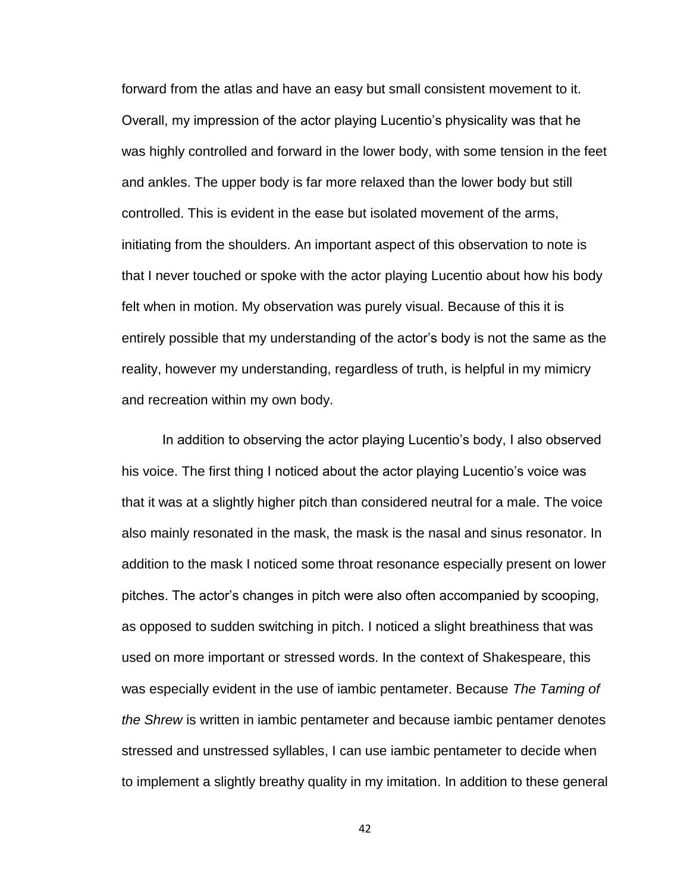forward from the atlas and have an easy but small consistent movement to it. Overall, my impression of the actor playing Lucentio's physicality was that he was highly controlled and forward in the lower body, with some tension in the feet and ankles. The upper body is far more relaxed than the lower body but still controlled. This is evident in the ease but isolated movement of the arms, initiating from the shoulders. An important aspect of this observation to note is that I never touched or spoke with the actor playing Lucentio about how his body felt when in motion. My observation was purely visual. Because of this it is entirely possible that my understanding of the actor's body is not the same as the reality, however my understanding, regardless of truth, is helpful in my mimicry and recreation within my own body.

In addition to observing the actor playing Lucentio's body, I also observed his voice. The first thing I noticed about the actor playing Lucentio's voice was that it was at a slightly higher pitch than considered neutral for a male. The voice also mainly resonated in the mask, the mask is the nasal and sinus resonator. In addition to the mask I noticed some throat resonance especially present on lower pitches. The actor's changes in pitch were also often accompanied by scooping, as opposed to sudden switching in pitch. I noticed a slight breathiness that was used on more important or stressed words. In the context of Shakespeare, this was especially evident in the use of iambic pentameter. Because *The Taming of the Shrew* is written in iambic pentameter and because iambic pentamer denotes stressed and unstressed syllables, I can use iambic pentameter to decide when to implement a slightly breathy quality in my imitation. In addition to these general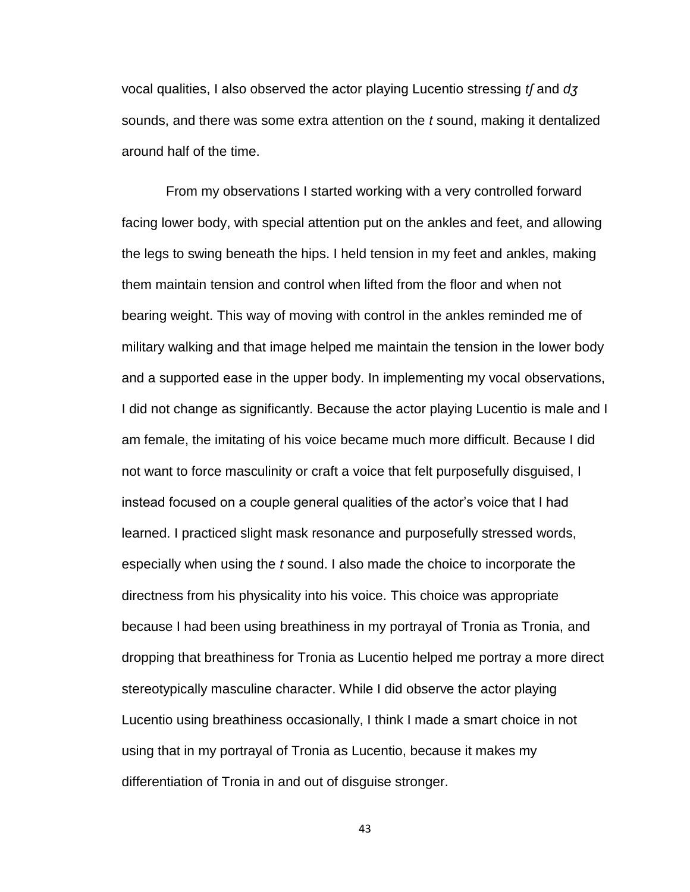vocal qualities, I also observed the actor playing Lucentio stressing *tʃ* and *dʒ* sounds, and there was some extra attention on the *t* sound, making it dentalized around half of the time.

From my observations I started working with a very controlled forward facing lower body, with special attention put on the ankles and feet, and allowing the legs to swing beneath the hips. I held tension in my feet and ankles, making them maintain tension and control when lifted from the floor and when not bearing weight. This way of moving with control in the ankles reminded me of military walking and that image helped me maintain the tension in the lower body and a supported ease in the upper body. In implementing my vocal observations, I did not change as significantly. Because the actor playing Lucentio is male and I am female, the imitating of his voice became much more difficult. Because I did not want to force masculinity or craft a voice that felt purposefully disguised, I instead focused on a couple general qualities of the actor's voice that I had learned. I practiced slight mask resonance and purposefully stressed words, especially when using the *t* sound. I also made the choice to incorporate the directness from his physicality into his voice. This choice was appropriate because I had been using breathiness in my portrayal of Tronia as Tronia, and dropping that breathiness for Tronia as Lucentio helped me portray a more direct stereotypically masculine character. While I did observe the actor playing Lucentio using breathiness occasionally, I think I made a smart choice in not using that in my portrayal of Tronia as Lucentio, because it makes my differentiation of Tronia in and out of disguise stronger.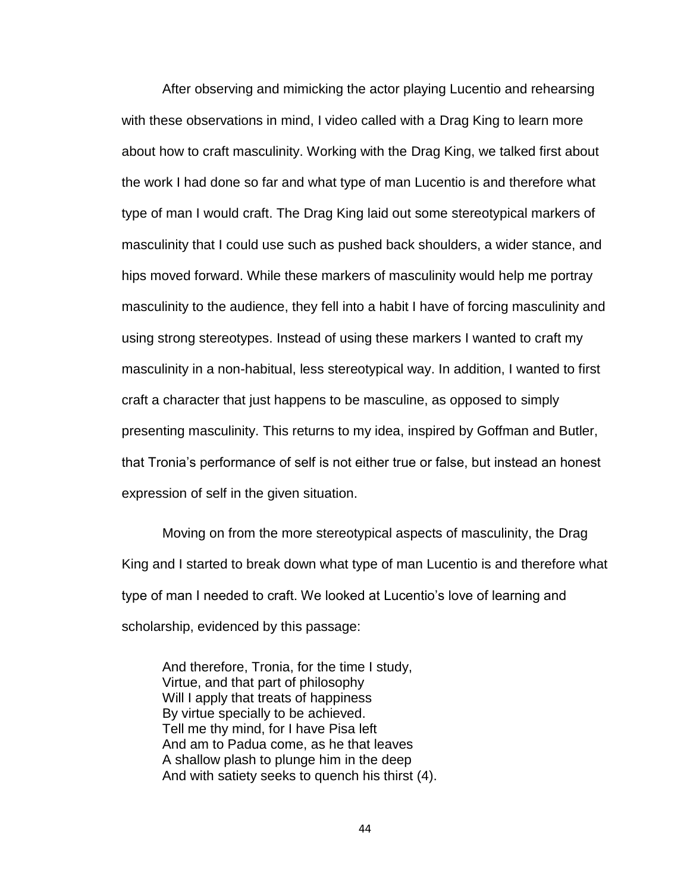After observing and mimicking the actor playing Lucentio and rehearsing with these observations in mind, I video called with a Drag King to learn more about how to craft masculinity. Working with the Drag King, we talked first about the work I had done so far and what type of man Lucentio is and therefore what type of man I would craft. The Drag King laid out some stereotypical markers of masculinity that I could use such as pushed back shoulders, a wider stance, and hips moved forward. While these markers of masculinity would help me portray masculinity to the audience, they fell into a habit I have of forcing masculinity and using strong stereotypes. Instead of using these markers I wanted to craft my masculinity in a non-habitual, less stereotypical way. In addition, I wanted to first craft a character that just happens to be masculine, as opposed to simply presenting masculinity. This returns to my idea, inspired by Goffman and Butler, that Tronia's performance of self is not either true or false, but instead an honest expression of self in the given situation.

Moving on from the more stereotypical aspects of masculinity, the Drag King and I started to break down what type of man Lucentio is and therefore what type of man I needed to craft. We looked at Lucentio's love of learning and scholarship, evidenced by this passage:

And therefore, Tronia, for the time I study, Virtue, and that part of philosophy Will I apply that treats of happiness By virtue specially to be achieved. Tell me thy mind, for I have Pisa left And am to Padua come, as he that leaves A shallow plash to plunge him in the deep And with satiety seeks to quench his thirst (4).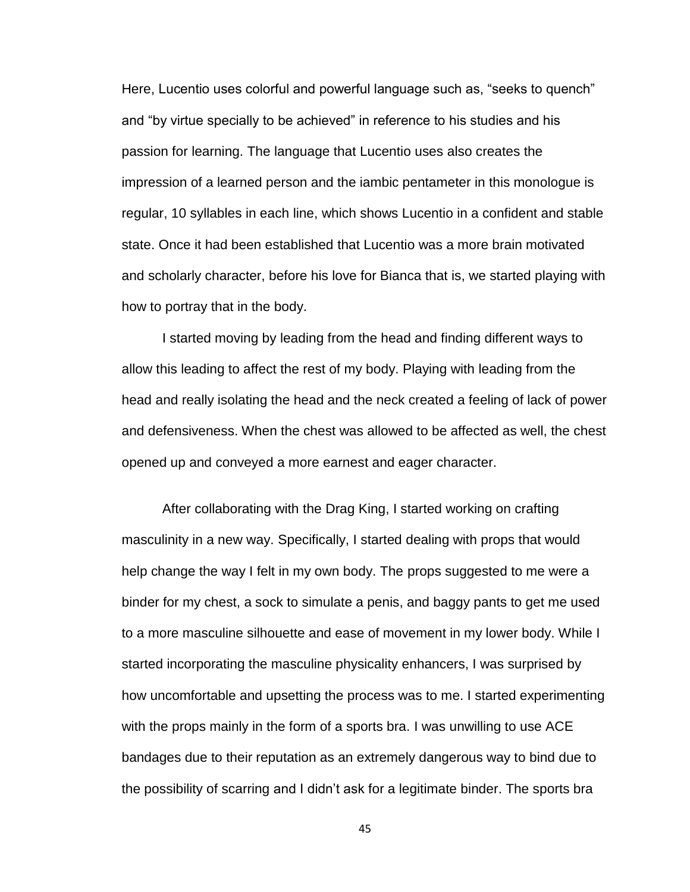Here, Lucentio uses colorful and powerful language such as, "seeks to quench" and "by virtue specially to be achieved" in reference to his studies and his passion for learning. The language that Lucentio uses also creates the impression of a learned person and the iambic pentameter in this monologue is regular, 10 syllables in each line, which shows Lucentio in a confident and stable state. Once it had been established that Lucentio was a more brain motivated and scholarly character, before his love for Bianca that is, we started playing with how to portray that in the body.

I started moving by leading from the head and finding different ways to allow this leading to affect the rest of my body. Playing with leading from the head and really isolating the head and the neck created a feeling of lack of power and defensiveness. When the chest was allowed to be affected as well, the chest opened up and conveyed a more earnest and eager character.

After collaborating with the Drag King, I started working on crafting masculinity in a new way. Specifically, I started dealing with props that would help change the way I felt in my own body. The props suggested to me were a binder for my chest, a sock to simulate a penis, and baggy pants to get me used to a more masculine silhouette and ease of movement in my lower body. While I started incorporating the masculine physicality enhancers, I was surprised by how uncomfortable and upsetting the process was to me. I started experimenting with the props mainly in the form of a sports bra. I was unwilling to use ACE bandages due to their reputation as an extremely dangerous way to bind due to the possibility of scarring and I didn't ask for a legitimate binder. The sports bra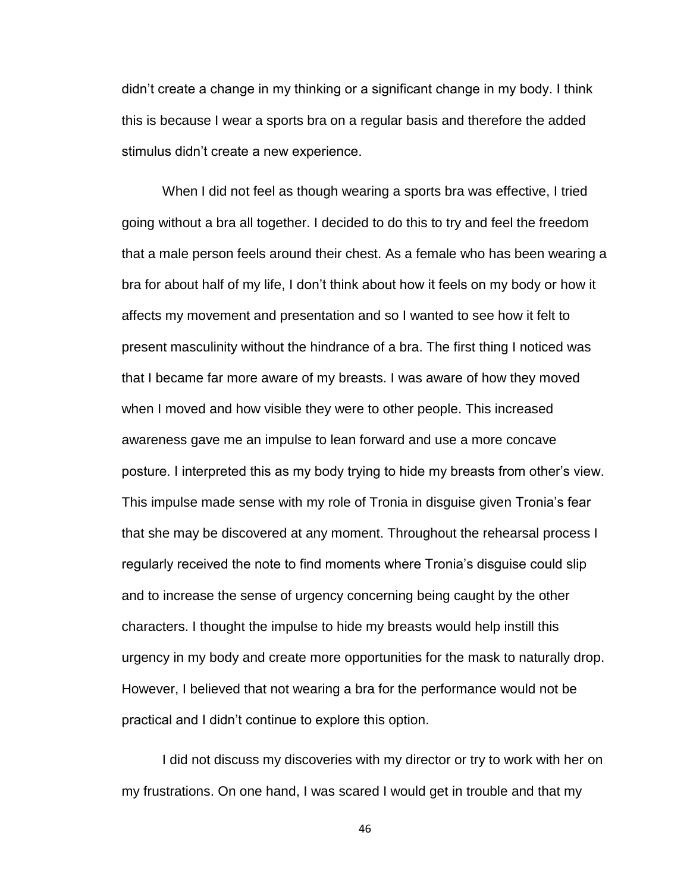didn't create a change in my thinking or a significant change in my body. I think this is because I wear a sports bra on a regular basis and therefore the added stimulus didn't create a new experience.

When I did not feel as though wearing a sports bra was effective, I tried going without a bra all together. I decided to do this to try and feel the freedom that a male person feels around their chest. As a female who has been wearing a bra for about half of my life, I don't think about how it feels on my body or how it affects my movement and presentation and so I wanted to see how it felt to present masculinity without the hindrance of a bra. The first thing I noticed was that I became far more aware of my breasts. I was aware of how they moved when I moved and how visible they were to other people. This increased awareness gave me an impulse to lean forward and use a more concave posture. I interpreted this as my body trying to hide my breasts from other's view. This impulse made sense with my role of Tronia in disguise given Tronia's fear that she may be discovered at any moment. Throughout the rehearsal process I regularly received the note to find moments where Tronia's disguise could slip and to increase the sense of urgency concerning being caught by the other characters. I thought the impulse to hide my breasts would help instill this urgency in my body and create more opportunities for the mask to naturally drop. However, I believed that not wearing a bra for the performance would not be practical and I didn't continue to explore this option.

I did not discuss my discoveries with my director or try to work with her on my frustrations. On one hand, I was scared I would get in trouble and that my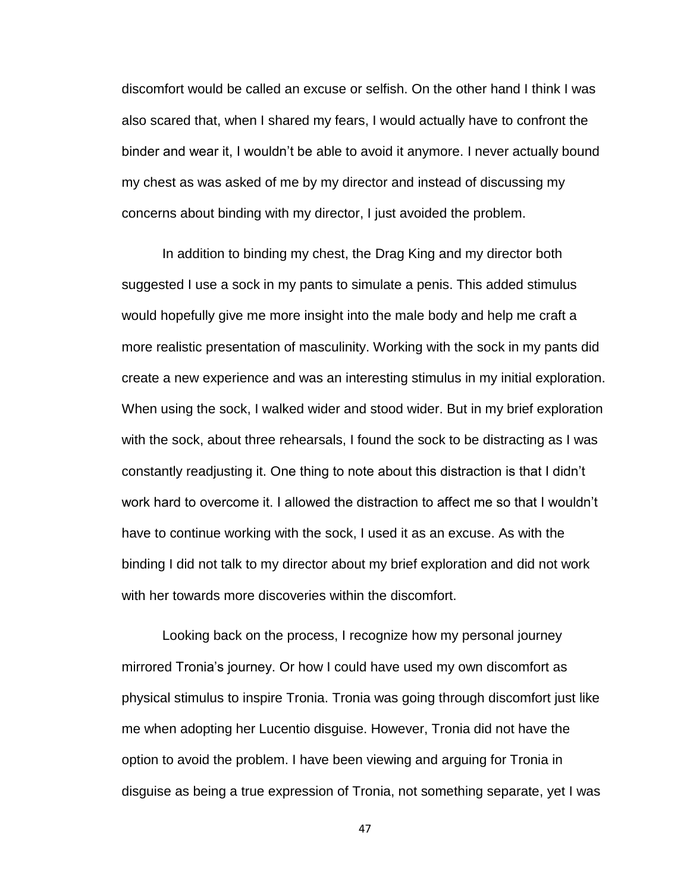discomfort would be called an excuse or selfish. On the other hand I think I was also scared that, when I shared my fears, I would actually have to confront the binder and wear it, I wouldn't be able to avoid it anymore. I never actually bound my chest as was asked of me by my director and instead of discussing my concerns about binding with my director, I just avoided the problem.

In addition to binding my chest, the Drag King and my director both suggested I use a sock in my pants to simulate a penis. This added stimulus would hopefully give me more insight into the male body and help me craft a more realistic presentation of masculinity. Working with the sock in my pants did create a new experience and was an interesting stimulus in my initial exploration. When using the sock, I walked wider and stood wider. But in my brief exploration with the sock, about three rehearsals, I found the sock to be distracting as I was constantly readjusting it. One thing to note about this distraction is that I didn't work hard to overcome it. I allowed the distraction to affect me so that I wouldn't have to continue working with the sock, I used it as an excuse. As with the binding I did not talk to my director about my brief exploration and did not work with her towards more discoveries within the discomfort.

Looking back on the process, I recognize how my personal journey mirrored Tronia's journey. Or how I could have used my own discomfort as physical stimulus to inspire Tronia. Tronia was going through discomfort just like me when adopting her Lucentio disguise. However, Tronia did not have the option to avoid the problem. I have been viewing and arguing for Tronia in disguise as being a true expression of Tronia, not something separate, yet I was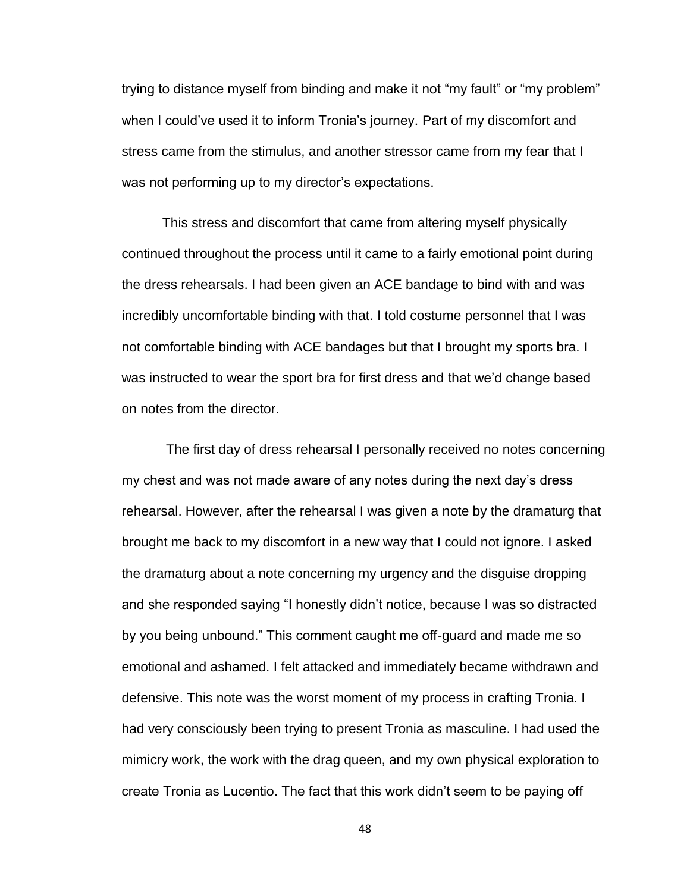trying to distance myself from binding and make it not "my fault" or "my problem" when I could've used it to inform Tronia's journey. Part of my discomfort and stress came from the stimulus, and another stressor came from my fear that I was not performing up to my director's expectations.

This stress and discomfort that came from altering myself physically continued throughout the process until it came to a fairly emotional point during the dress rehearsals. I had been given an ACE bandage to bind with and was incredibly uncomfortable binding with that. I told costume personnel that I was not comfortable binding with ACE bandages but that I brought my sports bra. I was instructed to wear the sport bra for first dress and that we'd change based on notes from the director.

The first day of dress rehearsal I personally received no notes concerning my chest and was not made aware of any notes during the next day's dress rehearsal. However, after the rehearsal I was given a note by the dramaturg that brought me back to my discomfort in a new way that I could not ignore. I asked the dramaturg about a note concerning my urgency and the disguise dropping and she responded saying "I honestly didn't notice, because I was so distracted by you being unbound." This comment caught me off-guard and made me so emotional and ashamed. I felt attacked and immediately became withdrawn and defensive. This note was the worst moment of my process in crafting Tronia. I had very consciously been trying to present Tronia as masculine. I had used the mimicry work, the work with the drag queen, and my own physical exploration to create Tronia as Lucentio. The fact that this work didn't seem to be paying off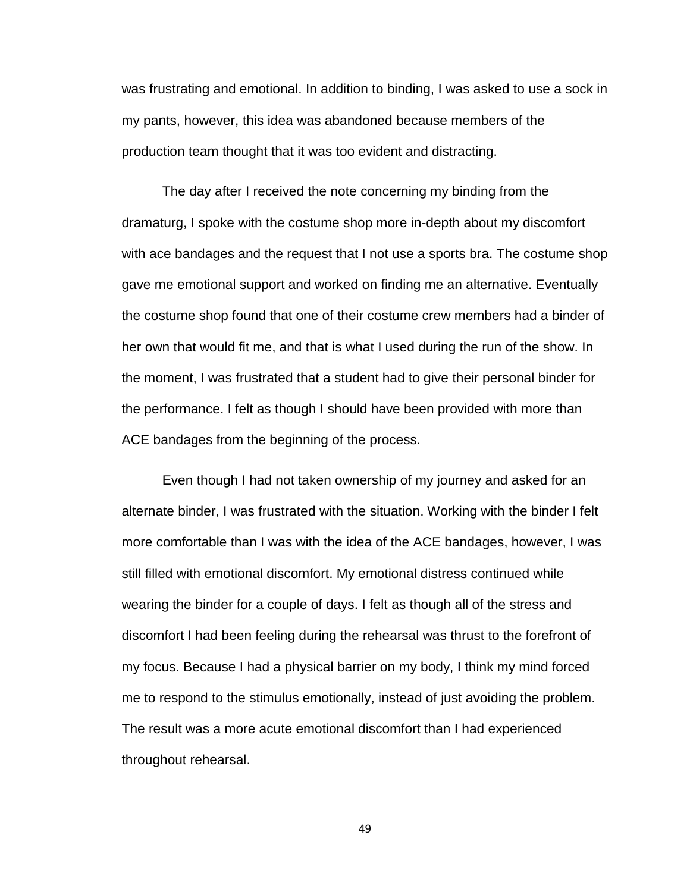was frustrating and emotional. In addition to binding, I was asked to use a sock in my pants, however, this idea was abandoned because members of the production team thought that it was too evident and distracting.

The day after I received the note concerning my binding from the dramaturg, I spoke with the costume shop more in-depth about my discomfort with ace bandages and the request that I not use a sports bra. The costume shop gave me emotional support and worked on finding me an alternative. Eventually the costume shop found that one of their costume crew members had a binder of her own that would fit me, and that is what I used during the run of the show. In the moment, I was frustrated that a student had to give their personal binder for the performance. I felt as though I should have been provided with more than ACE bandages from the beginning of the process.

Even though I had not taken ownership of my journey and asked for an alternate binder, I was frustrated with the situation. Working with the binder I felt more comfortable than I was with the idea of the ACE bandages, however, I was still filled with emotional discomfort. My emotional distress continued while wearing the binder for a couple of days. I felt as though all of the stress and discomfort I had been feeling during the rehearsal was thrust to the forefront of my focus. Because I had a physical barrier on my body, I think my mind forced me to respond to the stimulus emotionally, instead of just avoiding the problem. The result was a more acute emotional discomfort than I had experienced throughout rehearsal.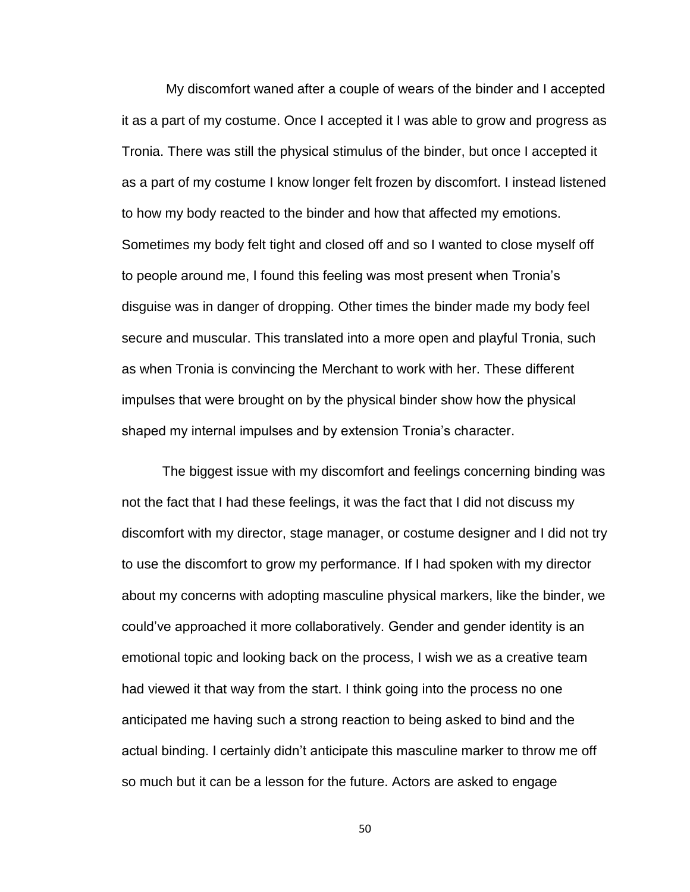My discomfort waned after a couple of wears of the binder and I accepted it as a part of my costume. Once I accepted it I was able to grow and progress as Tronia. There was still the physical stimulus of the binder, but once I accepted it as a part of my costume I know longer felt frozen by discomfort. I instead listened to how my body reacted to the binder and how that affected my emotions. Sometimes my body felt tight and closed off and so I wanted to close myself off to people around me, I found this feeling was most present when Tronia's disguise was in danger of dropping. Other times the binder made my body feel secure and muscular. This translated into a more open and playful Tronia, such as when Tronia is convincing the Merchant to work with her. These different impulses that were brought on by the physical binder show how the physical shaped my internal impulses and by extension Tronia's character.

The biggest issue with my discomfort and feelings concerning binding was not the fact that I had these feelings, it was the fact that I did not discuss my discomfort with my director, stage manager, or costume designer and I did not try to use the discomfort to grow my performance. If I had spoken with my director about my concerns with adopting masculine physical markers, like the binder, we could've approached it more collaboratively. Gender and gender identity is an emotional topic and looking back on the process, I wish we as a creative team had viewed it that way from the start. I think going into the process no one anticipated me having such a strong reaction to being asked to bind and the actual binding. I certainly didn't anticipate this masculine marker to throw me off so much but it can be a lesson for the future. Actors are asked to engage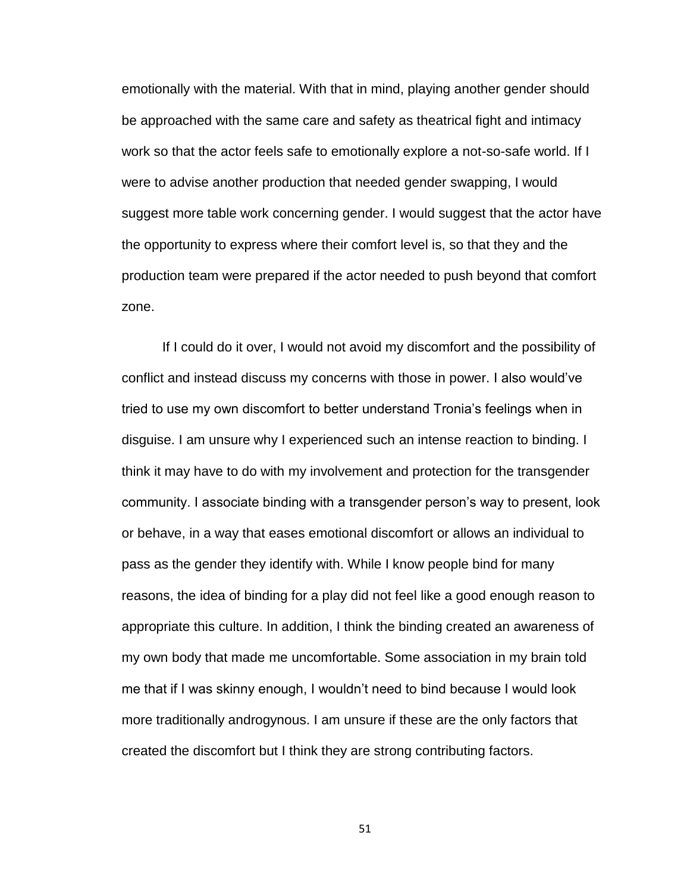emotionally with the material. With that in mind, playing another gender should be approached with the same care and safety as theatrical fight and intimacy work so that the actor feels safe to emotionally explore a not-so-safe world. If I were to advise another production that needed gender swapping, I would suggest more table work concerning gender. I would suggest that the actor have the opportunity to express where their comfort level is, so that they and the production team were prepared if the actor needed to push beyond that comfort zone.

If I could do it over, I would not avoid my discomfort and the possibility of conflict and instead discuss my concerns with those in power. I also would've tried to use my own discomfort to better understand Tronia's feelings when in disguise. I am unsure why I experienced such an intense reaction to binding. I think it may have to do with my involvement and protection for the transgender community. I associate binding with a transgender person's way to present, look or behave, in a way that eases emotional discomfort or allows an individual to pass as the gender they identify with. While I know people bind for many reasons, the idea of binding for a play did not feel like a good enough reason to appropriate this culture. In addition, I think the binding created an awareness of my own body that made me uncomfortable. Some association in my brain told me that if I was skinny enough, I wouldn't need to bind because I would look more traditionally androgynous. I am unsure if these are the only factors that created the discomfort but I think they are strong contributing factors.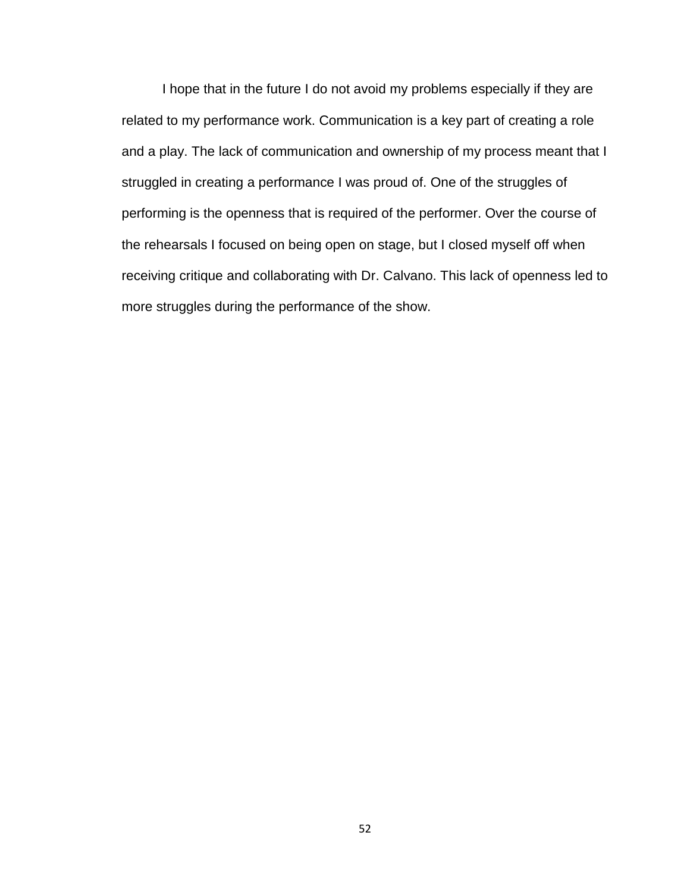I hope that in the future I do not avoid my problems especially if they are related to my performance work. Communication is a key part of creating a role and a play. The lack of communication and ownership of my process meant that I struggled in creating a performance I was proud of. One of the struggles of performing is the openness that is required of the performer. Over the course of the rehearsals I focused on being open on stage, but I closed myself off when receiving critique and collaborating with Dr. Calvano. This lack of openness led to more struggles during the performance of the show.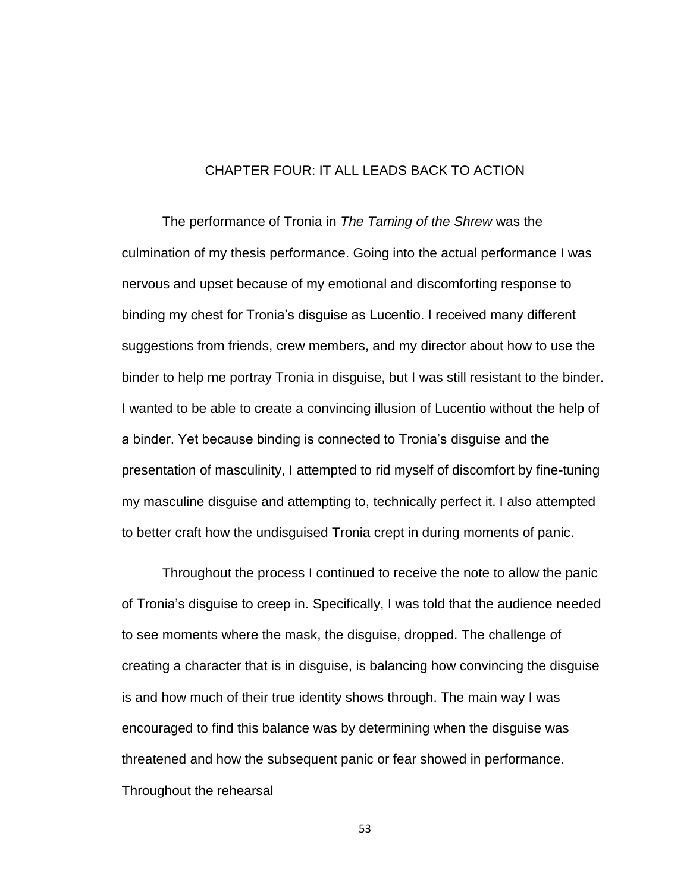# CHAPTER FOUR: IT ALL LEADS BACK TO ACTION

The performance of Tronia in *The Taming of the Shrew* was the culmination of my thesis performance. Going into the actual performance I was nervous and upset because of my emotional and discomforting response to binding my chest for Tronia's disguise as Lucentio. I received many different suggestions from friends, crew members, and my director about how to use the binder to help me portray Tronia in disguise, but I was still resistant to the binder. I wanted to be able to create a convincing illusion of Lucentio without the help of a binder. Yet because binding is connected to Tronia's disguise and the presentation of masculinity, I attempted to rid myself of discomfort by fine-tuning my masculine disguise and attempting to, technically perfect it. I also attempted to better craft how the undisguised Tronia crept in during moments of panic.

Throughout the process I continued to receive the note to allow the panic of Tronia's disguise to creep in. Specifically, I was told that the audience needed to see moments where the mask, the disguise, dropped. The challenge of creating a character that is in disguise, is balancing how convincing the disguise is and how much of their true identity shows through. The main way I was encouraged to find this balance was by determining when the disguise was threatened and how the subsequent panic or fear showed in performance. Throughout the rehearsal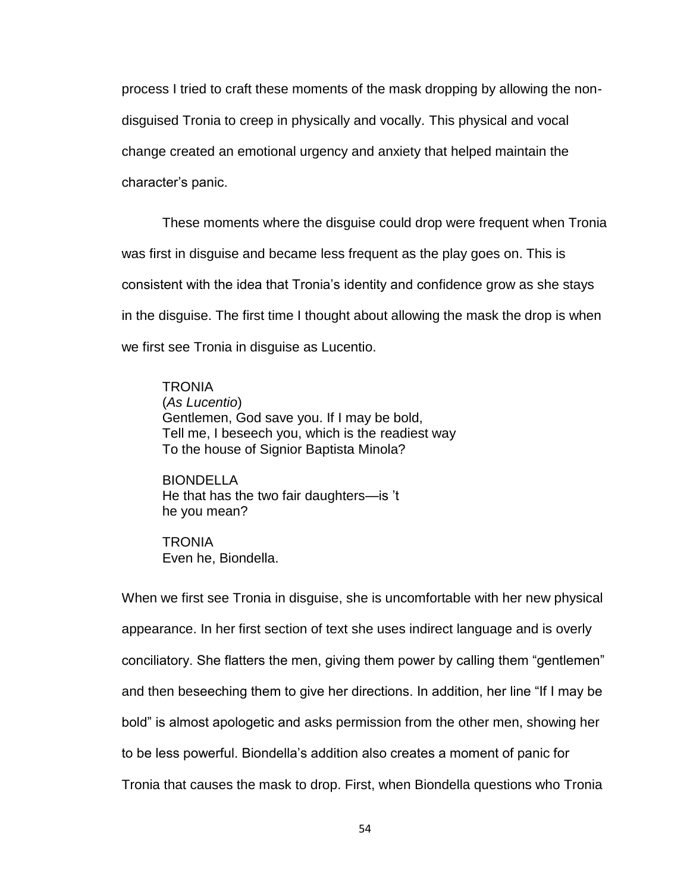process I tried to craft these moments of the mask dropping by allowing the nondisguised Tronia to creep in physically and vocally. This physical and vocal change created an emotional urgency and anxiety that helped maintain the character's panic.

These moments where the disguise could drop were frequent when Tronia was first in disguise and became less frequent as the play goes on. This is consistent with the idea that Tronia's identity and confidence grow as she stays in the disguise. The first time I thought about allowing the mask the drop is when we first see Tronia in disguise as Lucentio.

**TRONIA** (*As Lucentio*) Gentlemen, God save you. If I may be bold, Tell me, I beseech you, which is the readiest way To the house of Signior Baptista Minola?

BIONDELLA He that has the two fair daughters—is 't he you mean?

**TRONIA** Even he, Biondella.

When we first see Tronia in disguise, she is uncomfortable with her new physical appearance. In her first section of text she uses indirect language and is overly conciliatory. She flatters the men, giving them power by calling them "gentlemen" and then beseeching them to give her directions. In addition, her line "If I may be bold" is almost apologetic and asks permission from the other men, showing her to be less powerful. Biondella's addition also creates a moment of panic for Tronia that causes the mask to drop. First, when Biondella questions who Tronia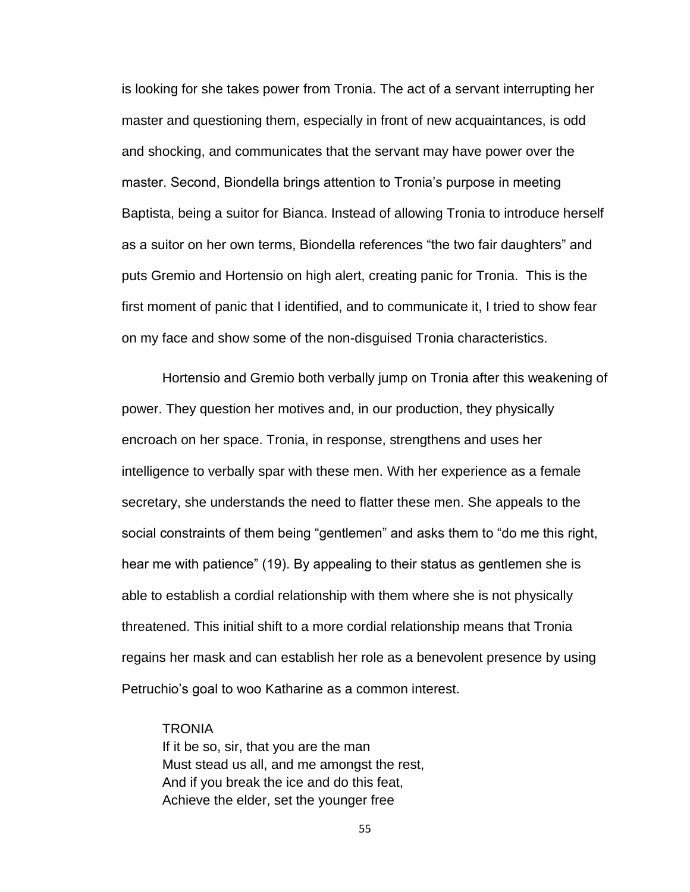is looking for she takes power from Tronia. The act of a servant interrupting her master and questioning them, especially in front of new acquaintances, is odd and shocking, and communicates that the servant may have power over the master. Second, Biondella brings attention to Tronia's purpose in meeting Baptista, being a suitor for Bianca. Instead of allowing Tronia to introduce herself as a suitor on her own terms, Biondella references "the two fair daughters" and puts Gremio and Hortensio on high alert, creating panic for Tronia. This is the first moment of panic that I identified, and to communicate it, I tried to show fear on my face and show some of the non-disguised Tronia characteristics.

Hortensio and Gremio both verbally jump on Tronia after this weakening of power. They question her motives and, in our production, they physically encroach on her space. Tronia, in response, strengthens and uses her intelligence to verbally spar with these men. With her experience as a female secretary, she understands the need to flatter these men. She appeals to the social constraints of them being "gentlemen" and asks them to "do me this right, hear me with patience" (19). By appealing to their status as gentlemen she is able to establish a cordial relationship with them where she is not physically threatened. This initial shift to a more cordial relationship means that Tronia regains her mask and can establish her role as a benevolent presence by using Petruchio's goal to woo Katharine as a common interest.

#### **TRONIA**

If it be so, sir, that you are the man Must stead us all, and me amongst the rest, And if you break the ice and do this feat, Achieve the elder, set the younger free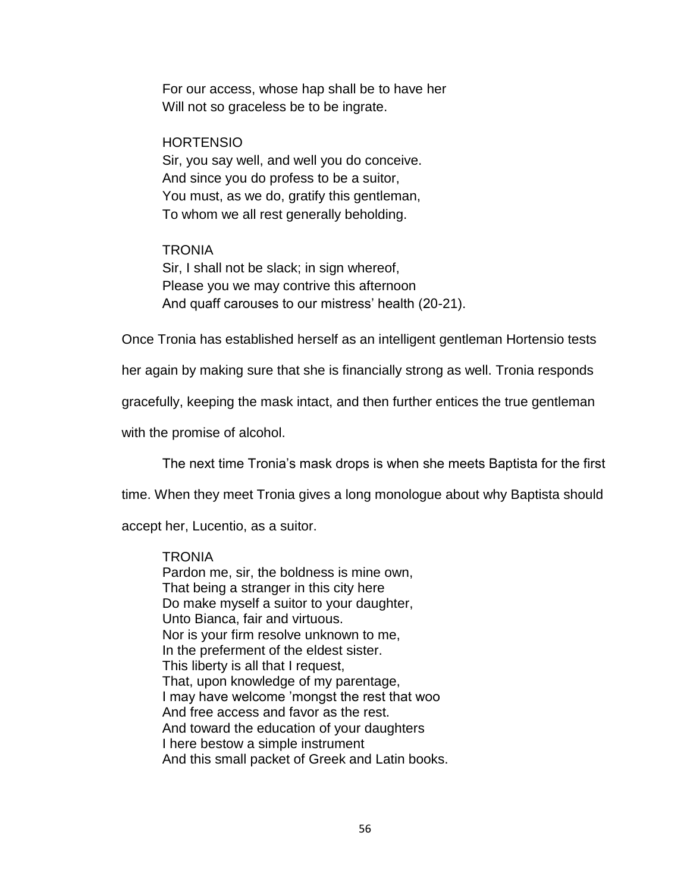For our access, whose hap shall be to have her Will not so graceless be to be ingrate.

### **HORTENSIO**

Sir, you say well, and well you do conceive. And since you do profess to be a suitor, You must, as we do, gratify this gentleman, To whom we all rest generally beholding.

## **TRONIA**

Sir, I shall not be slack; in sign whereof, Please you we may contrive this afternoon And quaff carouses to our mistress' health (20-21).

Once Tronia has established herself as an intelligent gentleman Hortensio tests

her again by making sure that she is financially strong as well. Tronia responds

gracefully, keeping the mask intact, and then further entices the true gentleman

with the promise of alcohol.

The next time Tronia's mask drops is when she meets Baptista for the first

time. When they meet Tronia gives a long monologue about why Baptista should

accept her, Lucentio, as a suitor.

## **TRONIA**

Pardon me, sir, the boldness is mine own, That being a stranger in this city here Do make myself a suitor to your daughter, Unto Bianca, fair and virtuous. Nor is your firm resolve unknown to me, In the preferment of the eldest sister. This liberty is all that I request, That, upon knowledge of my parentage, I may have welcome 'mongst the rest that woo And free access and favor as the rest. And toward the education of your daughters I here bestow a simple instrument And this small packet of Greek and Latin books.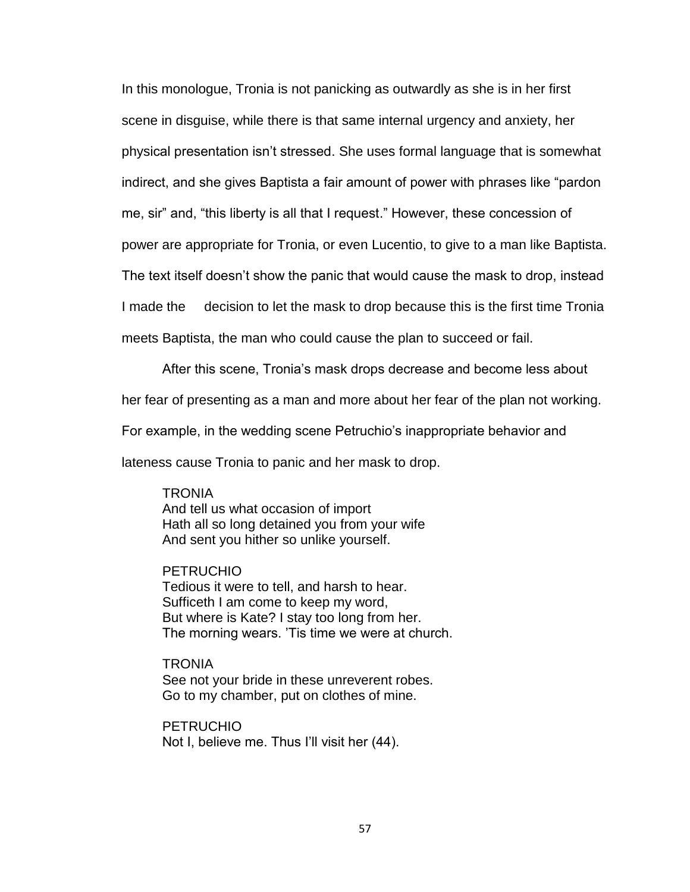In this monologue, Tronia is not panicking as outwardly as she is in her first scene in disguise, while there is that same internal urgency and anxiety, her physical presentation isn't stressed. She uses formal language that is somewhat indirect, and she gives Baptista a fair amount of power with phrases like "pardon me, sir" and, "this liberty is all that I request." However, these concession of power are appropriate for Tronia, or even Lucentio, to give to a man like Baptista. The text itself doesn't show the panic that would cause the mask to drop, instead I made the decision to let the mask to drop because this is the first time Tronia meets Baptista, the man who could cause the plan to succeed or fail.

After this scene, Tronia's mask drops decrease and become less about

her fear of presenting as a man and more about her fear of the plan not working.

For example, in the wedding scene Petruchio's inappropriate behavior and

lateness cause Tronia to panic and her mask to drop.

# **TRONIA**

And tell us what occasion of import Hath all so long detained you from your wife And sent you hither so unlike yourself.

# PETRUCHIO

Tedious it were to tell, and harsh to hear. Sufficeth I am come to keep my word, But where is Kate? I stay too long from her. The morning wears. 'Tis time we were at church.

**TRONIA** See not your bride in these unreverent robes. Go to my chamber, put on clothes of mine.

PETRUCHIO Not I, believe me. Thus I'll visit her (44).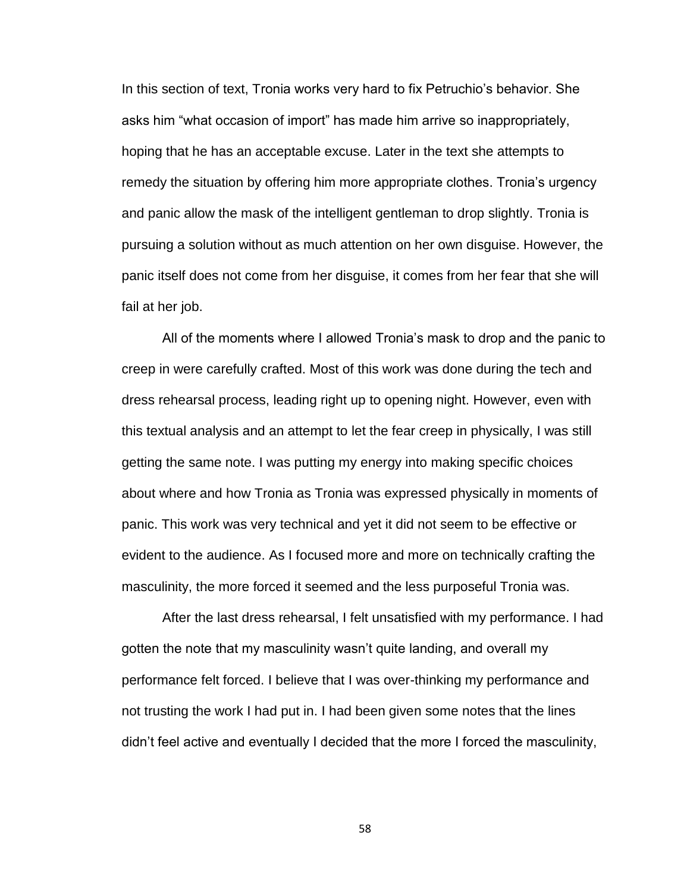In this section of text, Tronia works very hard to fix Petruchio's behavior. She asks him "what occasion of import" has made him arrive so inappropriately, hoping that he has an acceptable excuse. Later in the text she attempts to remedy the situation by offering him more appropriate clothes. Tronia's urgency and panic allow the mask of the intelligent gentleman to drop slightly. Tronia is pursuing a solution without as much attention on her own disguise. However, the panic itself does not come from her disguise, it comes from her fear that she will fail at her job.

All of the moments where I allowed Tronia's mask to drop and the panic to creep in were carefully crafted. Most of this work was done during the tech and dress rehearsal process, leading right up to opening night. However, even with this textual analysis and an attempt to let the fear creep in physically, I was still getting the same note. I was putting my energy into making specific choices about where and how Tronia as Tronia was expressed physically in moments of panic. This work was very technical and yet it did not seem to be effective or evident to the audience. As I focused more and more on technically crafting the masculinity, the more forced it seemed and the less purposeful Tronia was.

After the last dress rehearsal, I felt unsatisfied with my performance. I had gotten the note that my masculinity wasn't quite landing, and overall my performance felt forced. I believe that I was over-thinking my performance and not trusting the work I had put in. I had been given some notes that the lines didn't feel active and eventually I decided that the more I forced the masculinity,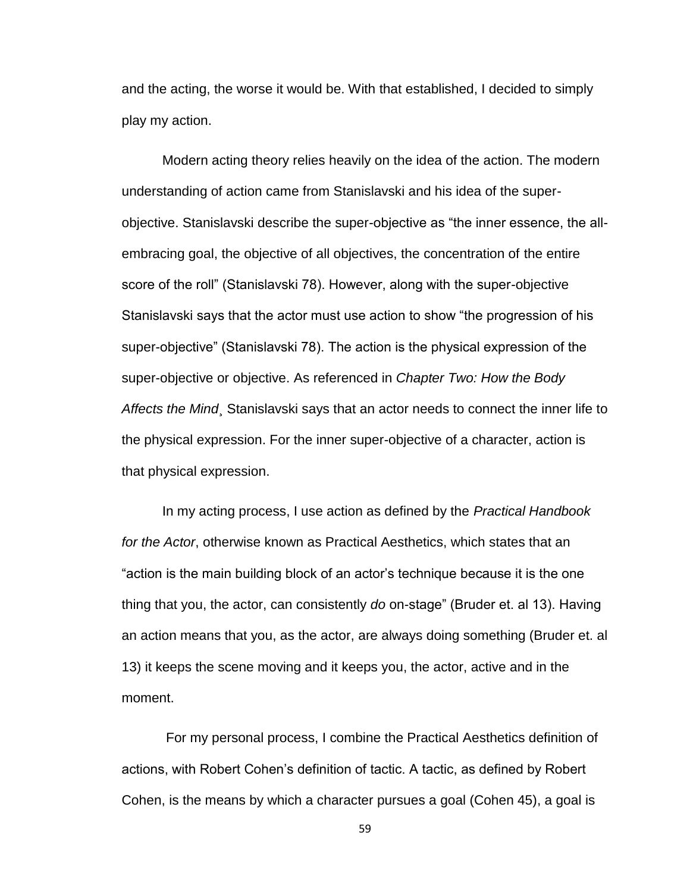and the acting, the worse it would be. With that established, I decided to simply play my action.

Modern acting theory relies heavily on the idea of the action. The modern understanding of action came from Stanislavski and his idea of the superobjective. Stanislavski describe the super-objective as "the inner essence, the allembracing goal, the objective of all objectives, the concentration of the entire score of the roll" (Stanislavski 78). However, along with the super-objective Stanislavski says that the actor must use action to show "the progression of his super-objective" (Stanislavski 78). The action is the physical expression of the super-objective or objective. As referenced in *Chapter Two: How the Body Affects the Mind*¸ Stanislavski says that an actor needs to connect the inner life to the physical expression. For the inner super-objective of a character, action is that physical expression.

In my acting process, I use action as defined by the *Practical Handbook for the Actor*, otherwise known as Practical Aesthetics, which states that an "action is the main building block of an actor's technique because it is the one thing that you, the actor, can consistently *do* on-stage" (Bruder et. al 13). Having an action means that you, as the actor, are always doing something (Bruder et. al 13) it keeps the scene moving and it keeps you, the actor, active and in the moment.

For my personal process, I combine the Practical Aesthetics definition of actions, with Robert Cohen's definition of tactic. A tactic, as defined by Robert Cohen, is the means by which a character pursues a goal (Cohen 45), a goal is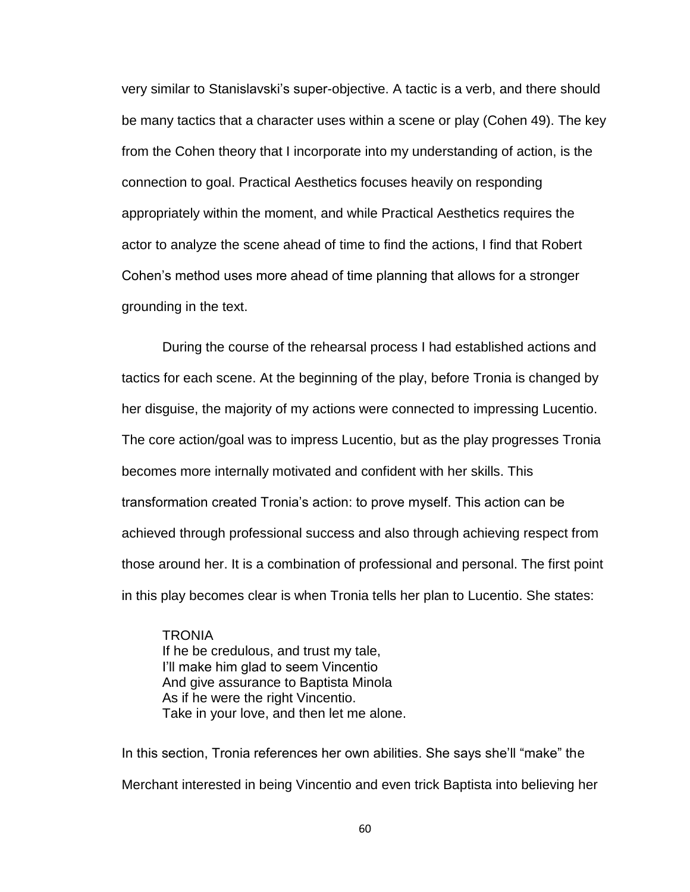very similar to Stanislavski's super-objective. A tactic is a verb, and there should be many tactics that a character uses within a scene or play (Cohen 49). The key from the Cohen theory that I incorporate into my understanding of action, is the connection to goal. Practical Aesthetics focuses heavily on responding appropriately within the moment, and while Practical Aesthetics requires the actor to analyze the scene ahead of time to find the actions, I find that Robert Cohen's method uses more ahead of time planning that allows for a stronger grounding in the text.

During the course of the rehearsal process I had established actions and tactics for each scene. At the beginning of the play, before Tronia is changed by her disguise, the majority of my actions were connected to impressing Lucentio. The core action/goal was to impress Lucentio, but as the play progresses Tronia becomes more internally motivated and confident with her skills. This transformation created Tronia's action: to prove myself. This action can be achieved through professional success and also through achieving respect from those around her. It is a combination of professional and personal. The first point in this play becomes clear is when Tronia tells her plan to Lucentio. She states:

**TRONIA** If he be credulous, and trust my tale, I'll make him glad to seem Vincentio And give assurance to Baptista Minola As if he were the right Vincentio. Take in your love, and then let me alone.

In this section, Tronia references her own abilities. She says she'll "make" the Merchant interested in being Vincentio and even trick Baptista into believing her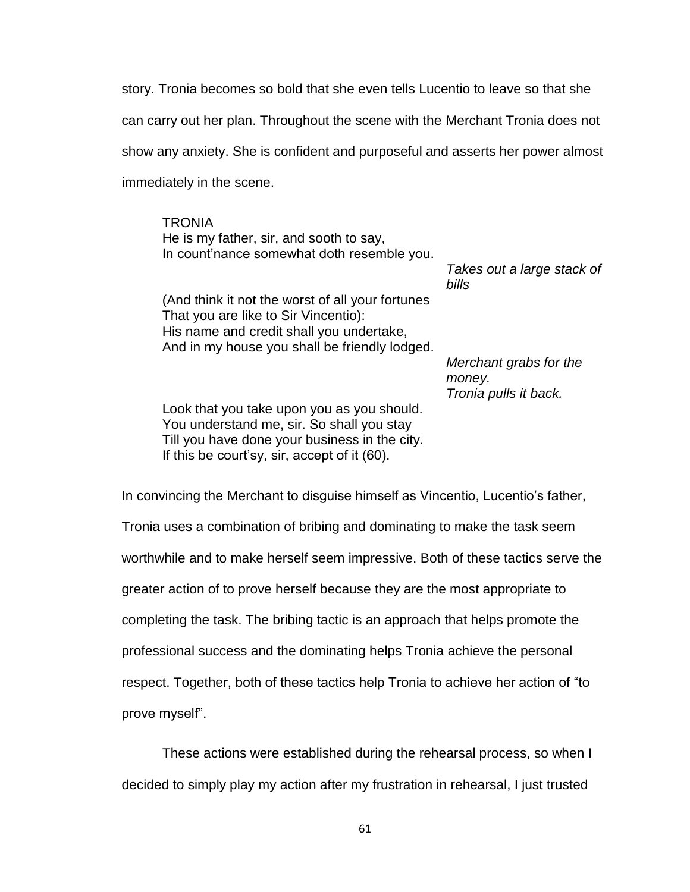story. Tronia becomes so bold that she even tells Lucentio to leave so that she can carry out her plan. Throughout the scene with the Merchant Tronia does not show any anxiety. She is confident and purposeful and asserts her power almost immediately in the scene.

**TRONIA** He is my father, sir, and sooth to say, In count'nance somewhat doth resemble you.

(And think it not the worst of all your fortunes That you are like to Sir Vincentio): His name and credit shall you undertake, And in my house you shall be friendly lodged. *Takes out a large stack of bills*

*Merchant grabs for the money. Tronia pulls it back.*

Look that you take upon you as you should. You understand me, sir. So shall you stay Till you have done your business in the city. If this be court'sy, sir, accept of it (60).

In convincing the Merchant to disguise himself as Vincentio, Lucentio's father, Tronia uses a combination of bribing and dominating to make the task seem worthwhile and to make herself seem impressive. Both of these tactics serve the greater action of to prove herself because they are the most appropriate to completing the task. The bribing tactic is an approach that helps promote the professional success and the dominating helps Tronia achieve the personal respect. Together, both of these tactics help Tronia to achieve her action of "to prove myself".

These actions were established during the rehearsal process, so when I decided to simply play my action after my frustration in rehearsal, I just trusted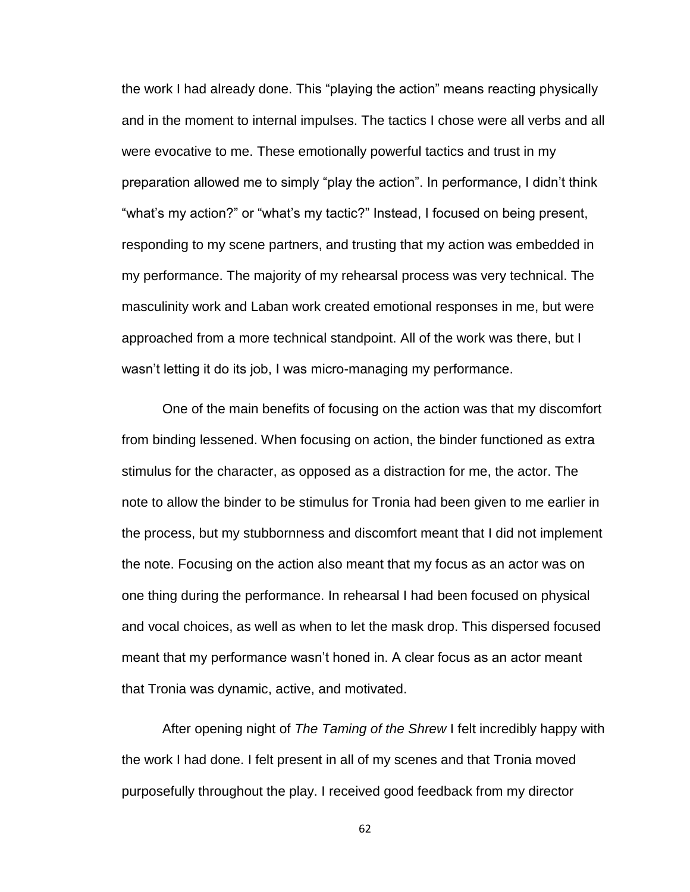the work I had already done. This "playing the action" means reacting physically and in the moment to internal impulses. The tactics I chose were all verbs and all were evocative to me. These emotionally powerful tactics and trust in my preparation allowed me to simply "play the action". In performance, I didn't think "what's my action?" or "what's my tactic?" Instead, I focused on being present, responding to my scene partners, and trusting that my action was embedded in my performance. The majority of my rehearsal process was very technical. The masculinity work and Laban work created emotional responses in me, but were approached from a more technical standpoint. All of the work was there, but I wasn't letting it do its job, I was micro-managing my performance.

One of the main benefits of focusing on the action was that my discomfort from binding lessened. When focusing on action, the binder functioned as extra stimulus for the character, as opposed as a distraction for me, the actor. The note to allow the binder to be stimulus for Tronia had been given to me earlier in the process, but my stubbornness and discomfort meant that I did not implement the note. Focusing on the action also meant that my focus as an actor was on one thing during the performance. In rehearsal I had been focused on physical and vocal choices, as well as when to let the mask drop. This dispersed focused meant that my performance wasn't honed in. A clear focus as an actor meant that Tronia was dynamic, active, and motivated.

After opening night of *The Taming of the Shrew* I felt incredibly happy with the work I had done. I felt present in all of my scenes and that Tronia moved purposefully throughout the play. I received good feedback from my director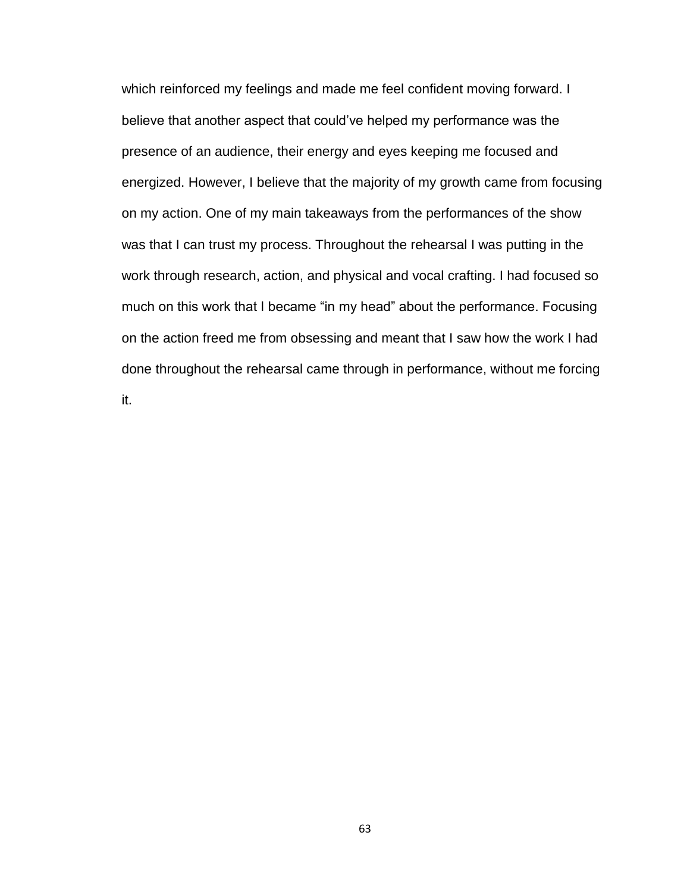which reinforced my feelings and made me feel confident moving forward. I believe that another aspect that could've helped my performance was the presence of an audience, their energy and eyes keeping me focused and energized. However, I believe that the majority of my growth came from focusing on my action. One of my main takeaways from the performances of the show was that I can trust my process. Throughout the rehearsal I was putting in the work through research, action, and physical and vocal crafting. I had focused so much on this work that I became "in my head" about the performance. Focusing on the action freed me from obsessing and meant that I saw how the work I had done throughout the rehearsal came through in performance, without me forcing it.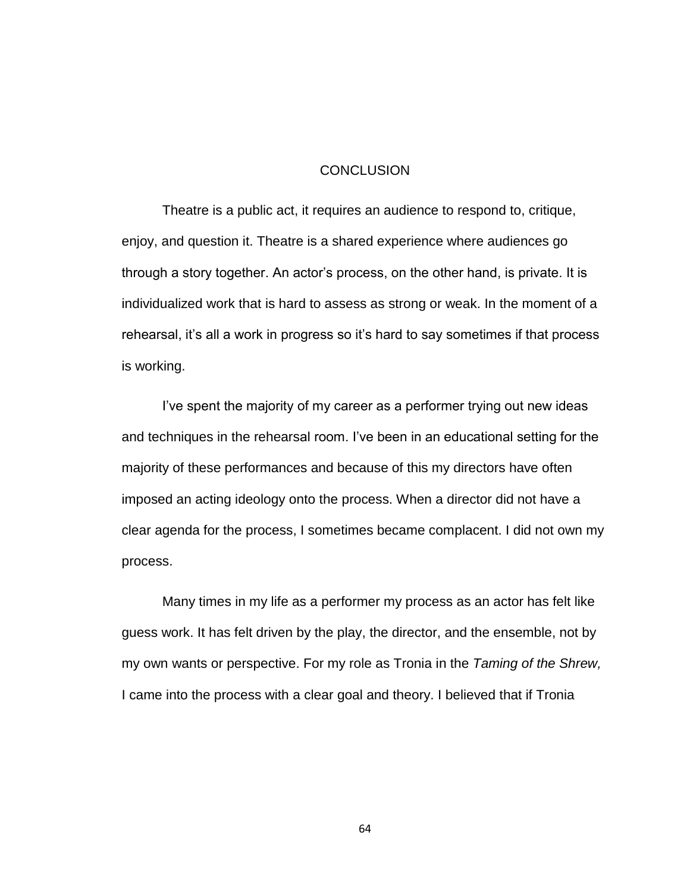#### **CONCLUSION**

Theatre is a public act, it requires an audience to respond to, critique, enjoy, and question it. Theatre is a shared experience where audiences go through a story together. An actor's process, on the other hand, is private. It is individualized work that is hard to assess as strong or weak. In the moment of a rehearsal, it's all a work in progress so it's hard to say sometimes if that process is working.

I've spent the majority of my career as a performer trying out new ideas and techniques in the rehearsal room. I've been in an educational setting for the majority of these performances and because of this my directors have often imposed an acting ideology onto the process. When a director did not have a clear agenda for the process, I sometimes became complacent. I did not own my process.

Many times in my life as a performer my process as an actor has felt like guess work. It has felt driven by the play, the director, and the ensemble, not by my own wants or perspective. For my role as Tronia in the *Taming of the Shrew,*  I came into the process with a clear goal and theory. I believed that if Tronia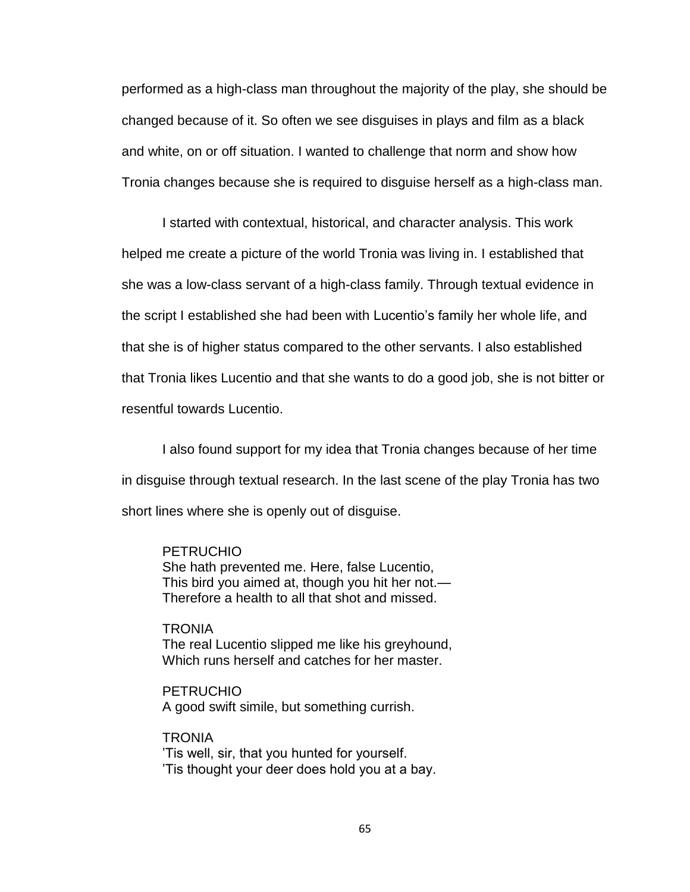performed as a high-class man throughout the majority of the play, she should be changed because of it. So often we see disguises in plays and film as a black and white, on or off situation. I wanted to challenge that norm and show how Tronia changes because she is required to disguise herself as a high-class man.

I started with contextual, historical, and character analysis. This work helped me create a picture of the world Tronia was living in. I established that she was a low-class servant of a high-class family. Through textual evidence in the script I established she had been with Lucentio's family her whole life, and that she is of higher status compared to the other servants. I also established that Tronia likes Lucentio and that she wants to do a good job, she is not bitter or resentful towards Lucentio.

I also found support for my idea that Tronia changes because of her time in disguise through textual research. In the last scene of the play Tronia has two short lines where she is openly out of disguise.

#### PETRUCHIO

She hath prevented me. Here, false Lucentio, This bird you aimed at, though you hit her not.— Therefore a health to all that shot and missed.

**TRONIA** The real Lucentio slipped me like his greyhound, Which runs herself and catches for her master.

PETRUCHIO A good swift simile, but something currish.

**TRONIA** 'Tis well, sir, that you hunted for yourself. 'Tis thought your deer does hold you at a bay.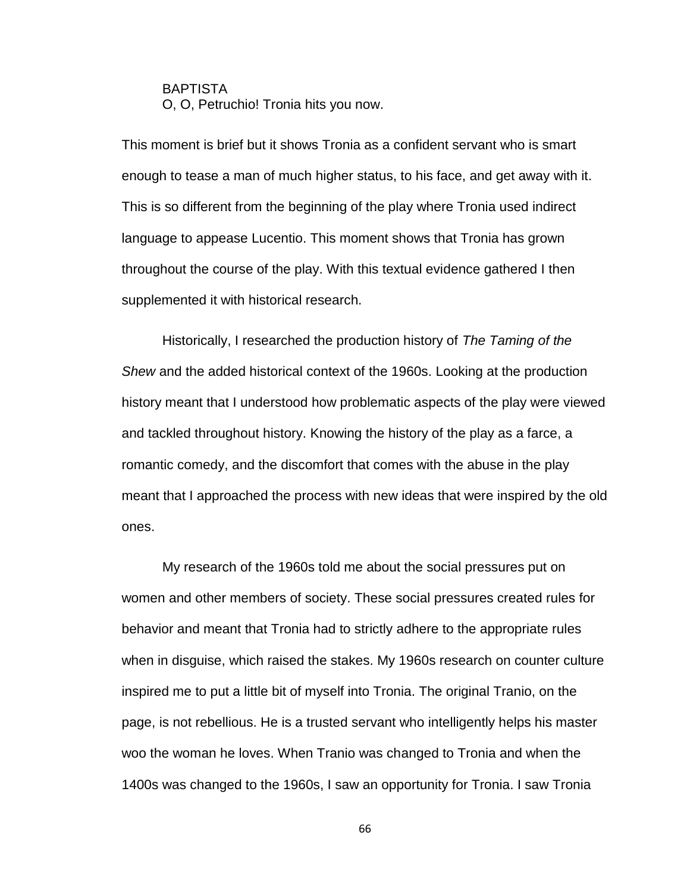BAPTISTA O, O, Petruchio! Tronia hits you now.

This moment is brief but it shows Tronia as a confident servant who is smart enough to tease a man of much higher status, to his face, and get away with it. This is so different from the beginning of the play where Tronia used indirect language to appease Lucentio. This moment shows that Tronia has grown throughout the course of the play. With this textual evidence gathered I then supplemented it with historical research.

Historically, I researched the production history of *The Taming of the Shew* and the added historical context of the 1960s. Looking at the production history meant that I understood how problematic aspects of the play were viewed and tackled throughout history. Knowing the history of the play as a farce, a romantic comedy, and the discomfort that comes with the abuse in the play meant that I approached the process with new ideas that were inspired by the old ones.

My research of the 1960s told me about the social pressures put on women and other members of society. These social pressures created rules for behavior and meant that Tronia had to strictly adhere to the appropriate rules when in disguise, which raised the stakes. My 1960s research on counter culture inspired me to put a little bit of myself into Tronia. The original Tranio, on the page, is not rebellious. He is a trusted servant who intelligently helps his master woo the woman he loves. When Tranio was changed to Tronia and when the 1400s was changed to the 1960s, I saw an opportunity for Tronia. I saw Tronia

66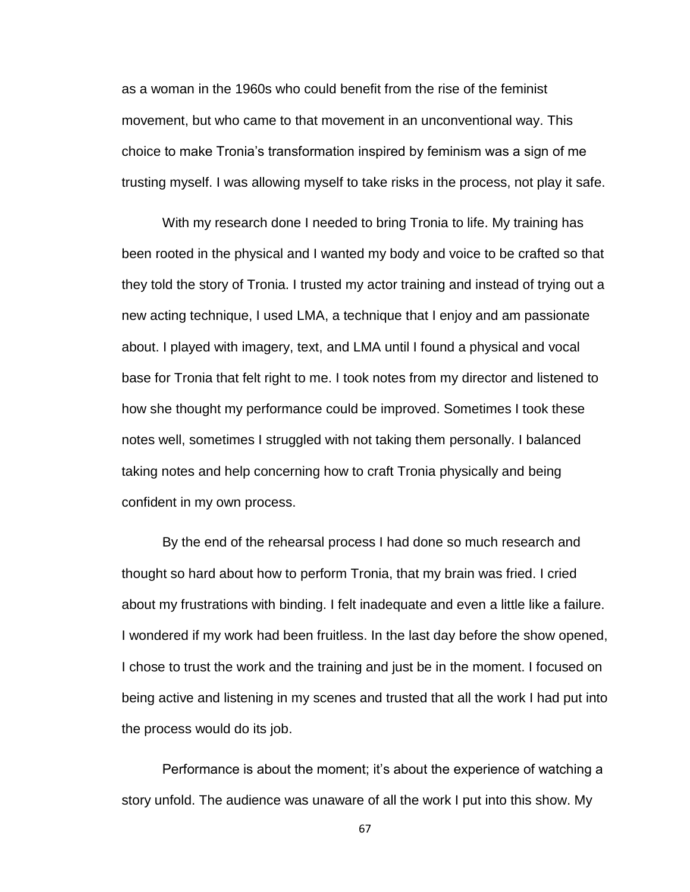as a woman in the 1960s who could benefit from the rise of the feminist movement, but who came to that movement in an unconventional way. This choice to make Tronia's transformation inspired by feminism was a sign of me trusting myself. I was allowing myself to take risks in the process, not play it safe.

With my research done I needed to bring Tronia to life. My training has been rooted in the physical and I wanted my body and voice to be crafted so that they told the story of Tronia. I trusted my actor training and instead of trying out a new acting technique, I used LMA, a technique that I enjoy and am passionate about. I played with imagery, text, and LMA until I found a physical and vocal base for Tronia that felt right to me. I took notes from my director and listened to how she thought my performance could be improved. Sometimes I took these notes well, sometimes I struggled with not taking them personally. I balanced taking notes and help concerning how to craft Tronia physically and being confident in my own process.

By the end of the rehearsal process I had done so much research and thought so hard about how to perform Tronia, that my brain was fried. I cried about my frustrations with binding. I felt inadequate and even a little like a failure. I wondered if my work had been fruitless. In the last day before the show opened, I chose to trust the work and the training and just be in the moment. I focused on being active and listening in my scenes and trusted that all the work I had put into the process would do its job.

Performance is about the moment; it's about the experience of watching a story unfold. The audience was unaware of all the work I put into this show. My

67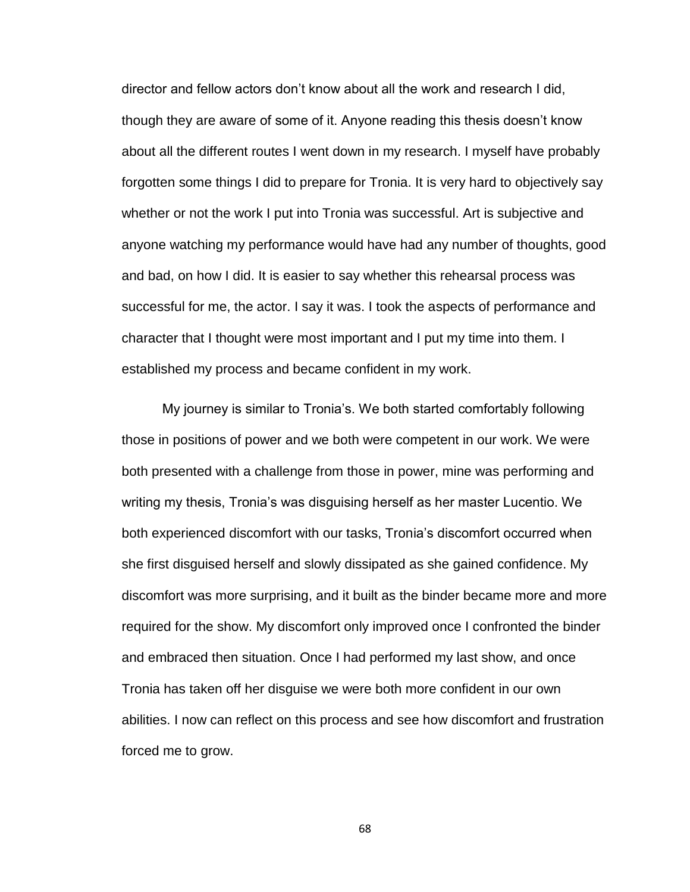director and fellow actors don't know about all the work and research I did, though they are aware of some of it. Anyone reading this thesis doesn't know about all the different routes I went down in my research. I myself have probably forgotten some things I did to prepare for Tronia. It is very hard to objectively say whether or not the work I put into Tronia was successful. Art is subjective and anyone watching my performance would have had any number of thoughts, good and bad, on how I did. It is easier to say whether this rehearsal process was successful for me, the actor. I say it was. I took the aspects of performance and character that I thought were most important and I put my time into them. I established my process and became confident in my work.

My journey is similar to Tronia's. We both started comfortably following those in positions of power and we both were competent in our work. We were both presented with a challenge from those in power, mine was performing and writing my thesis, Tronia's was disguising herself as her master Lucentio. We both experienced discomfort with our tasks, Tronia's discomfort occurred when she first disguised herself and slowly dissipated as she gained confidence. My discomfort was more surprising, and it built as the binder became more and more required for the show. My discomfort only improved once I confronted the binder and embraced then situation. Once I had performed my last show, and once Tronia has taken off her disguise we were both more confident in our own abilities. I now can reflect on this process and see how discomfort and frustration forced me to grow.

68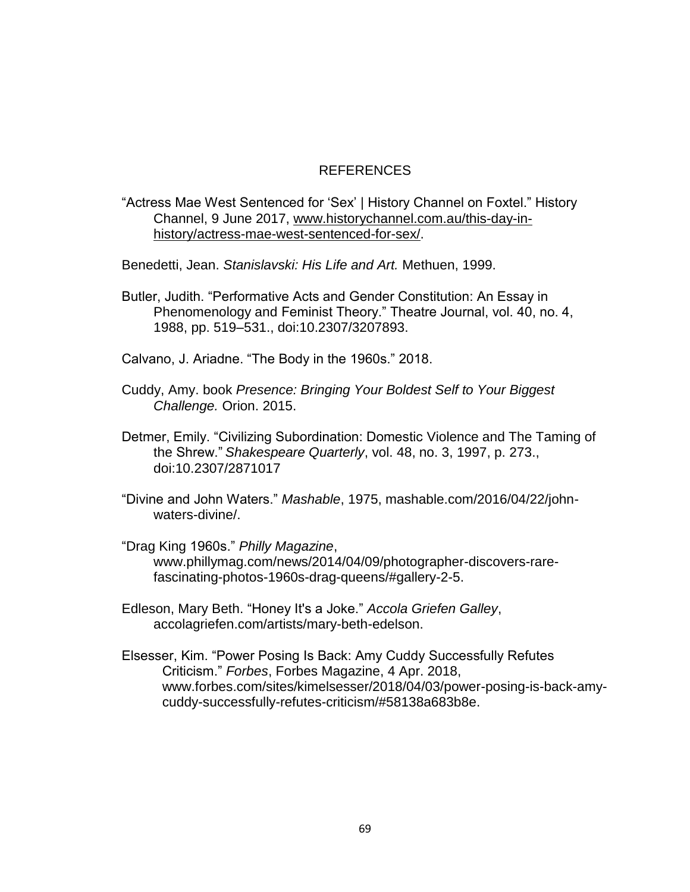#### REFERENCES

#### "Actress Mae West Sentenced for 'Sex' | History Channel on Foxtel." History Channel, 9 June 2017, [www.historychannel.com.au/this-day-in](http://www.historychannel.com.au/this-day-in-history/actress-mae-west-sentenced-for-sex/)[history/actress-mae-west-sentenced-for-sex/.](http://www.historychannel.com.au/this-day-in-history/actress-mae-west-sentenced-for-sex/)

Benedetti, Jean. *Stanislavski: His Life and Art.* Methuen, 1999.

- Butler, Judith. "Performative Acts and Gender Constitution: An Essay in Phenomenology and Feminist Theory." Theatre Journal, vol. 40, no. 4, 1988, pp. 519–531., doi:10.2307/3207893.
- Calvano, J. Ariadne. "The Body in the 1960s." 2018.
- Cuddy, Amy. book *Presence: Bringing Your Boldest Self to Your Biggest Challenge.* Orion. 2015.
- Detmer, Emily. "Civilizing Subordination: Domestic Violence and The Taming of the Shrew." *Shakespeare Quarterly*, vol. 48, no. 3, 1997, p. 273., doi:10.2307/2871017
- "Divine and John Waters." *Mashable*, 1975, mashable.com/2016/04/22/johnwaters-divine/.
- "Drag King 1960s." *Philly Magazine*, www.phillymag.com/news/2014/04/09/photographer-discovers-rarefascinating-photos-1960s-drag-queens/#gallery-2-5.
- Edleson, Mary Beth. "Honey It's a Joke." *Accola Griefen Galley*, accolagriefen.com/artists/mary-beth-edelson.
- Elsesser, Kim. "Power Posing Is Back: Amy Cuddy Successfully Refutes Criticism." *Forbes*, Forbes Magazine, 4 Apr. 2018, www.forbes.com/sites/kimelsesser/2018/04/03/power-posing-is-back-amycuddy-successfully-refutes-criticism/#58138a683b8e.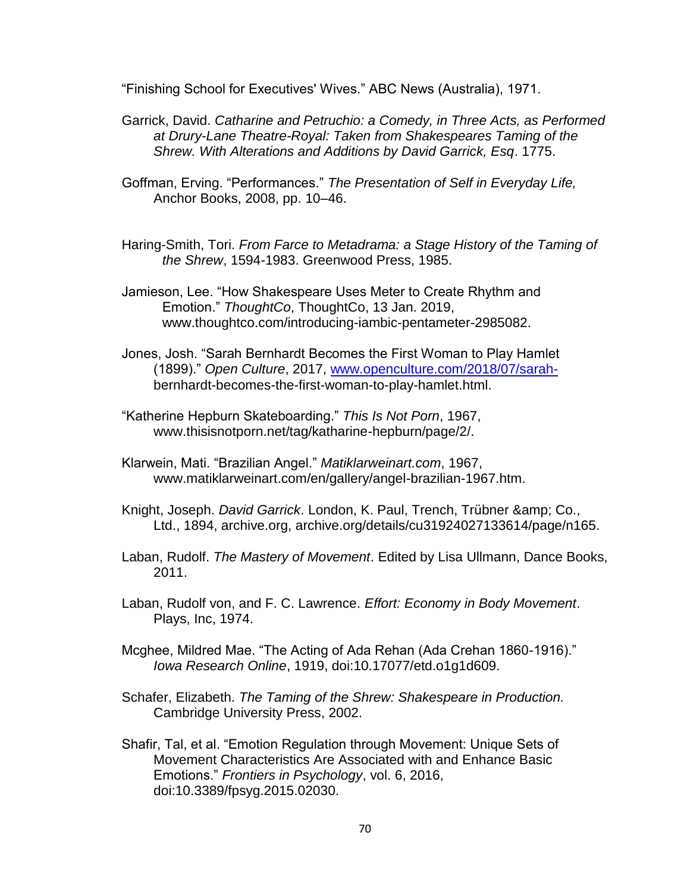"Finishing School for Executives' Wives." ABC News (Australia), 1971.

- Garrick, David. *Catharine and Petruchio: a Comedy, in Three Acts, as Performed at Drury-Lane Theatre-Royal: Taken from Shakespeares Taming of the Shrew. With Alterations and Additions by David Garrick, Esq*. 1775.
- Goffman, Erving. "Performances." *The Presentation of Self in Everyday Life,* Anchor Books, 2008, pp. 10–46.
- Haring-Smith, Tori. *From Farce to Metadrama: a Stage History of the Taming of the Shrew*, 1594-1983. Greenwood Press, 1985.
- Jamieson, Lee. "How Shakespeare Uses Meter to Create Rhythm and Emotion." *ThoughtCo*, ThoughtCo, 13 Jan. 2019, www.thoughtco.com/introducing-iambic-pentameter-2985082.
- Jones, Josh. "Sarah Bernhardt Becomes the First Woman to Play Hamlet (1899)." *Open Culture*, 2017, [www.openculture.com/2018/07/sarah](http://www.openculture.com/2018/07/sarah-)bernhardt-becomes-the-first-woman-to-play-hamlet.html.
- "Katherine Hepburn Skateboarding." *This Is Not Porn*, 1967, www.thisisnotporn.net/tag/katharine-hepburn/page/2/.
- Klarwein, Mati. "Brazilian Angel." *Matiklarweinart.com*, 1967, www.matiklarweinart.com/en/gallery/angel-brazilian-1967.htm.
- Knight, Joseph. *David Garrick*. London, K. Paul, Trench, Trübner & amp; Co., Ltd., 1894, archive.org, archive.org/details/cu31924027133614/page/n165.
- Laban, Rudolf. *The Mastery of Movement*. Edited by Lisa Ullmann, Dance Books, 2011.
- Laban, Rudolf von, and F. C. Lawrence. *Effort: Economy in Body Movement*. Plays, Inc, 1974.
- Mcghee, Mildred Mae. "The Acting of Ada Rehan (Ada Crehan 1860-1916)." *Iowa Research Online*, 1919, doi:10.17077/etd.o1g1d609.
- Schafer, Elizabeth. *The Taming of the Shrew: Shakespeare in Production.*  Cambridge University Press, 2002.
- Shafir, Tal, et al. "Emotion Regulation through Movement: Unique Sets of Movement Characteristics Are Associated with and Enhance Basic Emotions." *Frontiers in Psychology*, vol. 6, 2016, doi:10.3389/fpsyg.2015.02030.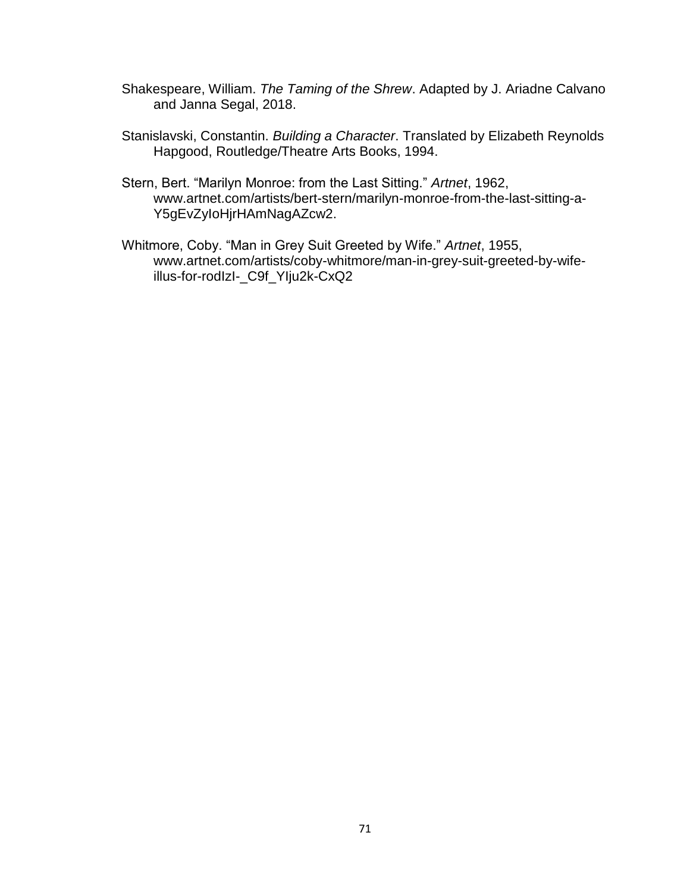- Shakespeare, William. *The Taming of the Shrew*. Adapted by J. Ariadne Calvano and Janna Segal, 2018.
- Stanislavski, Constantin. *Building a Character*. Translated by Elizabeth Reynolds Hapgood, Routledge/Theatre Arts Books, 1994.
- Stern, Bert. "Marilyn Monroe: from the Last Sitting." *Artnet*, 1962, www.artnet.com/artists/bert-stern/marilyn-monroe-from-the-last-sitting-a-Y5gEvZyIoHjrHAmNagAZcw2.
- Whitmore, Coby. "Man in Grey Suit Greeted by Wife." *Artnet*, 1955, www.artnet.com/artists/coby-whitmore/man-in-grey-suit-greeted-by-wifeillus-for-rodIzI-\_C9f\_YIju2k-CxQ2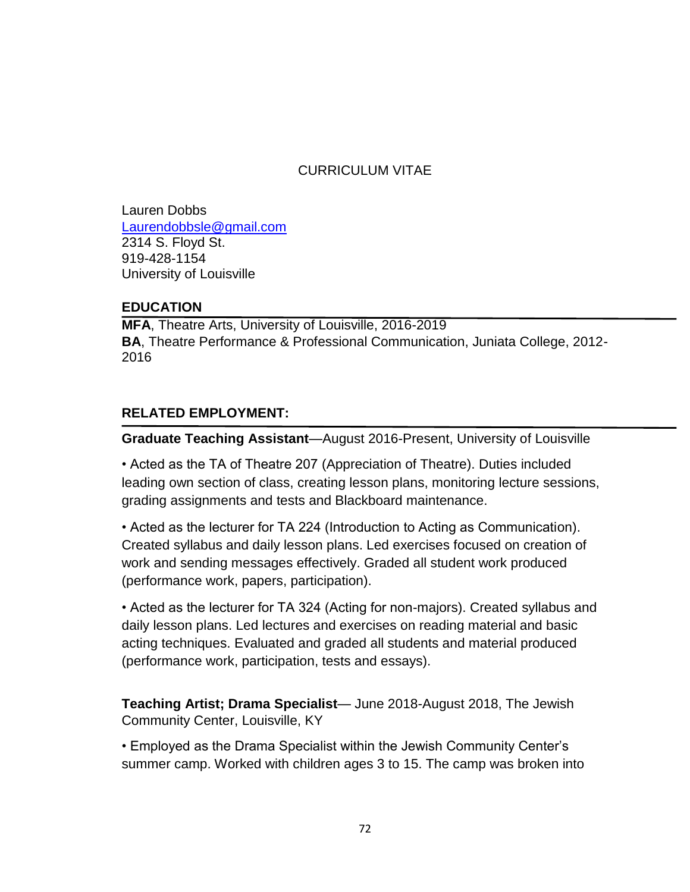# CURRICULUM VITAE

Lauren Dobbs [Laurendobbsle@gmail.com](mailto:Laurendobbsle@gmail.com)  2314 S. Floyd St. 919-428-1154 University of Louisville

### **EDUCATION**

**MFA**, Theatre Arts, University of Louisville, 2016-2019 **BA**, Theatre Performance & Professional Communication, Juniata College, 2012- 2016

# **RELATED EMPLOYMENT:**

**Graduate Teaching Assistant**—August 2016-Present, University of Louisville

• Acted as the TA of Theatre 207 (Appreciation of Theatre). Duties included leading own section of class, creating lesson plans, monitoring lecture sessions, grading assignments and tests and Blackboard maintenance.

• Acted as the lecturer for TA 224 (Introduction to Acting as Communication). Created syllabus and daily lesson plans. Led exercises focused on creation of work and sending messages effectively. Graded all student work produced (performance work, papers, participation).

• Acted as the lecturer for TA 324 (Acting for non-majors). Created syllabus and daily lesson plans. Led lectures and exercises on reading material and basic acting techniques. Evaluated and graded all students and material produced (performance work, participation, tests and essays).

**Teaching Artist; Drama Specialist**— June 2018-August 2018, The Jewish Community Center, Louisville, KY

• Employed as the Drama Specialist within the Jewish Community Center's summer camp. Worked with children ages 3 to 15. The camp was broken into